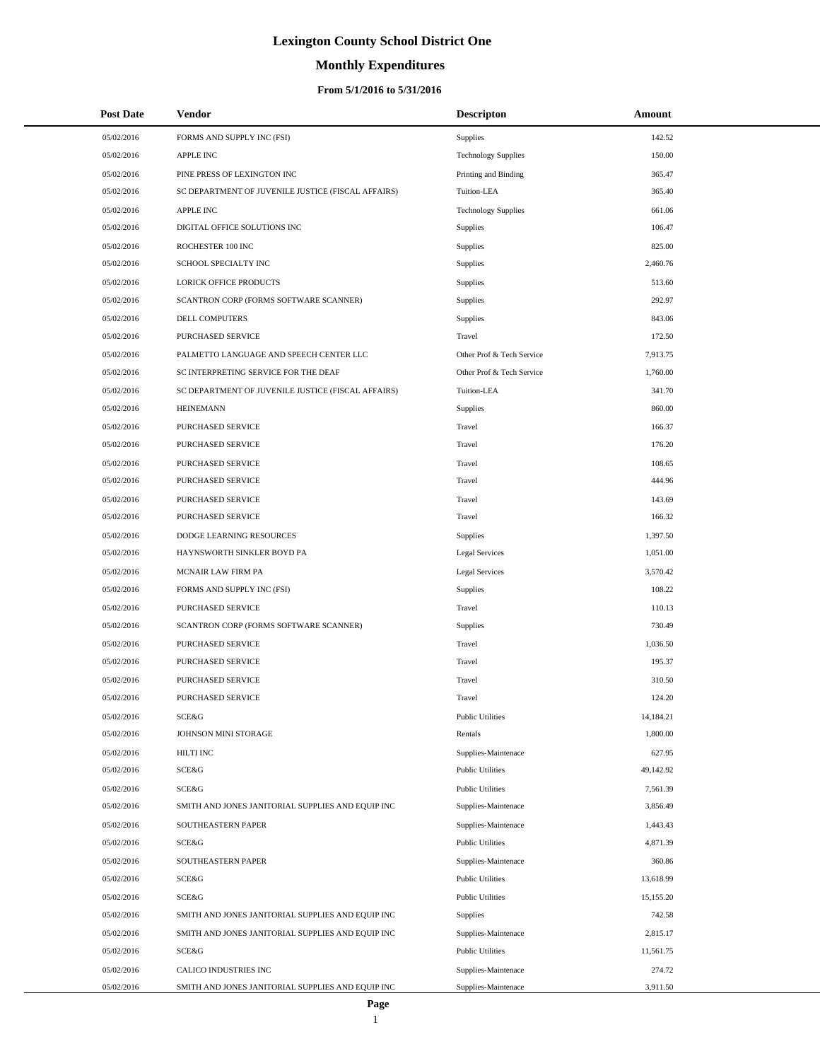# **Monthly Expenditures**

| <b>Post Date</b> | Vendor                                             | <b>Descripton</b>          | Amount    |
|------------------|----------------------------------------------------|----------------------------|-----------|
| 05/02/2016       | FORMS AND SUPPLY INC (FSI)                         | Supplies                   | 142.52    |
| 05/02/2016       | <b>APPLE INC</b>                                   | <b>Technology Supplies</b> | 150.00    |
| 05/02/2016       | PINE PRESS OF LEXINGTON INC                        | Printing and Binding       | 365.47    |
| 05/02/2016       | SC DEPARTMENT OF JUVENILE JUSTICE (FISCAL AFFAIRS) | Tuition-LEA                | 365.40    |
| 05/02/2016       | <b>APPLE INC</b>                                   | <b>Technology Supplies</b> | 661.06    |
| 05/02/2016       | DIGITAL OFFICE SOLUTIONS INC                       | <b>Supplies</b>            | 106.47    |
| 05/02/2016       | ROCHESTER 100 INC                                  | Supplies                   | 825.00    |
| 05/02/2016       | SCHOOL SPECIALTY INC                               | Supplies                   | 2,460.76  |
| 05/02/2016       | LORICK OFFICE PRODUCTS                             | Supplies                   | 513.60    |
| 05/02/2016       | SCANTRON CORP (FORMS SOFTWARE SCANNER)             | Supplies                   | 292.97    |
| 05/02/2016       | DELL COMPUTERS                                     | Supplies                   | 843.06    |
| 05/02/2016       | PURCHASED SERVICE                                  | Travel                     | 172.50    |
| 05/02/2016       | PALMETTO LANGUAGE AND SPEECH CENTER LLC            | Other Prof & Tech Service  | 7,913.75  |
| 05/02/2016       | SC INTERPRETING SERVICE FOR THE DEAF               | Other Prof & Tech Service  | 1,760.00  |
| 05/02/2016       | SC DEPARTMENT OF JUVENILE JUSTICE (FISCAL AFFAIRS) | Tuition-LEA                | 341.70    |
| 05/02/2016       | <b>HEINEMANN</b>                                   | Supplies                   | 860.00    |
| 05/02/2016       | PURCHASED SERVICE                                  | Travel                     | 166.37    |
| 05/02/2016       | PURCHASED SERVICE                                  | Travel                     | 176.20    |
| 05/02/2016       | PURCHASED SERVICE                                  | Travel                     | 108.65    |
| 05/02/2016       | PURCHASED SERVICE                                  | Travel                     | 444.96    |
| 05/02/2016       | PURCHASED SERVICE                                  | Travel                     | 143.69    |
| 05/02/2016       | PURCHASED SERVICE                                  | Travel                     | 166.32    |
| 05/02/2016       | DODGE LEARNING RESOURCES                           | Supplies                   | 1,397.50  |
| 05/02/2016       | HAYNSWORTH SINKLER BOYD PA                         | Legal Services             | 1,051.00  |
| 05/02/2016       | MCNAIR LAW FIRM PA                                 | Legal Services             | 3,570.42  |
| 05/02/2016       | FORMS AND SUPPLY INC (FSI)                         | Supplies                   | 108.22    |
| 05/02/2016       | PURCHASED SERVICE                                  | Travel                     | 110.13    |
| 05/02/2016       | SCANTRON CORP (FORMS SOFTWARE SCANNER)             | Supplies                   | 730.49    |
| 05/02/2016       | PURCHASED SERVICE                                  | Travel                     | 1,036.50  |
| 05/02/2016       | PURCHASED SERVICE                                  | Travel                     | 195.37    |
| 05/02/2016       | PURCHASED SERVICE                                  | Travel                     | 310.50    |
| 05/02/2016       | PURCHASED SERVICE                                  | Travel                     | 124.20    |
| 05/02/2016       | <b>SCE&amp;G</b>                                   | <b>Public Utilities</b>    | 14,184.21 |
| 05/02/2016       | JOHNSON MINI STORAGE                               | Rentals                    | 1,800.00  |
| 05/02/2016       | HILTI INC                                          | Supplies-Maintenace        | 627.95    |
| 05/02/2016       | SCE&G                                              | <b>Public Utilities</b>    | 49,142.92 |
| 05/02/2016       | SCE&G                                              | <b>Public Utilities</b>    | 7,561.39  |
| 05/02/2016       | SMITH AND JONES JANITORIAL SUPPLIES AND EQUIP INC  | Supplies-Maintenace        | 3,856.49  |
| 05/02/2016       | SOUTHEASTERN PAPER                                 | Supplies-Maintenace        | 1,443.43  |
| 05/02/2016       | <b>SCE&amp;G</b>                                   | <b>Public Utilities</b>    | 4,871.39  |
| 05/02/2016       | SOUTHEASTERN PAPER                                 | Supplies-Maintenace        | 360.86    |
| 05/02/2016       | SCE&G                                              | <b>Public Utilities</b>    | 13,618.99 |
| 05/02/2016       | SCE&G                                              | <b>Public Utilities</b>    | 15,155.20 |
| 05/02/2016       | SMITH AND JONES JANITORIAL SUPPLIES AND EQUIP INC  | Supplies                   | 742.58    |
| 05/02/2016       | SMITH AND JONES JANITORIAL SUPPLIES AND EQUIP INC  | Supplies-Maintenace        | 2,815.17  |
| 05/02/2016       | SCE&G                                              | <b>Public Utilities</b>    | 11,561.75 |
| 05/02/2016       | CALICO INDUSTRIES INC                              | Supplies-Maintenace        | 274.72    |
| 05/02/2016       | SMITH AND JONES JANITORIAL SUPPLIES AND EQUIP INC  | Supplies-Maintenace        | 3,911.50  |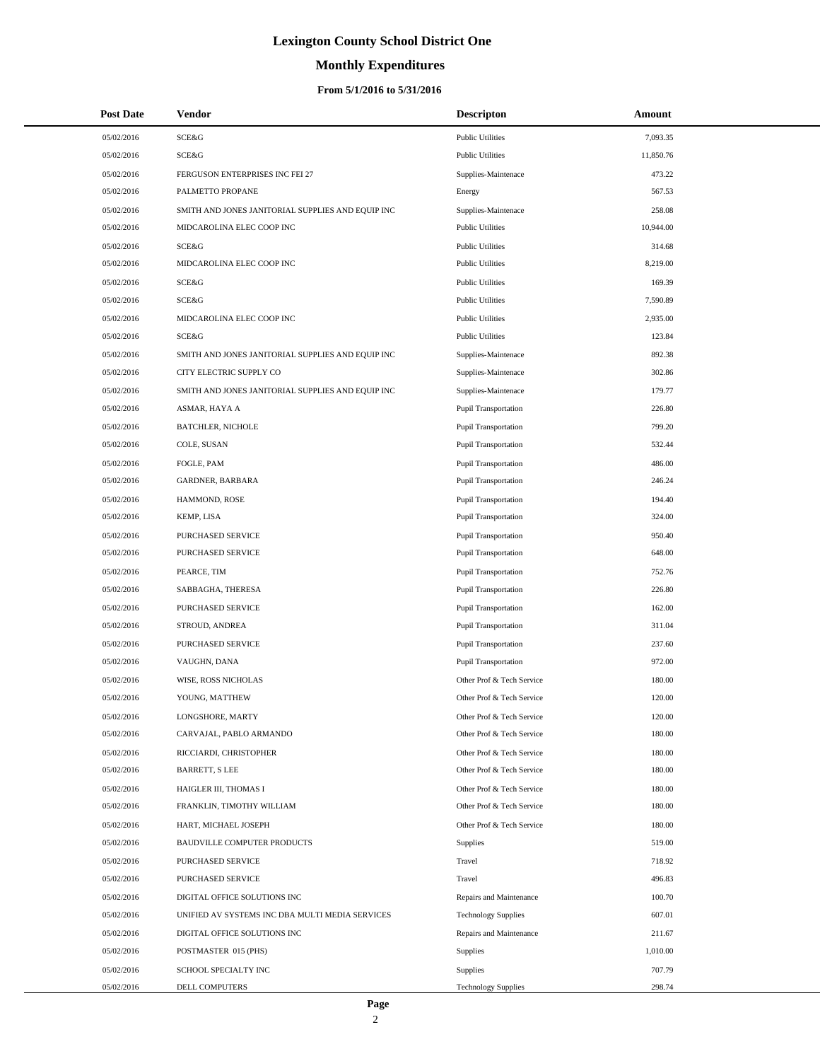# **Monthly Expenditures**

| <b>Post Date</b> | Vendor                                            | <b>Descripton</b>           | Amount    |
|------------------|---------------------------------------------------|-----------------------------|-----------|
| 05/02/2016       | SCE&G                                             | <b>Public Utilities</b>     | 7,093.35  |
| 05/02/2016       | SCE&G                                             | <b>Public Utilities</b>     | 11,850.76 |
| 05/02/2016       | FERGUSON ENTERPRISES INC FEI 27                   | Supplies-Maintenace         | 473.22    |
| 05/02/2016       | PALMETTO PROPANE                                  | Energy                      | 567.53    |
| 05/02/2016       | SMITH AND JONES JANITORIAL SUPPLIES AND EQUIP INC | Supplies-Maintenace         | 258.08    |
| 05/02/2016       | MIDCAROLINA ELEC COOP INC                         | <b>Public Utilities</b>     | 10,944.00 |
| 05/02/2016       | SCE&G                                             | <b>Public Utilities</b>     | 314.68    |
| 05/02/2016       | MIDCAROLINA ELEC COOP INC                         | <b>Public Utilities</b>     | 8,219.00  |
| 05/02/2016       | SCE&G                                             | <b>Public Utilities</b>     | 169.39    |
| 05/02/2016       | SCE&G                                             | <b>Public Utilities</b>     | 7,590.89  |
| 05/02/2016       | MIDCAROLINA ELEC COOP INC                         | <b>Public Utilities</b>     | 2,935.00  |
| 05/02/2016       | SCE&G                                             | <b>Public Utilities</b>     | 123.84    |
| 05/02/2016       | SMITH AND JONES JANITORIAL SUPPLIES AND EQUIP INC | Supplies-Maintenace         | 892.38    |
| 05/02/2016       | CITY ELECTRIC SUPPLY CO                           | Supplies-Maintenace         | 302.86    |
| 05/02/2016       | SMITH AND JONES JANITORIAL SUPPLIES AND EQUIP INC | Supplies-Maintenace         | 179.77    |
| 05/02/2016       | ASMAR, HAYA A                                     | <b>Pupil Transportation</b> | 226.80    |
| 05/02/2016       | <b>BATCHLER, NICHOLE</b>                          | Pupil Transportation        | 799.20    |
| 05/02/2016       | COLE, SUSAN                                       | <b>Pupil Transportation</b> | 532.44    |
| 05/02/2016       | FOGLE, PAM                                        | Pupil Transportation        | 486.00    |
| 05/02/2016       | GARDNER, BARBARA                                  | <b>Pupil Transportation</b> | 246.24    |
| 05/02/2016       | HAMMOND, ROSE                                     | Pupil Transportation        | 194.40    |
| 05/02/2016       | KEMP, LISA                                        | <b>Pupil Transportation</b> | 324.00    |
| 05/02/2016       | PURCHASED SERVICE                                 | Pupil Transportation        | 950.40    |
| 05/02/2016       | PURCHASED SERVICE                                 | <b>Pupil Transportation</b> | 648.00    |
| 05/02/2016       | PEARCE, TIM                                       | Pupil Transportation        | 752.76    |
| 05/02/2016       | SABBAGHA, THERESA                                 | <b>Pupil Transportation</b> | 226.80    |
| 05/02/2016       | PURCHASED SERVICE                                 | Pupil Transportation        | 162.00    |
| 05/02/2016       | STROUD, ANDREA                                    | <b>Pupil Transportation</b> | 311.04    |
| 05/02/2016       | PURCHASED SERVICE                                 | Pupil Transportation        | 237.60    |
| 05/02/2016       | VAUGHN, DANA                                      | <b>Pupil Transportation</b> | 972.00    |
| 05/02/2016       | WISE, ROSS NICHOLAS                               | Other Prof & Tech Service   | 180.00    |
| 05/02/2016       | YOUNG, MATTHEW                                    | Other Prof & Tech Service   | 120.00    |
| 05/02/2016       | LONGSHORE, MARTY                                  | Other Prof & Tech Service   | 120.00    |
| 05/02/2016       | CARVAJAL, PABLO ARMANDO                           | Other Prof & Tech Service   | 180.00    |
| 05/02/2016       | RICCIARDI, CHRISTOPHER                            | Other Prof & Tech Service   | 180.00    |
| 05/02/2016       | <b>BARRETT, S LEE</b>                             | Other Prof & Tech Service   | 180.00    |
| 05/02/2016       | HAIGLER III, THOMAS I                             | Other Prof & Tech Service   | 180.00    |
| 05/02/2016       | FRANKLIN, TIMOTHY WILLIAM                         | Other Prof & Tech Service   | 180.00    |
| 05/02/2016       | HART, MICHAEL JOSEPH                              | Other Prof & Tech Service   | 180.00    |
| 05/02/2016       | <b>BAUDVILLE COMPUTER PRODUCTS</b>                | Supplies                    | 519.00    |
| 05/02/2016       | PURCHASED SERVICE                                 | Travel                      | 718.92    |
| 05/02/2016       | PURCHASED SERVICE                                 | Travel                      | 496.83    |
| 05/02/2016       | DIGITAL OFFICE SOLUTIONS INC                      | Repairs and Maintenance     | 100.70    |
| 05/02/2016       | UNIFIED AV SYSTEMS INC DBA MULTI MEDIA SERVICES   | <b>Technology Supplies</b>  | 607.01    |
| 05/02/2016       | DIGITAL OFFICE SOLUTIONS INC                      | Repairs and Maintenance     | 211.67    |
| 05/02/2016       | POSTMASTER 015 (PHS)                              | Supplies                    | 1,010.00  |
| 05/02/2016       | SCHOOL SPECIALTY INC                              | Supplies                    | 707.79    |
| 05/02/2016       | DELL COMPUTERS                                    | <b>Technology Supplies</b>  | 298.74    |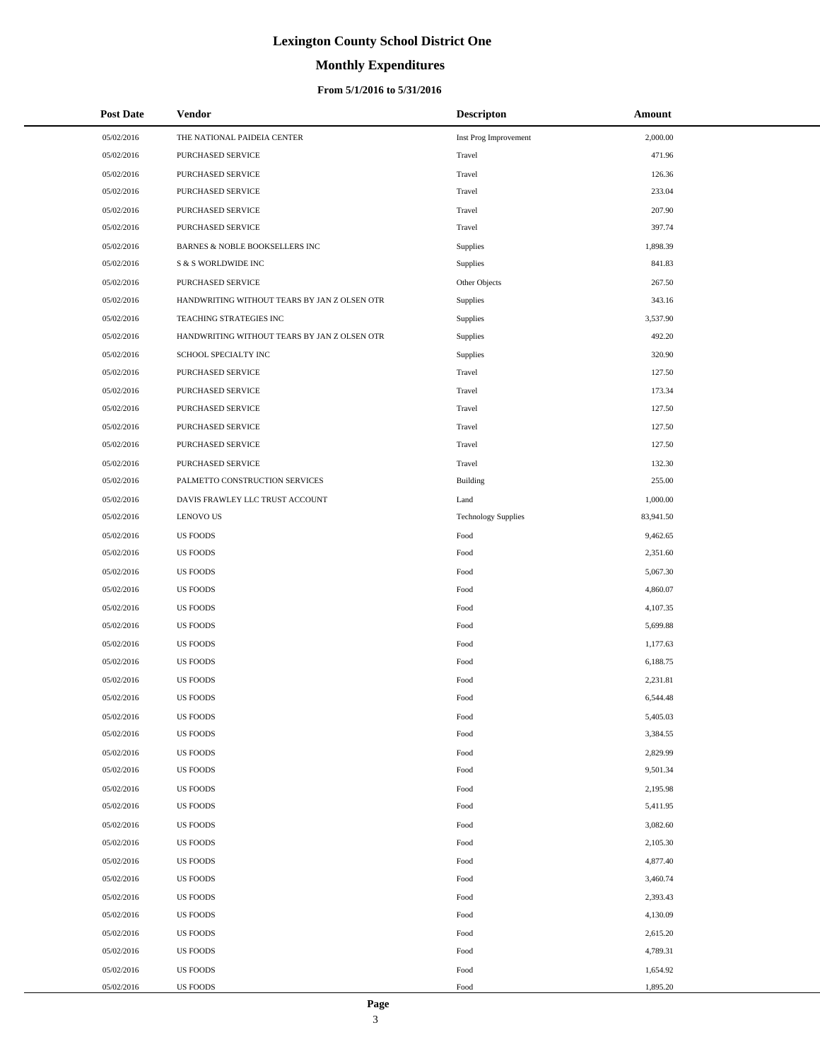# **Monthly Expenditures**

### **From 5/1/2016 to 5/31/2016**

| <b>Post Date</b> | Vendor                                       | <b>Descripton</b>          | Amount    |
|------------------|----------------------------------------------|----------------------------|-----------|
| 05/02/2016       | THE NATIONAL PAIDEIA CENTER                  | Inst Prog Improvement      | 2,000.00  |
| 05/02/2016       | PURCHASED SERVICE                            | Travel                     | 471.96    |
| 05/02/2016       | PURCHASED SERVICE                            | Travel                     | 126.36    |
| 05/02/2016       | PURCHASED SERVICE                            | Travel                     | 233.04    |
| 05/02/2016       | PURCHASED SERVICE                            | Travel                     | 207.90    |
| 05/02/2016       | PURCHASED SERVICE                            | Travel                     | 397.74    |
| 05/02/2016       | BARNES & NOBLE BOOKSELLERS INC               | Supplies                   | 1,898.39  |
| 05/02/2016       | S & S WORLDWIDE INC                          | <b>Supplies</b>            | 841.83    |
| 05/02/2016       | PURCHASED SERVICE                            | Other Objects              | 267.50    |
| 05/02/2016       | HANDWRITING WITHOUT TEARS BY JAN Z OLSEN OTR | Supplies                   | 343.16    |
| 05/02/2016       | TEACHING STRATEGIES INC                      | Supplies                   | 3,537.90  |
| 05/02/2016       | HANDWRITING WITHOUT TEARS BY JAN Z OLSEN OTR | Supplies                   | 492.20    |
| 05/02/2016       | SCHOOL SPECIALTY INC                         | <b>Supplies</b>            | 320.90    |
| 05/02/2016       | PURCHASED SERVICE                            | Travel                     | 127.50    |
| 05/02/2016       | PURCHASED SERVICE                            | Travel                     | 173.34    |
| 05/02/2016       | PURCHASED SERVICE                            | Travel                     | 127.50    |
| 05/02/2016       | PURCHASED SERVICE                            | Travel                     | 127.50    |
| 05/02/2016       | PURCHASED SERVICE                            | Travel                     | 127.50    |
| 05/02/2016       | PURCHASED SERVICE                            | Travel                     | 132.30    |
| 05/02/2016       | PALMETTO CONSTRUCTION SERVICES               | Building                   | 255.00    |
| 05/02/2016       | DAVIS FRAWLEY LLC TRUST ACCOUNT              | Land                       | 1,000.00  |
| 05/02/2016       | <b>LENOVO US</b>                             | <b>Technology Supplies</b> | 83,941.50 |
| 05/02/2016       | US FOODS                                     | Food                       | 9,462.65  |
| 05/02/2016       | <b>US FOODS</b>                              | Food                       | 2,351.60  |
| 05/02/2016       | US FOODS                                     | Food                       | 5,067.30  |
| 05/02/2016       | US FOODS                                     | Food                       | 4,860.07  |
| 05/02/2016       | US FOODS                                     | Food                       | 4,107.35  |
| 05/02/2016       | US FOODS                                     | Food                       | 5,699.88  |
| 05/02/2016       | US FOODS                                     | Food                       | 1,177.63  |
| 05/02/2016       | US FOODS                                     | Food                       | 6,188.75  |
| 05/02/2016       | <b>US FOODS</b>                              | Food                       | 2,231.81  |
| 05/02/2016       | <b>US FOODS</b>                              | Food                       | 6,544.48  |
| 05/02/2016       | US FOODS                                     | Food                       | 5,405.03  |
| 05/02/2016       | US FOODS                                     | Food                       | 3,384.55  |
| 05/02/2016       | US FOODS                                     | Food                       | 2,829.99  |
| 05/02/2016       | US FOODS                                     | Food                       | 9,501.34  |
| 05/02/2016       | <b>US FOODS</b>                              | Food                       | 2,195.98  |
| 05/02/2016       | US FOODS                                     | Food                       | 5,411.95  |
| 05/02/2016       | US FOODS                                     | Food                       | 3,082.60  |
| 05/02/2016       | US FOODS                                     | Food                       | 2,105.30  |
| 05/02/2016       | US FOODS                                     | Food                       | 4,877.40  |
| 05/02/2016       | <b>US FOODS</b>                              | Food                       | 3,460.74  |
| 05/02/2016       | US FOODS                                     | Food                       | 2,393.43  |
| 05/02/2016       | US FOODS                                     | Food                       | 4,130.09  |
| 05/02/2016       | US FOODS                                     | Food                       | 2,615.20  |
| 05/02/2016       | US FOODS                                     | Food                       | 4,789.31  |
| 05/02/2016       | US FOODS                                     | Food                       | 1,654.92  |
| 05/02/2016       | US FOODS                                     | Food                       | 1,895.20  |

 $\overline{a}$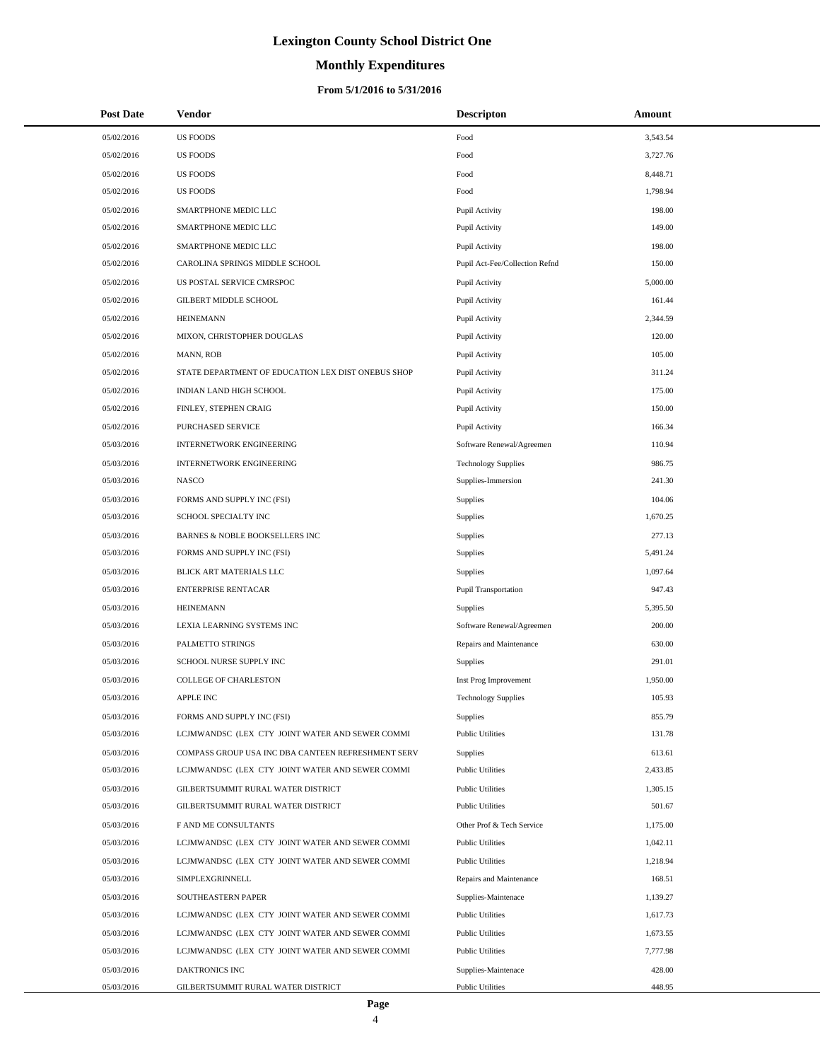# **Monthly Expenditures**

| <b>Post Date</b> | Vendor                                             | <b>Descripton</b>              | Amount   |
|------------------|----------------------------------------------------|--------------------------------|----------|
| 05/02/2016       | <b>US FOODS</b>                                    | Food                           | 3,543.54 |
| 05/02/2016       | <b>US FOODS</b>                                    | Food                           | 3,727.76 |
| 05/02/2016       | <b>US FOODS</b>                                    | Food                           | 8,448.71 |
| 05/02/2016       | <b>US FOODS</b>                                    | Food                           | 1,798.94 |
| 05/02/2016       | SMARTPHONE MEDIC LLC                               | Pupil Activity                 | 198.00   |
| 05/02/2016       | SMARTPHONE MEDIC LLC                               | Pupil Activity                 | 149.00   |
| 05/02/2016       | SMARTPHONE MEDIC LLC                               | Pupil Activity                 | 198.00   |
| 05/02/2016       | CAROLINA SPRINGS MIDDLE SCHOOL                     | Pupil Act-Fee/Collection Refnd | 150.00   |
| 05/02/2016       | US POSTAL SERVICE CMRSPOC                          | Pupil Activity                 | 5,000.00 |
| 05/02/2016       | <b>GILBERT MIDDLE SCHOOL</b>                       | Pupil Activity                 | 161.44   |
| 05/02/2016       | <b>HEINEMANN</b>                                   | Pupil Activity                 | 2,344.59 |
| 05/02/2016       | MIXON, CHRISTOPHER DOUGLAS                         | Pupil Activity                 | 120.00   |
| 05/02/2016       | MANN, ROB                                          | Pupil Activity                 | 105.00   |
| 05/02/2016       | STATE DEPARTMENT OF EDUCATION LEX DIST ONEBUS SHOP | Pupil Activity                 | 311.24   |
| 05/02/2016       | INDIAN LAND HIGH SCHOOL                            | Pupil Activity                 | 175.00   |
| 05/02/2016       | FINLEY, STEPHEN CRAIG                              | Pupil Activity                 | 150.00   |
| 05/02/2016       | <b>PURCHASED SERVICE</b>                           | Pupil Activity                 | 166.34   |
| 05/03/2016       | <b>INTERNETWORK ENGINEERING</b>                    | Software Renewal/Agreemen      | 110.94   |
| 05/03/2016       | <b>INTERNETWORK ENGINEERING</b>                    | <b>Technology Supplies</b>     | 986.75   |
| 05/03/2016       | <b>NASCO</b>                                       | Supplies-Immersion             | 241.30   |
| 05/03/2016       | FORMS AND SUPPLY INC (FSI)                         | Supplies                       | 104.06   |
| 05/03/2016       | SCHOOL SPECIALTY INC                               | <b>Supplies</b>                | 1,670.25 |
| 05/03/2016       | BARNES & NOBLE BOOKSELLERS INC                     | Supplies                       | 277.13   |
| 05/03/2016       | FORMS AND SUPPLY INC (FSI)                         | Supplies                       | 5,491.24 |
| 05/03/2016       | BLICK ART MATERIALS LLC                            | Supplies                       | 1,097.64 |
| 05/03/2016       | <b>ENTERPRISE RENTACAR</b>                         | Pupil Transportation           | 947.43   |
| 05/03/2016       | <b>HEINEMANN</b>                                   | <b>Supplies</b>                | 5,395.50 |
| 05/03/2016       | LEXIA LEARNING SYSTEMS INC                         | Software Renewal/Agreemen      | 200.00   |
| 05/03/2016       | PALMETTO STRINGS                                   | Repairs and Maintenance        | 630.00   |
| 05/03/2016       | SCHOOL NURSE SUPPLY INC                            | Supplies                       | 291.01   |
| 05/03/2016       | <b>COLLEGE OF CHARLESTON</b>                       | Inst Prog Improvement          | 1,950.00 |
| 05/03/2016       | <b>APPLE INC</b>                                   | <b>Technology Supplies</b>     | 105.93   |
| 05/03/2016       | FORMS AND SUPPLY INC (FSI)                         | Supplies                       | 855.79   |
| 05/03/2016       | LCJMWANDSC (LEX CTY JOINT WATER AND SEWER COMMI    | <b>Public Utilities</b>        | 131.78   |
| 05/03/2016       | COMPASS GROUP USA INC DBA CANTEEN REFRESHMENT SERV | Supplies                       | 613.61   |
| 05/03/2016       | LCJMWANDSC (LEX CTY JOINT WATER AND SEWER COMMI    | <b>Public Utilities</b>        | 2,433.85 |
| 05/03/2016       | GILBERTSUMMIT RURAL WATER DISTRICT                 | <b>Public Utilities</b>        | 1,305.15 |
| 05/03/2016       | GILBERTSUMMIT RURAL WATER DISTRICT                 | <b>Public Utilities</b>        | 501.67   |
| 05/03/2016       | F AND ME CONSULTANTS                               | Other Prof & Tech Service      | 1,175.00 |
| 05/03/2016       | LCJMWANDSC (LEX CTY JOINT WATER AND SEWER COMMI    | <b>Public Utilities</b>        | 1,042.11 |
| 05/03/2016       | LCJMWANDSC (LEX CTY JOINT WATER AND SEWER COMMI    | <b>Public Utilities</b>        | 1,218.94 |
| 05/03/2016       | SIMPLEXGRINNELL                                    | Repairs and Maintenance        | 168.51   |
| 05/03/2016       | SOUTHEASTERN PAPER                                 | Supplies-Maintenace            | 1,139.27 |
| 05/03/2016       | LCJMWANDSC (LEX CTY JOINT WATER AND SEWER COMMI    | <b>Public Utilities</b>        | 1,617.73 |
| 05/03/2016       | LCJMWANDSC (LEX CTY JOINT WATER AND SEWER COMMI    | <b>Public Utilities</b>        | 1,673.55 |
| 05/03/2016       | LCJMWANDSC (LEX CTY JOINT WATER AND SEWER COMMI    | <b>Public Utilities</b>        | 7,777.98 |
| 05/03/2016       | DAKTRONICS INC                                     | Supplies-Maintenace            | 428.00   |
| 05/03/2016       | GILBERTSUMMIT RURAL WATER DISTRICT                 | <b>Public Utilities</b>        | 448.95   |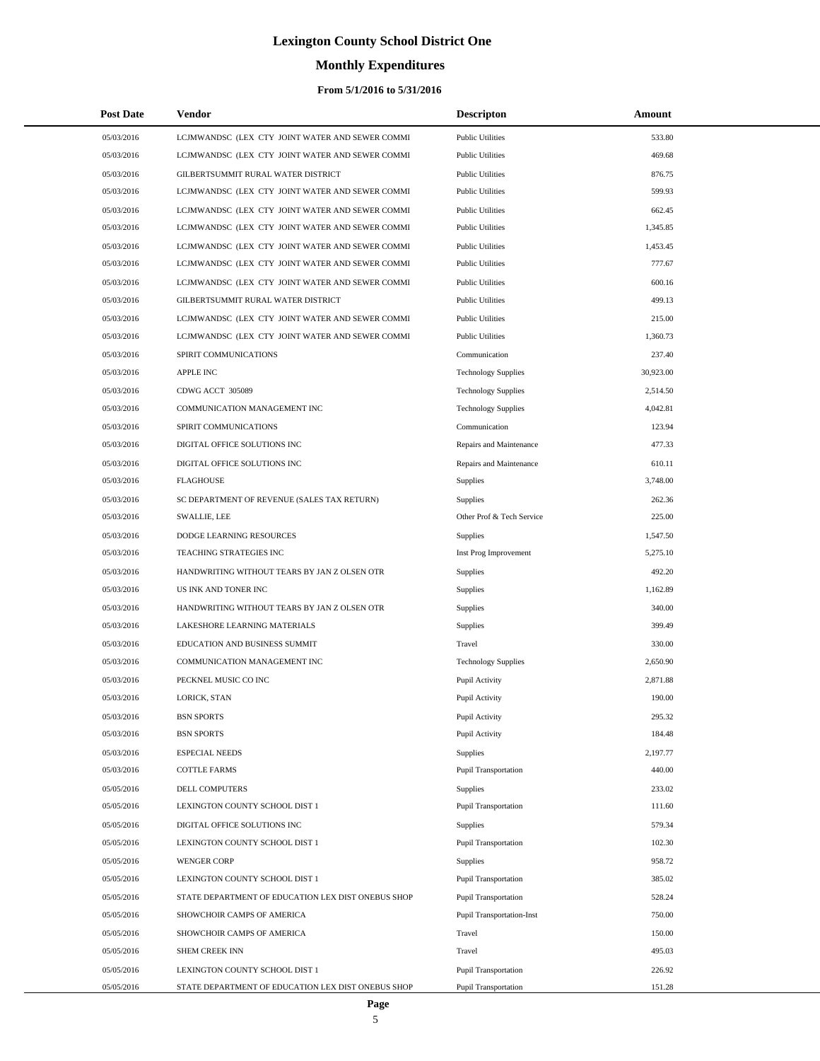# **Monthly Expenditures**

| <b>Post Date</b> | Vendor                                             | <b>Descripton</b>                | Amount    |
|------------------|----------------------------------------------------|----------------------------------|-----------|
| 05/03/2016       | LCJMWANDSC (LEX CTY JOINT WATER AND SEWER COMMI    | <b>Public Utilities</b>          | 533.80    |
| 05/03/2016       | LCJMWANDSC (LEX CTY JOINT WATER AND SEWER COMMI    | <b>Public Utilities</b>          | 469.68    |
| 05/03/2016       | GILBERTSUMMIT RURAL WATER DISTRICT                 | <b>Public Utilities</b>          | 876.75    |
| 05/03/2016       | LCJMWANDSC (LEX CTY JOINT WATER AND SEWER COMMI    | <b>Public Utilities</b>          | 599.93    |
| 05/03/2016       | LCJMWANDSC (LEX CTY JOINT WATER AND SEWER COMMI    | <b>Public Utilities</b>          | 662.45    |
| 05/03/2016       | LCJMWANDSC (LEX CTY JOINT WATER AND SEWER COMMI    | <b>Public Utilities</b>          | 1,345.85  |
| 05/03/2016       | LCJMWANDSC (LEX CTY JOINT WATER AND SEWER COMMI    | <b>Public Utilities</b>          | 1,453.45  |
| 05/03/2016       | LCJMWANDSC (LEX CTY JOINT WATER AND SEWER COMMI    | <b>Public Utilities</b>          | 777.67    |
| 05/03/2016       | LCJMWANDSC (LEX CTY JOINT WATER AND SEWER COMMI    | <b>Public Utilities</b>          | 600.16    |
| 05/03/2016       | GILBERTSUMMIT RURAL WATER DISTRICT                 | <b>Public Utilities</b>          | 499.13    |
| 05/03/2016       | LCJMWANDSC (LEX CTY JOINT WATER AND SEWER COMMI    | <b>Public Utilities</b>          | 215.00    |
| 05/03/2016       | LCJMWANDSC (LEX CTY JOINT WATER AND SEWER COMMI    | <b>Public Utilities</b>          | 1,360.73  |
| 05/03/2016       | SPIRIT COMMUNICATIONS                              | Communication                    | 237.40    |
| 05/03/2016       | APPLE INC                                          | <b>Technology Supplies</b>       | 30,923.00 |
| 05/03/2016       | CDWG ACCT 305089                                   | <b>Technology Supplies</b>       | 2,514.50  |
| 05/03/2016       | COMMUNICATION MANAGEMENT INC                       | <b>Technology Supplies</b>       | 4,042.81  |
| 05/03/2016       | SPIRIT COMMUNICATIONS                              | Communication                    | 123.94    |
| 05/03/2016       | DIGITAL OFFICE SOLUTIONS INC                       | Repairs and Maintenance          | 477.33    |
| 05/03/2016       | DIGITAL OFFICE SOLUTIONS INC                       | Repairs and Maintenance          | 610.11    |
| 05/03/2016       | <b>FLAGHOUSE</b>                                   | Supplies                         | 3,748.00  |
| 05/03/2016       | SC DEPARTMENT OF REVENUE (SALES TAX RETURN)        | Supplies                         | 262.36    |
| 05/03/2016       | <b>SWALLIE, LEE</b>                                | Other Prof & Tech Service        | 225.00    |
| 05/03/2016       | DODGE LEARNING RESOURCES                           | Supplies                         | 1,547.50  |
| 05/03/2016       | TEACHING STRATEGIES INC                            | Inst Prog Improvement            | 5,275.10  |
| 05/03/2016       | HANDWRITING WITHOUT TEARS BY JAN Z OLSEN OTR       | Supplies                         | 492.20    |
| 05/03/2016       | US INK AND TONER INC                               | <b>Supplies</b>                  | 1,162.89  |
| 05/03/2016       | HANDWRITING WITHOUT TEARS BY JAN Z OLSEN OTR       | <b>Supplies</b>                  | 340.00    |
| 05/03/2016       | LAKESHORE LEARNING MATERIALS                       | <b>Supplies</b>                  | 399.49    |
| 05/03/2016       | EDUCATION AND BUSINESS SUMMIT                      | Travel                           | 330.00    |
| 05/03/2016       | COMMUNICATION MANAGEMENT INC                       | <b>Technology Supplies</b>       | 2,650.90  |
| 05/03/2016       | PECKNEL MUSIC CO INC                               | Pupil Activity                   | 2,871.88  |
| 05/03/2016       | LORICK, STAN                                       | Pupil Activity                   | 190.00    |
| 05/03/2016       | <b>BSN SPORTS</b>                                  | Pupil Activity                   | 295.32    |
| 05/03/2016       | <b>BSN SPORTS</b>                                  | Pupil Activity                   | 184.48    |
| 05/03/2016       | <b>ESPECIAL NEEDS</b>                              | <b>Supplies</b>                  | 2,197.77  |
| 05/03/2016       | <b>COTTLE FARMS</b>                                | <b>Pupil Transportation</b>      | 440.00    |
| 05/05/2016       | DELL COMPUTERS                                     | <b>Supplies</b>                  | 233.02    |
| 05/05/2016       | LEXINGTON COUNTY SCHOOL DIST 1                     | <b>Pupil Transportation</b>      | 111.60    |
| 05/05/2016       | DIGITAL OFFICE SOLUTIONS INC                       | <b>Supplies</b>                  | 579.34    |
| 05/05/2016       | LEXINGTON COUNTY SCHOOL DIST 1                     | <b>Pupil Transportation</b>      | 102.30    |
| 05/05/2016       | <b>WENGER CORP</b>                                 | <b>Supplies</b>                  | 958.72    |
| 05/05/2016       | LEXINGTON COUNTY SCHOOL DIST 1                     | <b>Pupil Transportation</b>      | 385.02    |
| 05/05/2016       | STATE DEPARTMENT OF EDUCATION LEX DIST ONEBUS SHOP | <b>Pupil Transportation</b>      | 528.24    |
| 05/05/2016       | SHOWCHOIR CAMPS OF AMERICA                         | <b>Pupil Transportation-Inst</b> | 750.00    |
| 05/05/2016       | SHOWCHOIR CAMPS OF AMERICA                         | Travel                           | 150.00    |
| 05/05/2016       | SHEM CREEK INN                                     | Travel                           | 495.03    |
| 05/05/2016       | LEXINGTON COUNTY SCHOOL DIST 1                     | <b>Pupil Transportation</b>      | 226.92    |
| 05/05/2016       | STATE DEPARTMENT OF EDUCATION LEX DIST ONEBUS SHOP | <b>Pupil Transportation</b>      | 151.28    |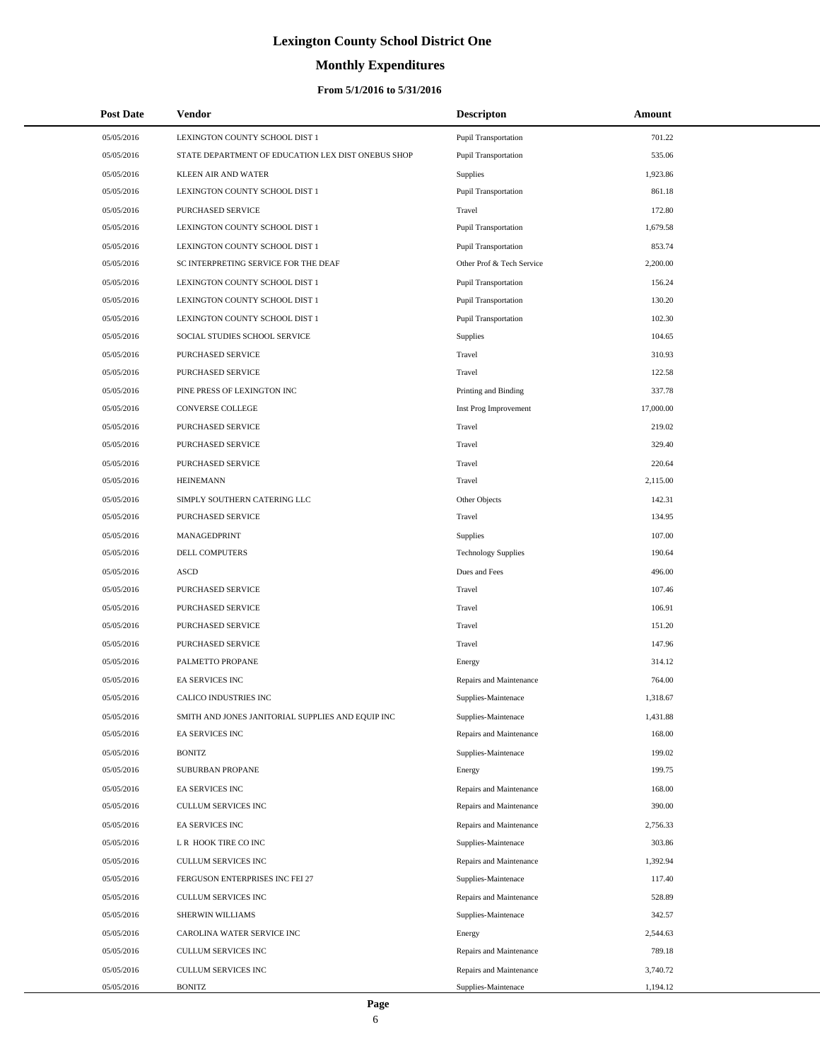# **Monthly Expenditures**

### **From 5/1/2016 to 5/31/2016**

| <b>Post Date</b> | <b>Vendor</b>                                      | <b>Descripton</b>           | Amount    |  |
|------------------|----------------------------------------------------|-----------------------------|-----------|--|
| 05/05/2016       | LEXINGTON COUNTY SCHOOL DIST 1                     | <b>Pupil Transportation</b> | 701.22    |  |
| 05/05/2016       | STATE DEPARTMENT OF EDUCATION LEX DIST ONEBUS SHOP | <b>Pupil Transportation</b> | 535.06    |  |
| 05/05/2016       | <b>KLEEN AIR AND WATER</b>                         | <b>Supplies</b>             | 1,923.86  |  |
| 05/05/2016       | LEXINGTON COUNTY SCHOOL DIST 1                     | <b>Pupil Transportation</b> | 861.18    |  |
| 05/05/2016       | PURCHASED SERVICE                                  | Travel                      | 172.80    |  |
| 05/05/2016       | LEXINGTON COUNTY SCHOOL DIST 1                     | <b>Pupil Transportation</b> | 1,679.58  |  |
| 05/05/2016       | LEXINGTON COUNTY SCHOOL DIST 1                     | <b>Pupil Transportation</b> | 853.74    |  |
| 05/05/2016       | SC INTERPRETING SERVICE FOR THE DEAF               | Other Prof & Tech Service   | 2,200.00  |  |
| 05/05/2016       | LEXINGTON COUNTY SCHOOL DIST 1                     | <b>Pupil Transportation</b> | 156.24    |  |
| 05/05/2016       | LEXINGTON COUNTY SCHOOL DIST 1                     | <b>Pupil Transportation</b> | 130.20    |  |
| 05/05/2016       | LEXINGTON COUNTY SCHOOL DIST 1                     | <b>Pupil Transportation</b> | 102.30    |  |
| 05/05/2016       | SOCIAL STUDIES SCHOOL SERVICE                      | Supplies                    | 104.65    |  |
| 05/05/2016       | PURCHASED SERVICE                                  | Travel                      | 310.93    |  |
| 05/05/2016       | PURCHASED SERVICE                                  | Travel                      | 122.58    |  |
| 05/05/2016       | PINE PRESS OF LEXINGTON INC                        | Printing and Binding        | 337.78    |  |
| 05/05/2016       | CONVERSE COLLEGE                                   | Inst Prog Improvement       | 17,000.00 |  |
| 05/05/2016       | PURCHASED SERVICE                                  | Travel                      | 219.02    |  |
| 05/05/2016       | <b>PURCHASED SERVICE</b>                           | Travel                      | 329.40    |  |
| 05/05/2016       | PURCHASED SERVICE                                  | Travel                      | 220.64    |  |
| 05/05/2016       | <b>HEINEMANN</b>                                   | Travel                      | 2,115.00  |  |
| 05/05/2016       | SIMPLY SOUTHERN CATERING LLC                       | Other Objects               | 142.31    |  |
| 05/05/2016       | PURCHASED SERVICE                                  | Travel                      | 134.95    |  |
| 05/05/2016       | MANAGEDPRINT                                       | <b>Supplies</b>             | 107.00    |  |
| 05/05/2016       | DELL COMPUTERS                                     | <b>Technology Supplies</b>  | 190.64    |  |
| 05/05/2016       | ASCD                                               | Dues and Fees               | 496.00    |  |
| 05/05/2016       | PURCHASED SERVICE                                  | Travel                      | 107.46    |  |
| 05/05/2016       | PURCHASED SERVICE                                  | Travel                      | 106.91    |  |
| 05/05/2016       | PURCHASED SERVICE                                  | Travel                      | 151.20    |  |
| 05/05/2016       | PURCHASED SERVICE                                  | Travel                      | 147.96    |  |
| 05/05/2016       | PALMETTO PROPANE                                   | Energy                      | 314.12    |  |
| 05/05/2016       | <b>EA SERVICES INC</b>                             | Repairs and Maintenance     | 764.00    |  |
| 05/05/2016       | CALICO INDUSTRIES INC                              | Supplies-Maintenace         | 1,318.67  |  |
| 05/05/2016       | SMITH AND JONES JANITORIAL SUPPLIES AND EQUIP INC  | Supplies-Maintenace         | 1,431.88  |  |
| 05/05/2016       | EA SERVICES INC                                    | Repairs and Maintenance     | 168.00    |  |
| 05/05/2016       | <b>BONITZ</b>                                      | Supplies-Maintenace         | 199.02    |  |
| 05/05/2016       | SUBURBAN PROPANE                                   | Energy                      | 199.75    |  |
| 05/05/2016       | EA SERVICES INC                                    | Repairs and Maintenance     | 168.00    |  |
| 05/05/2016       | CULLUM SERVICES INC                                | Repairs and Maintenance     | 390.00    |  |
| 05/05/2016       | EA SERVICES INC                                    | Repairs and Maintenance     | 2,756.33  |  |
| 05/05/2016       | L R HOOK TIRE CO INC                               | Supplies-Maintenace         | 303.86    |  |
| 05/05/2016       | <b>CULLUM SERVICES INC</b>                         | Repairs and Maintenance     | 1,392.94  |  |
| 05/05/2016       | FERGUSON ENTERPRISES INC FEI 27                    | Supplies-Maintenace         | 117.40    |  |
| 05/05/2016       | CULLUM SERVICES INC                                | Repairs and Maintenance     | 528.89    |  |
| 05/05/2016       | SHERWIN WILLIAMS                                   | Supplies-Maintenace         | 342.57    |  |
| 05/05/2016       | CAROLINA WATER SERVICE INC                         | Energy                      | 2,544.63  |  |
| 05/05/2016       | CULLUM SERVICES INC                                | Repairs and Maintenance     | 789.18    |  |
| 05/05/2016       | CULLUM SERVICES INC                                | Repairs and Maintenance     | 3,740.72  |  |
| 05/05/2016       | <b>BONITZ</b>                                      | Supplies-Maintenace         | 1,194.12  |  |

 $\overline{a}$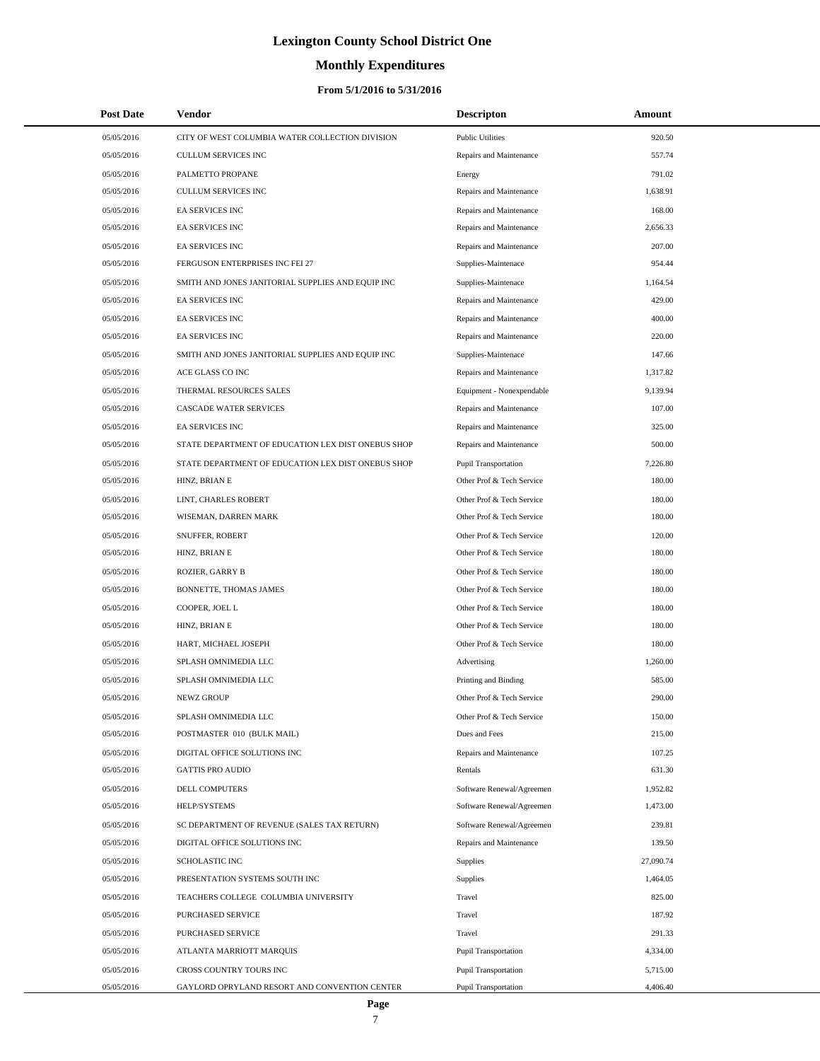# **Monthly Expenditures**

### **From 5/1/2016 to 5/31/2016**

| <b>Post Date</b> | Vendor                                             | <b>Descripton</b>           | Amount    |
|------------------|----------------------------------------------------|-----------------------------|-----------|
| 05/05/2016       | CITY OF WEST COLUMBIA WATER COLLECTION DIVISION    | <b>Public Utilities</b>     | 920.50    |
| 05/05/2016       | <b>CULLUM SERVICES INC</b>                         | Repairs and Maintenance     | 557.74    |
| 05/05/2016       | PALMETTO PROPANE                                   | Energy                      | 791.02    |
| 05/05/2016       | CULLUM SERVICES INC                                | Repairs and Maintenance     | 1,638.91  |
| 05/05/2016       | <b>EA SERVICES INC</b>                             | Repairs and Maintenance     | 168.00    |
| 05/05/2016       | <b>EA SERVICES INC</b>                             | Repairs and Maintenance     | 2,656.33  |
| 05/05/2016       | <b>EA SERVICES INC</b>                             | Repairs and Maintenance     | 207.00    |
| 05/05/2016       | FERGUSON ENTERPRISES INC FEI 27                    | Supplies-Maintenace         | 954.44    |
| 05/05/2016       | SMITH AND JONES JANITORIAL SUPPLIES AND EQUIP INC  | Supplies-Maintenace         | 1,164.54  |
| 05/05/2016       | <b>EA SERVICES INC</b>                             | Repairs and Maintenance     | 429.00    |
| 05/05/2016       | <b>EA SERVICES INC</b>                             | Repairs and Maintenance     | 400.00    |
| 05/05/2016       | EA SERVICES INC                                    | Repairs and Maintenance     | 220.00    |
| 05/05/2016       | SMITH AND JONES JANITORIAL SUPPLIES AND EQUIP INC  | Supplies-Maintenace         | 147.66    |
| 05/05/2016       | ACE GLASS CO INC                                   | Repairs and Maintenance     | 1,317.82  |
| 05/05/2016       | THERMAL RESOURCES SALES                            | Equipment - Nonexpendable   | 9,139.94  |
| 05/05/2016       | CASCADE WATER SERVICES                             | Repairs and Maintenance     | 107.00    |
| 05/05/2016       | <b>EA SERVICES INC</b>                             | Repairs and Maintenance     | 325.00    |
| 05/05/2016       | STATE DEPARTMENT OF EDUCATION LEX DIST ONEBUS SHOP | Repairs and Maintenance     | 500.00    |
| 05/05/2016       | STATE DEPARTMENT OF EDUCATION LEX DIST ONEBUS SHOP | <b>Pupil Transportation</b> | 7,226.80  |
| 05/05/2016       | HINZ, BRIAN E                                      | Other Prof & Tech Service   | 180.00    |
| 05/05/2016       | LINT, CHARLES ROBERT                               | Other Prof & Tech Service   | 180.00    |
| 05/05/2016       | WISEMAN, DARREN MARK                               | Other Prof & Tech Service   | 180.00    |
| 05/05/2016       | SNUFFER, ROBERT                                    | Other Prof & Tech Service   | 120.00    |
| 05/05/2016       | HINZ, BRIAN E                                      | Other Prof & Tech Service   | 180.00    |
| 05/05/2016       | ROZIER, GARRY B                                    | Other Prof & Tech Service   | 180.00    |
| 05/05/2016       | BONNETTE, THOMAS JAMES                             | Other Prof & Tech Service   | 180.00    |
| 05/05/2016       | COOPER, JOEL L                                     | Other Prof & Tech Service   | 180.00    |
| 05/05/2016       | HINZ, BRIAN E                                      | Other Prof & Tech Service   | 180.00    |
| 05/05/2016       | HART, MICHAEL JOSEPH                               | Other Prof & Tech Service   | 180.00    |
| 05/05/2016       | SPLASH OMNIMEDIA LLC                               | Advertising                 | 1,260.00  |
| 05/05/2016       | SPLASH OMNIMEDIA LLC                               | Printing and Binding        | 585.00    |
| 05/05/2016       | NEWZ GROUP                                         | Other Prof & Tech Service   | 290.00    |
| 05/05/2016       | SPLASH OMNIMEDIA LLC                               | Other Prof & Tech Service   | 150.00    |
| 05/05/2016       | POSTMASTER 010 (BULK MAIL)                         | Dues and Fees               | 215.00    |
| 05/05/2016       | DIGITAL OFFICE SOLUTIONS INC                       | Repairs and Maintenance     | 107.25    |
| 05/05/2016       | <b>GATTIS PRO AUDIO</b>                            | Rentals                     | 631.30    |
| 05/05/2016       | <b>DELL COMPUTERS</b>                              | Software Renewal/Agreemen   | 1,952.82  |
| 05/05/2016       | HELP/SYSTEMS                                       | Software Renewal/Agreemen   | 1,473.00  |
| 05/05/2016       | SC DEPARTMENT OF REVENUE (SALES TAX RETURN)        | Software Renewal/Agreemen   | 239.81    |
| 05/05/2016       | DIGITAL OFFICE SOLUTIONS INC                       | Repairs and Maintenance     | 139.50    |
| 05/05/2016       | <b>SCHOLASTIC INC</b>                              | Supplies                    | 27,090.74 |
| 05/05/2016       | PRESENTATION SYSTEMS SOUTH INC                     | Supplies                    | 1,464.05  |
| 05/05/2016       | TEACHERS COLLEGE COLUMBIA UNIVERSITY               | Travel                      | 825.00    |
| 05/05/2016       | PURCHASED SERVICE                                  | Travel                      | 187.92    |
| 05/05/2016       | PURCHASED SERVICE                                  | Travel                      | 291.33    |
| 05/05/2016       | ATLANTA MARRIOTT MARQUIS                           | Pupil Transportation        | 4,334.00  |
| 05/05/2016       | CROSS COUNTRY TOURS INC                            | <b>Pupil Transportation</b> | 5,715.00  |
| 05/05/2016       | GAYLORD OPRYLAND RESORT AND CONVENTION CENTER      | Pupil Transportation        | 4,406.40  |

÷.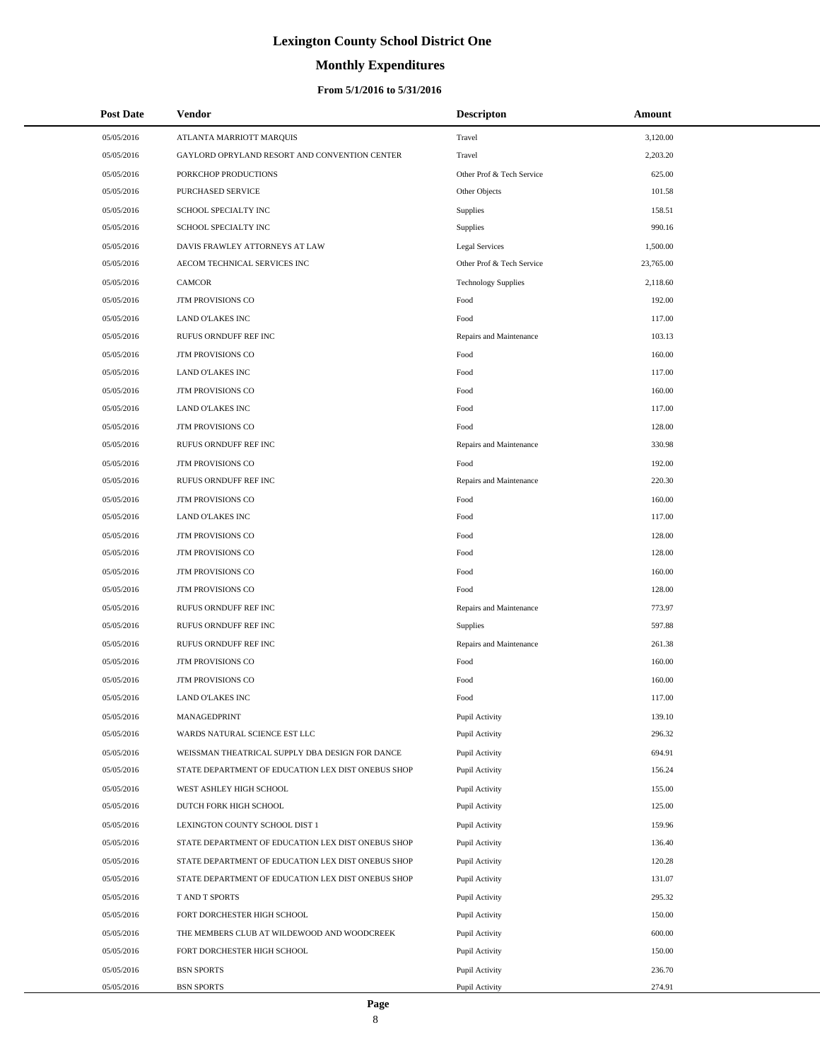# **Monthly Expenditures**

### **From 5/1/2016 to 5/31/2016**

| <b>Post Date</b> | <b>Vendor</b>                                      | <b>Descripton</b>          | Amount    |  |
|------------------|----------------------------------------------------|----------------------------|-----------|--|
| 05/05/2016       | ATLANTA MARRIOTT MARQUIS                           | Travel                     | 3,120.00  |  |
| 05/05/2016       | GAYLORD OPRYLAND RESORT AND CONVENTION CENTER      | Travel                     | 2,203.20  |  |
| 05/05/2016       | PORKCHOP PRODUCTIONS                               | Other Prof & Tech Service  | 625.00    |  |
| 05/05/2016       | PURCHASED SERVICE                                  | Other Objects              | 101.58    |  |
| 05/05/2016       | SCHOOL SPECIALTY INC                               | Supplies                   | 158.51    |  |
| 05/05/2016       | SCHOOL SPECIALTY INC                               | Supplies                   | 990.16    |  |
| 05/05/2016       | DAVIS FRAWLEY ATTORNEYS AT LAW                     | <b>Legal Services</b>      | 1,500.00  |  |
| 05/05/2016       | AECOM TECHNICAL SERVICES INC                       | Other Prof & Tech Service  | 23,765.00 |  |
| 05/05/2016       | <b>CAMCOR</b>                                      | <b>Technology Supplies</b> | 2,118.60  |  |
| 05/05/2016       | JTM PROVISIONS CO                                  | Food                       | 192.00    |  |
| 05/05/2016       | LAND O'LAKES INC                                   | Food                       | 117.00    |  |
| 05/05/2016       | RUFUS ORNDUFF REF INC                              | Repairs and Maintenance    | 103.13    |  |
| 05/05/2016       | JTM PROVISIONS CO                                  | Food                       | 160.00    |  |
| 05/05/2016       | <b>LAND O'LAKES INC</b>                            | Food                       | 117.00    |  |
| 05/05/2016       | JTM PROVISIONS CO                                  | Food                       | 160.00    |  |
| 05/05/2016       | <b>LAND O'LAKES INC</b>                            | Food                       | 117.00    |  |
| 05/05/2016       | JTM PROVISIONS CO                                  | Food                       | 128.00    |  |
| 05/05/2016       | RUFUS ORNDUFF REF INC                              | Repairs and Maintenance    | 330.98    |  |
| 05/05/2016       | JTM PROVISIONS CO                                  | Food                       | 192.00    |  |
| 05/05/2016       | RUFUS ORNDUFF REF INC                              | Repairs and Maintenance    | 220.30    |  |
| 05/05/2016       | <b>JTM PROVISIONS CO</b>                           | Food                       | 160.00    |  |
| 05/05/2016       | LAND O'LAKES INC                                   | Food                       | 117.00    |  |
| 05/05/2016       | JTM PROVISIONS CO                                  | Food                       | 128.00    |  |
| 05/05/2016       | JTM PROVISIONS CO                                  | Food                       | 128.00    |  |
| 05/05/2016       | <b>JTM PROVISIONS CO</b>                           | Food                       | 160.00    |  |
| 05/05/2016       | JTM PROVISIONS CO                                  | Food                       | 128.00    |  |
| 05/05/2016       | RUFUS ORNDUFF REF INC                              | Repairs and Maintenance    | 773.97    |  |
| 05/05/2016       | RUFUS ORNDUFF REF INC                              | Supplies                   | 597.88    |  |
| 05/05/2016       | <b>RUFUS ORNDUFF REF INC</b>                       | Repairs and Maintenance    | 261.38    |  |
| 05/05/2016       | <b>JTM PROVISIONS CO</b>                           | Food                       | 160.00    |  |
| 05/05/2016       | JTM PROVISIONS CO                                  | Food                       | 160.00    |  |
| 05/05/2016       | LAND O'LAKES INC                                   | Food                       | 117.00    |  |
| 05/05/2016       | MANAGEDPRINT                                       | Pupil Activity             | 139.10    |  |
| 05/05/2016       | WARDS NATURAL SCIENCE EST LLC                      | Pupil Activity             | 296.32    |  |
| 05/05/2016       | WEISSMAN THEATRICAL SUPPLY DBA DESIGN FOR DANCE    | Pupil Activity             | 694.91    |  |
| 05/05/2016       | STATE DEPARTMENT OF EDUCATION LEX DIST ONEBUS SHOP | Pupil Activity             | 156.24    |  |
| 05/05/2016       | WEST ASHLEY HIGH SCHOOL                            | Pupil Activity             | 155.00    |  |
| 05/05/2016       | DUTCH FORK HIGH SCHOOL                             | Pupil Activity             | 125.00    |  |
| 05/05/2016       | LEXINGTON COUNTY SCHOOL DIST 1                     | Pupil Activity             | 159.96    |  |
| 05/05/2016       | STATE DEPARTMENT OF EDUCATION LEX DIST ONEBUS SHOP | Pupil Activity             | 136.40    |  |
| 05/05/2016       | STATE DEPARTMENT OF EDUCATION LEX DIST ONEBUS SHOP | Pupil Activity             | 120.28    |  |
| 05/05/2016       | STATE DEPARTMENT OF EDUCATION LEX DIST ONEBUS SHOP | Pupil Activity             | 131.07    |  |
| 05/05/2016       | T AND T SPORTS                                     | Pupil Activity             | 295.32    |  |
| 05/05/2016       | FORT DORCHESTER HIGH SCHOOL                        | Pupil Activity             | 150.00    |  |
| 05/05/2016       | THE MEMBERS CLUB AT WILDEWOOD AND WOODCREEK        | Pupil Activity             | 600.00    |  |
| 05/05/2016       | FORT DORCHESTER HIGH SCHOOL                        | Pupil Activity             | 150.00    |  |
| 05/05/2016       | <b>BSN SPORTS</b>                                  | Pupil Activity             | 236.70    |  |
| 05/05/2016       | <b>BSN SPORTS</b>                                  | Pupil Activity             | 274.91    |  |

÷.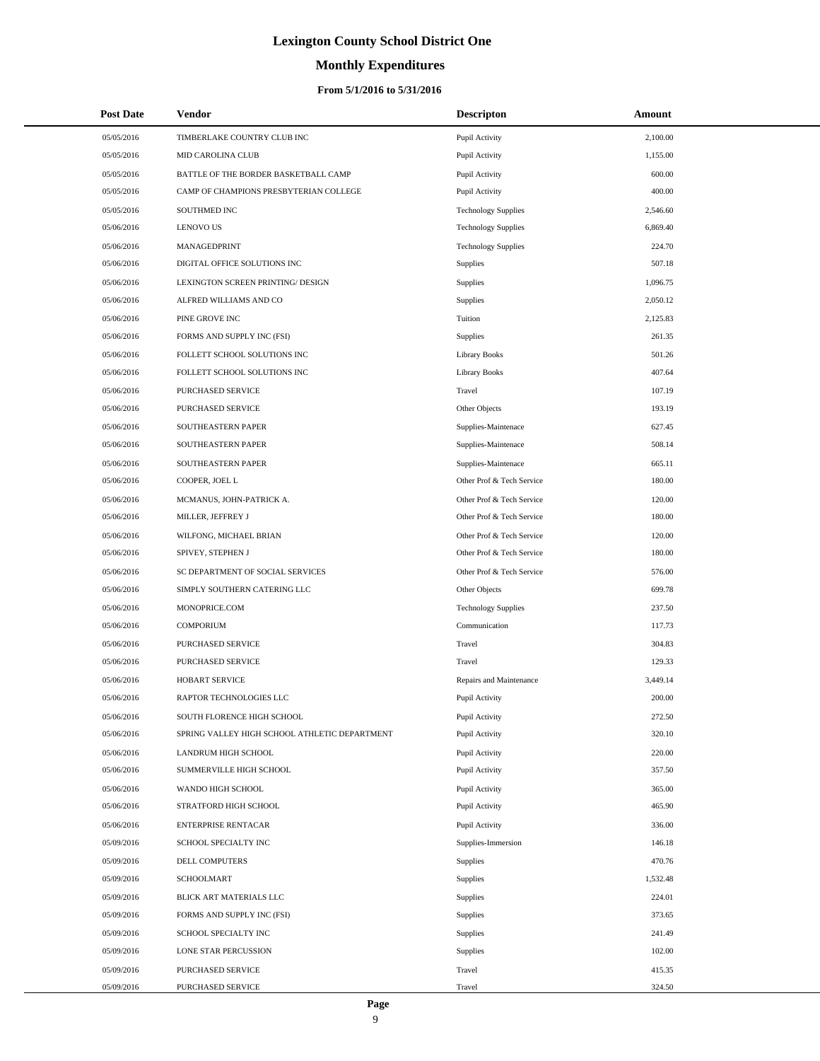# **Monthly Expenditures**

| <b>Post Date</b> | Vendor                                        | <b>Descripton</b>          | Amount   |
|------------------|-----------------------------------------------|----------------------------|----------|
| 05/05/2016       | TIMBERLAKE COUNTRY CLUB INC                   | Pupil Activity             | 2,100.00 |
| 05/05/2016       | <b>MID CAROLINA CLUB</b>                      | Pupil Activity             | 1,155.00 |
| 05/05/2016       | BATTLE OF THE BORDER BASKETBALL CAMP          | Pupil Activity             | 600.00   |
| 05/05/2016       | CAMP OF CHAMPIONS PRESBYTERIAN COLLEGE        | Pupil Activity             | 400.00   |
| 05/05/2016       | SOUTHMED INC                                  | <b>Technology Supplies</b> | 2,546.60 |
| 05/06/2016       | <b>LENOVO US</b>                              | <b>Technology Supplies</b> | 6,869.40 |
| 05/06/2016       | MANAGEDPRINT                                  | <b>Technology Supplies</b> | 224.70   |
| 05/06/2016       | DIGITAL OFFICE SOLUTIONS INC                  | Supplies                   | 507.18   |
| 05/06/2016       | LEXINGTON SCREEN PRINTING/ DESIGN             | Supplies                   | 1,096.75 |
| 05/06/2016       | ALFRED WILLIAMS AND CO                        | Supplies                   | 2,050.12 |
| 05/06/2016       | PINE GROVE INC                                | Tuition                    | 2,125.83 |
| 05/06/2016       | FORMS AND SUPPLY INC (FSI)                    | Supplies                   | 261.35   |
| 05/06/2016       | FOLLETT SCHOOL SOLUTIONS INC                  | <b>Library Books</b>       | 501.26   |
| 05/06/2016       | FOLLETT SCHOOL SOLUTIONS INC                  | <b>Library Books</b>       | 407.64   |
| 05/06/2016       | PURCHASED SERVICE                             | Travel                     | 107.19   |
| 05/06/2016       | PURCHASED SERVICE                             | Other Objects              | 193.19   |
| 05/06/2016       | SOUTHEASTERN PAPER                            | Supplies-Maintenace        | 627.45   |
| 05/06/2016       | SOUTHEASTERN PAPER                            | Supplies-Maintenace        | 508.14   |
| 05/06/2016       | SOUTHEASTERN PAPER                            | Supplies-Maintenace        | 665.11   |
| 05/06/2016       | COOPER, JOEL L                                | Other Prof & Tech Service  | 180.00   |
| 05/06/2016       | MCMANUS, JOHN-PATRICK A.                      | Other Prof & Tech Service  | 120.00   |
| 05/06/2016       | MILLER, JEFFREY J                             | Other Prof & Tech Service  | 180.00   |
| 05/06/2016       | WILFONG, MICHAEL BRIAN                        | Other Prof & Tech Service  | 120.00   |
| 05/06/2016       | SPIVEY, STEPHEN J                             | Other Prof & Tech Service  | 180.00   |
| 05/06/2016       | SC DEPARTMENT OF SOCIAL SERVICES              | Other Prof & Tech Service  | 576.00   |
| 05/06/2016       | SIMPLY SOUTHERN CATERING LLC                  | Other Objects              | 699.78   |
| 05/06/2016       | MONOPRICE.COM                                 | <b>Technology Supplies</b> | 237.50   |
| 05/06/2016       | <b>COMPORIUM</b>                              | Communication              | 117.73   |
| 05/06/2016       | <b>PURCHASED SERVICE</b>                      | Travel                     | 304.83   |
| 05/06/2016       | PURCHASED SERVICE                             | Travel                     | 129.33   |
| 05/06/2016       | HOBART SERVICE                                | Repairs and Maintenance    | 3,449.14 |
| 05/06/2016       | RAPTOR TECHNOLOGIES LLC                       | Pupil Activity             | 200.00   |
| 05/06/2016       | SOUTH FLORENCE HIGH SCHOOL                    | Pupil Activity             | 272.50   |
| 05/06/2016       | SPRING VALLEY HIGH SCHOOL ATHLETIC DEPARTMENT | Pupil Activity             | 320.10   |
| 05/06/2016       | LANDRUM HIGH SCHOOL                           | Pupil Activity             | 220.00   |
| 05/06/2016       | SUMMERVILLE HIGH SCHOOL                       | Pupil Activity             | 357.50   |
| 05/06/2016       | WANDO HIGH SCHOOL                             | Pupil Activity             | 365.00   |
| 05/06/2016       | STRATFORD HIGH SCHOOL                         | Pupil Activity             | 465.90   |
| 05/06/2016       | ENTERPRISE RENTACAR                           | Pupil Activity             | 336.00   |
| 05/09/2016       | SCHOOL SPECIALTY INC                          | Supplies-Immersion         | 146.18   |
| 05/09/2016       | DELL COMPUTERS                                | Supplies                   | 470.76   |
| 05/09/2016       | SCHOOLMART                                    | Supplies                   | 1,532.48 |
| 05/09/2016       | BLICK ART MATERIALS LLC                       | Supplies                   | 224.01   |
| 05/09/2016       | FORMS AND SUPPLY INC (FSI)                    | Supplies                   | 373.65   |
| 05/09/2016       | SCHOOL SPECIALTY INC                          | Supplies                   | 241.49   |
| 05/09/2016       | LONE STAR PERCUSSION                          | Supplies                   | 102.00   |
| 05/09/2016       | PURCHASED SERVICE                             | Travel                     | 415.35   |
| 05/09/2016       | PURCHASED SERVICE                             | Travel                     | 324.50   |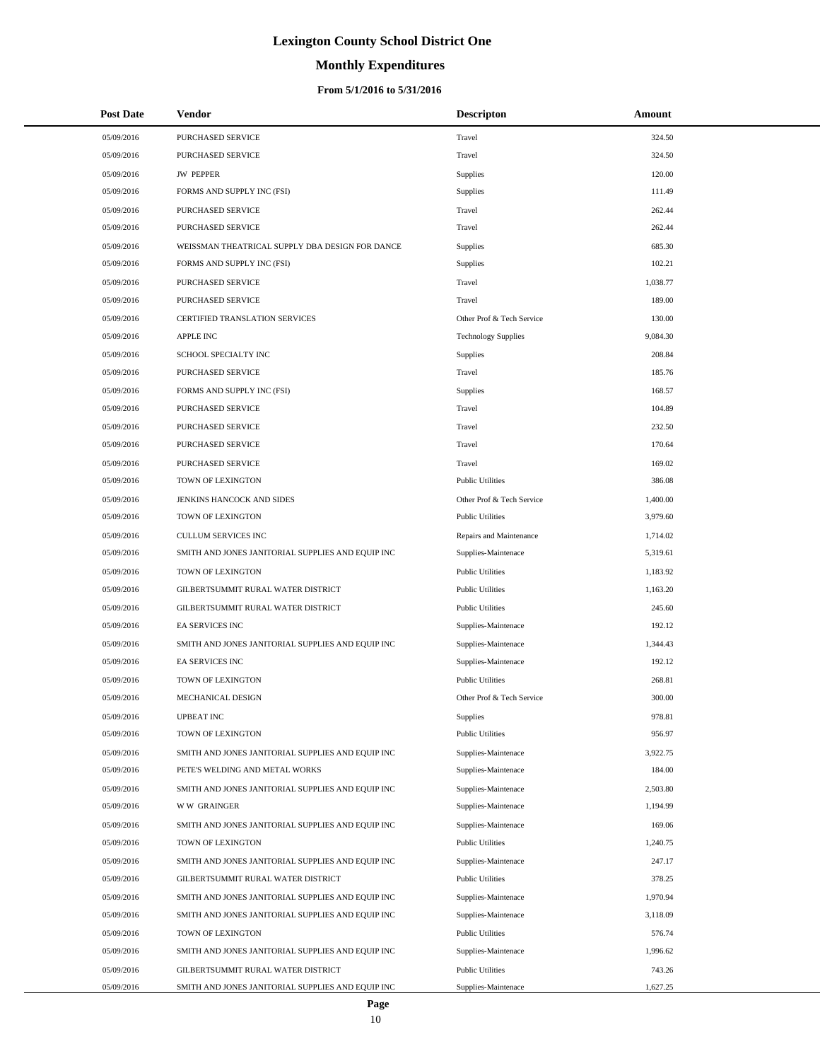# **Monthly Expenditures**

### **From 5/1/2016 to 5/31/2016**

| <b>Post Date</b> | Vendor                                            | <b>Descripton</b>          | Amount   |
|------------------|---------------------------------------------------|----------------------------|----------|
| 05/09/2016       | PURCHASED SERVICE                                 | Travel                     | 324.50   |
| 05/09/2016       | PURCHASED SERVICE                                 | Travel                     | 324.50   |
| 05/09/2016       | <b>JW PEPPER</b>                                  | Supplies                   | 120.00   |
| 05/09/2016       | FORMS AND SUPPLY INC (FSI)                        | Supplies                   | 111.49   |
| 05/09/2016       | PURCHASED SERVICE                                 | Travel                     | 262.44   |
| 05/09/2016       | PURCHASED SERVICE                                 | Travel                     | 262.44   |
| 05/09/2016       | WEISSMAN THEATRICAL SUPPLY DBA DESIGN FOR DANCE   | Supplies                   | 685.30   |
| 05/09/2016       | FORMS AND SUPPLY INC (FSI)                        | Supplies                   | 102.21   |
| 05/09/2016       | PURCHASED SERVICE                                 | Travel                     | 1,038.77 |
| 05/09/2016       | PURCHASED SERVICE                                 | Travel                     | 189.00   |
| 05/09/2016       | CERTIFIED TRANSLATION SERVICES                    | Other Prof & Tech Service  | 130.00   |
| 05/09/2016       | <b>APPLE INC</b>                                  | <b>Technology Supplies</b> | 9,084.30 |
| 05/09/2016       | SCHOOL SPECIALTY INC                              | Supplies                   | 208.84   |
| 05/09/2016       | PURCHASED SERVICE                                 | Travel                     | 185.76   |
| 05/09/2016       | FORMS AND SUPPLY INC (FSI)                        | Supplies                   | 168.57   |
| 05/09/2016       | PURCHASED SERVICE                                 | Travel                     | 104.89   |
| 05/09/2016       | <b>PURCHASED SERVICE</b>                          | Travel                     | 232.50   |
| 05/09/2016       | PURCHASED SERVICE                                 | Travel                     | 170.64   |
| 05/09/2016       | PURCHASED SERVICE                                 | Travel                     | 169.02   |
| 05/09/2016       | TOWN OF LEXINGTON                                 | <b>Public Utilities</b>    | 386.08   |
| 05/09/2016       | JENKINS HANCOCK AND SIDES                         | Other Prof & Tech Service  | 1,400.00 |
| 05/09/2016       | TOWN OF LEXINGTON                                 | <b>Public Utilities</b>    | 3,979.60 |
| 05/09/2016       | <b>CULLUM SERVICES INC</b>                        | Repairs and Maintenance    | 1,714.02 |
| 05/09/2016       | SMITH AND JONES JANITORIAL SUPPLIES AND EQUIP INC | Supplies-Maintenace        | 5,319.61 |
| 05/09/2016       | TOWN OF LEXINGTON                                 | <b>Public Utilities</b>    | 1,183.92 |
| 05/09/2016       | GILBERTSUMMIT RURAL WATER DISTRICT                | <b>Public Utilities</b>    | 1,163.20 |
| 05/09/2016       | GILBERTSUMMIT RURAL WATER DISTRICT                | <b>Public Utilities</b>    | 245.60   |
| 05/09/2016       | <b>EA SERVICES INC</b>                            | Supplies-Maintenace        | 192.12   |
| 05/09/2016       | SMITH AND JONES JANITORIAL SUPPLIES AND EQUIP INC | Supplies-Maintenace        | 1,344.43 |
| 05/09/2016       | <b>EA SERVICES INC</b>                            | Supplies-Maintenace        | 192.12   |
| 05/09/2016       | TOWN OF LEXINGTON                                 | <b>Public Utilities</b>    | 268.81   |
| 05/09/2016       | MECHANICAL DESIGN                                 | Other Prof & Tech Service  | 300.00   |
| 05/09/2016       | <b>UPBEAT INC</b>                                 | Supplies                   | 978.81   |
| 05/09/2016       | TOWN OF LEXINGTON                                 | <b>Public Utilities</b>    | 956.97   |
| 05/09/2016       | SMITH AND JONES JANITORIAL SUPPLIES AND EQUIP INC | Supplies-Maintenace        | 3,922.75 |
| 05/09/2016       | PETE'S WELDING AND METAL WORKS                    | Supplies-Maintenace        | 184.00   |
| 05/09/2016       | SMITH AND JONES JANITORIAL SUPPLIES AND EQUIP INC | Supplies-Maintenace        | 2,503.80 |
| 05/09/2016       | <b>WW GRAINGER</b>                                | Supplies-Maintenace        | 1,194.99 |
| 05/09/2016       | SMITH AND JONES JANITORIAL SUPPLIES AND EQUIP INC | Supplies-Maintenace        | 169.06   |
| 05/09/2016       | TOWN OF LEXINGTON                                 | <b>Public Utilities</b>    | 1,240.75 |
| 05/09/2016       | SMITH AND JONES JANITORIAL SUPPLIES AND EQUIP INC | Supplies-Maintenace        | 247.17   |
| 05/09/2016       | GILBERTSUMMIT RURAL WATER DISTRICT                | <b>Public Utilities</b>    | 378.25   |
| 05/09/2016       | SMITH AND JONES JANITORIAL SUPPLIES AND EQUIP INC | Supplies-Maintenace        | 1,970.94 |
| 05/09/2016       | SMITH AND JONES JANITORIAL SUPPLIES AND EQUIP INC | Supplies-Maintenace        | 3,118.09 |
| 05/09/2016       | TOWN OF LEXINGTON                                 | <b>Public Utilities</b>    | 576.74   |
| 05/09/2016       | SMITH AND JONES JANITORIAL SUPPLIES AND EQUIP INC | Supplies-Maintenace        | 1,996.62 |
| 05/09/2016       | GILBERTSUMMIT RURAL WATER DISTRICT                | <b>Public Utilities</b>    | 743.26   |
| 05/09/2016       | SMITH AND JONES JANITORIAL SUPPLIES AND EQUIP INC | Supplies-Maintenace        | 1,627.25 |

10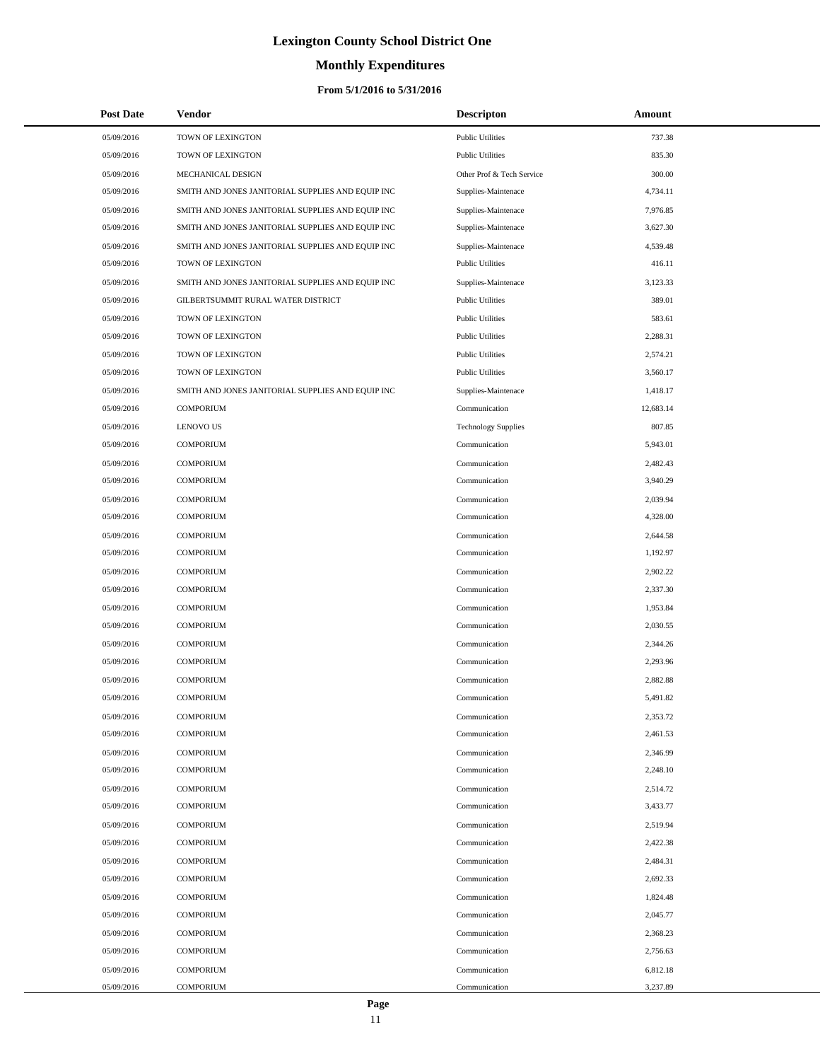# **Monthly Expenditures**

### **From 5/1/2016 to 5/31/2016**

| <b>Post Date</b> | Vendor                                            | <b>Descripton</b>          | Amount    |
|------------------|---------------------------------------------------|----------------------------|-----------|
| 05/09/2016       | TOWN OF LEXINGTON                                 | <b>Public Utilities</b>    | 737.38    |
| 05/09/2016       | TOWN OF LEXINGTON                                 | <b>Public Utilities</b>    | 835.30    |
| 05/09/2016       | MECHANICAL DESIGN                                 | Other Prof & Tech Service  | 300.00    |
| 05/09/2016       | SMITH AND JONES JANITORIAL SUPPLIES AND EQUIP INC | Supplies-Maintenace        | 4,734.11  |
| 05/09/2016       | SMITH AND JONES JANITORIAL SUPPLIES AND EQUIP INC | Supplies-Maintenace        | 7,976.85  |
| 05/09/2016       | SMITH AND JONES JANITORIAL SUPPLIES AND EQUIP INC | Supplies-Maintenace        | 3,627.30  |
| 05/09/2016       | SMITH AND JONES JANITORIAL SUPPLIES AND EQUIP INC | Supplies-Maintenace        | 4,539.48  |
| 05/09/2016       | TOWN OF LEXINGTON                                 | <b>Public Utilities</b>    | 416.11    |
| 05/09/2016       | SMITH AND JONES JANITORIAL SUPPLIES AND EQUIP INC | Supplies-Maintenace        | 3,123.33  |
| 05/09/2016       | GILBERTSUMMIT RURAL WATER DISTRICT                | <b>Public Utilities</b>    | 389.01    |
| 05/09/2016       | TOWN OF LEXINGTON                                 | <b>Public Utilities</b>    | 583.61    |
| 05/09/2016       | TOWN OF LEXINGTON                                 | <b>Public Utilities</b>    | 2,288.31  |
| 05/09/2016       | TOWN OF LEXINGTON                                 | <b>Public Utilities</b>    | 2,574.21  |
| 05/09/2016       | TOWN OF LEXINGTON                                 | <b>Public Utilities</b>    | 3,560.17  |
| 05/09/2016       | SMITH AND JONES JANITORIAL SUPPLIES AND EQUIP INC | Supplies-Maintenace        | 1,418.17  |
| 05/09/2016       | <b>COMPORIUM</b>                                  | Communication              | 12,683.14 |
| 05/09/2016       | <b>LENOVO US</b>                                  | <b>Technology Supplies</b> | 807.85    |
| 05/09/2016       | <b>COMPORIUM</b>                                  | Communication              | 5,943.01  |
| 05/09/2016       | <b>COMPORIUM</b>                                  | Communication              | 2,482.43  |
| 05/09/2016       | <b>COMPORIUM</b>                                  | Communication              | 3,940.29  |
| 05/09/2016       | <b>COMPORIUM</b>                                  | Communication              | 2,039.94  |
| 05/09/2016       | <b>COMPORIUM</b>                                  | Communication              | 4,328.00  |
| 05/09/2016       | <b>COMPORIUM</b>                                  | Communication              | 2,644.58  |
| 05/09/2016       | <b>COMPORIUM</b>                                  | Communication              | 1,192.97  |
| 05/09/2016       | <b>COMPORIUM</b>                                  | Communication              | 2,902.22  |
| 05/09/2016       | <b>COMPORIUM</b>                                  | Communication              | 2,337.30  |
| 05/09/2016       | <b>COMPORIUM</b>                                  | Communication              | 1,953.84  |
| 05/09/2016       | <b>COMPORIUM</b>                                  | Communication              | 2,030.55  |
| 05/09/2016       | <b>COMPORIUM</b>                                  | Communication              | 2,344.26  |
| 05/09/2016       | <b>COMPORIUM</b>                                  | Communication              | 2,293.96  |
| 05/09/2016       | <b>COMPORIUM</b>                                  | Communication              | 2,882.88  |
| 05/09/2016       | <b>COMPORIUM</b>                                  | Communication              | 5,491.82  |
| 05/09/2016       | <b>COMPORIUM</b>                                  | Communication              | 2,353.72  |
| 05/09/2016       | <b>COMPORIUM</b>                                  | Communication              | 2,461.53  |
| 05/09/2016       | <b>COMPORIUM</b>                                  | Communication              | 2,346.99  |
| 05/09/2016       | <b>COMPORIUM</b>                                  | Communication              | 2,248.10  |
| 05/09/2016       | <b>COMPORIUM</b>                                  | Communication              | 2,514.72  |
| 05/09/2016       | <b>COMPORIUM</b>                                  | Communication              | 3,433.77  |
| 05/09/2016       | <b>COMPORIUM</b>                                  | Communication              | 2,519.94  |
| 05/09/2016       | <b>COMPORIUM</b>                                  | Communication              | 2,422.38  |
| 05/09/2016       | <b>COMPORIUM</b>                                  | Communication              | 2,484.31  |
| 05/09/2016       | <b>COMPORIUM</b>                                  | Communication              | 2,692.33  |
| 05/09/2016       | <b>COMPORIUM</b>                                  | Communication              | 1,824.48  |
| 05/09/2016       | <b>COMPORIUM</b>                                  | Communication              | 2,045.77  |
| 05/09/2016       | <b>COMPORIUM</b>                                  | Communication              | 2,368.23  |
| 05/09/2016       | <b>COMPORIUM</b>                                  | Communication              | 2,756.63  |
| 05/09/2016       | <b>COMPORIUM</b>                                  | Communication              | 6,812.18  |
| 05/09/2016       | <b>COMPORIUM</b>                                  | Communication              | 3,237.89  |

11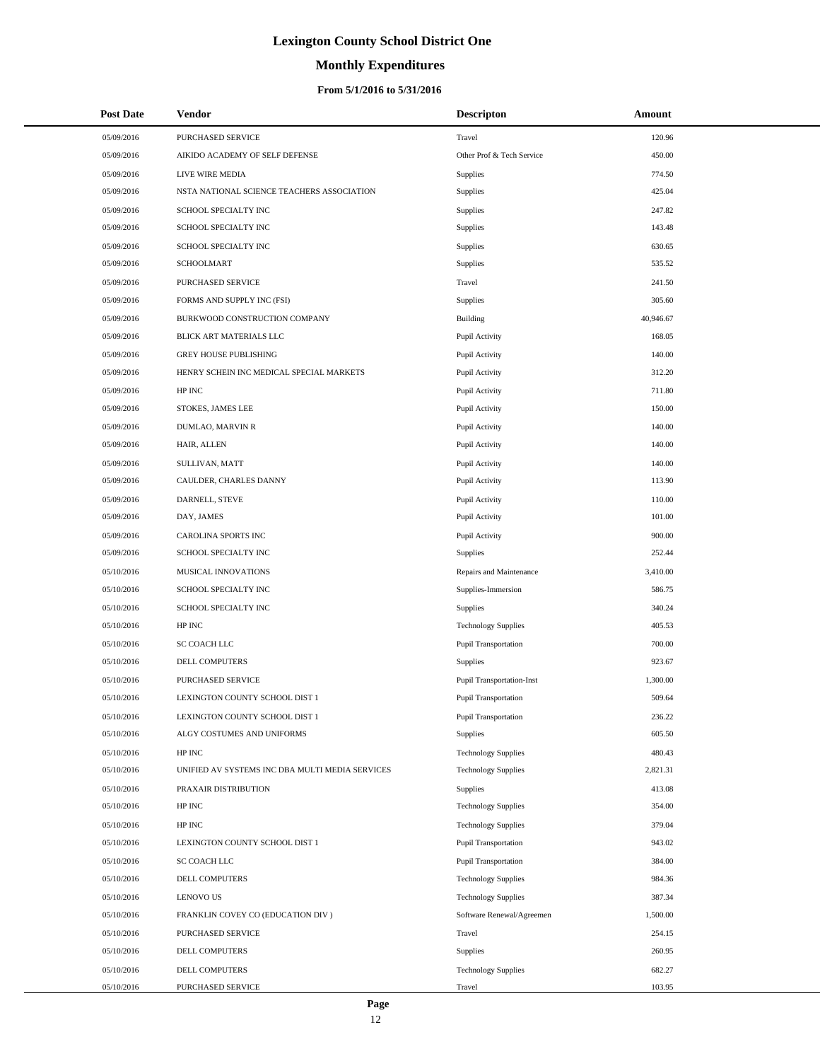# **Monthly Expenditures**

### **From 5/1/2016 to 5/31/2016**

| <b>Post Date</b> | Vendor                                          | <b>Descripton</b>                | Amount    |
|------------------|-------------------------------------------------|----------------------------------|-----------|
| 05/09/2016       | PURCHASED SERVICE                               | Travel                           | 120.96    |
| 05/09/2016       | AIKIDO ACADEMY OF SELF DEFENSE                  | Other Prof & Tech Service        | 450.00    |
| 05/09/2016       | LIVE WIRE MEDIA                                 | Supplies                         | 774.50    |
| 05/09/2016       | NSTA NATIONAL SCIENCE TEACHERS ASSOCIATION      | <b>Supplies</b>                  | 425.04    |
| 05/09/2016       | SCHOOL SPECIALTY INC                            | Supplies                         | 247.82    |
| 05/09/2016       | SCHOOL SPECIALTY INC                            | <b>Supplies</b>                  | 143.48    |
| 05/09/2016       | SCHOOL SPECIALTY INC                            | Supplies                         | 630.65    |
| 05/09/2016       | <b>SCHOOLMART</b>                               | <b>Supplies</b>                  | 535.52    |
| 05/09/2016       | <b>PURCHASED SERVICE</b>                        | Travel                           | 241.50    |
| 05/09/2016       | FORMS AND SUPPLY INC (FSI)                      | <b>Supplies</b>                  | 305.60    |
| 05/09/2016       | BURKWOOD CONSTRUCTION COMPANY                   | <b>Building</b>                  | 40,946.67 |
| 05/09/2016       | BLICK ART MATERIALS LLC                         | Pupil Activity                   | 168.05    |
| 05/09/2016       | <b>GREY HOUSE PUBLISHING</b>                    | Pupil Activity                   | 140.00    |
| 05/09/2016       | HENRY SCHEIN INC MEDICAL SPECIAL MARKETS        | Pupil Activity                   | 312.20    |
| 05/09/2016       | HP INC                                          | Pupil Activity                   | 711.80    |
| 05/09/2016       | STOKES, JAMES LEE                               | Pupil Activity                   | 150.00    |
| 05/09/2016       | DUMLAO, MARVIN R                                | Pupil Activity                   | 140.00    |
| 05/09/2016       | HAIR, ALLEN                                     | Pupil Activity                   | 140.00    |
| 05/09/2016       | SULLIVAN, MATT                                  | Pupil Activity                   | 140.00    |
| 05/09/2016       | CAULDER, CHARLES DANNY                          | Pupil Activity                   | 113.90    |
| 05/09/2016       | DARNELL, STEVE                                  | Pupil Activity                   | 110.00    |
| 05/09/2016       | DAY, JAMES                                      | Pupil Activity                   | 101.00    |
| 05/09/2016       | CAROLINA SPORTS INC                             | Pupil Activity                   | 900.00    |
| 05/09/2016       | SCHOOL SPECIALTY INC                            | <b>Supplies</b>                  | 252.44    |
| 05/10/2016       | MUSICAL INNOVATIONS                             | Repairs and Maintenance          | 3,410.00  |
| 05/10/2016       | SCHOOL SPECIALTY INC                            | Supplies-Immersion               | 586.75    |
| 05/10/2016       | SCHOOL SPECIALTY INC                            | Supplies                         | 340.24    |
| 05/10/2016       | HP INC                                          | <b>Technology Supplies</b>       | 405.53    |
| 05/10/2016       | SC COACH LLC                                    | <b>Pupil Transportation</b>      | 700.00    |
| 05/10/2016       | DELL COMPUTERS                                  | Supplies                         | 923.67    |
| 05/10/2016       | PURCHASED SERVICE                               | <b>Pupil Transportation-Inst</b> | 1,300.00  |
| 05/10/2016       | LEXINGTON COUNTY SCHOOL DIST 1                  | <b>Pupil Transportation</b>      | 509.64    |
| 05/10/2016       | LEXINGTON COUNTY SCHOOL DIST 1                  | <b>Pupil Transportation</b>      | 236.22    |
| 05/10/2016       | ALGY COSTUMES AND UNIFORMS                      | Supplies                         | 605.50    |
| 05/10/2016       | HP INC                                          | <b>Technology Supplies</b>       | 480.43    |
| 05/10/2016       | UNIFIED AV SYSTEMS INC DBA MULTI MEDIA SERVICES | <b>Technology Supplies</b>       | 2,821.31  |
| 05/10/2016       | PRAXAIR DISTRIBUTION                            | Supplies                         | 413.08    |
| 05/10/2016       | HP INC                                          | <b>Technology Supplies</b>       | 354.00    |
| 05/10/2016       | HP INC                                          | <b>Technology Supplies</b>       | 379.04    |
| 05/10/2016       | LEXINGTON COUNTY SCHOOL DIST 1                  | <b>Pupil Transportation</b>      | 943.02    |
| 05/10/2016       | SC COACH LLC                                    | <b>Pupil Transportation</b>      | 384.00    |
| 05/10/2016       | <b>DELL COMPUTERS</b>                           | <b>Technology Supplies</b>       | 984.36    |
| 05/10/2016       | <b>LENOVO US</b>                                | <b>Technology Supplies</b>       | 387.34    |
| 05/10/2016       | FRANKLIN COVEY CO (EDUCATION DIV)               | Software Renewal/Agreemen        | 1,500.00  |
| 05/10/2016       | PURCHASED SERVICE                               | Travel                           | 254.15    |
| 05/10/2016       | DELL COMPUTERS                                  | Supplies                         | 260.95    |
| 05/10/2016       | DELL COMPUTERS                                  | <b>Technology Supplies</b>       | 682.27    |
| 05/10/2016       | PURCHASED SERVICE                               | Travel                           | 103.95    |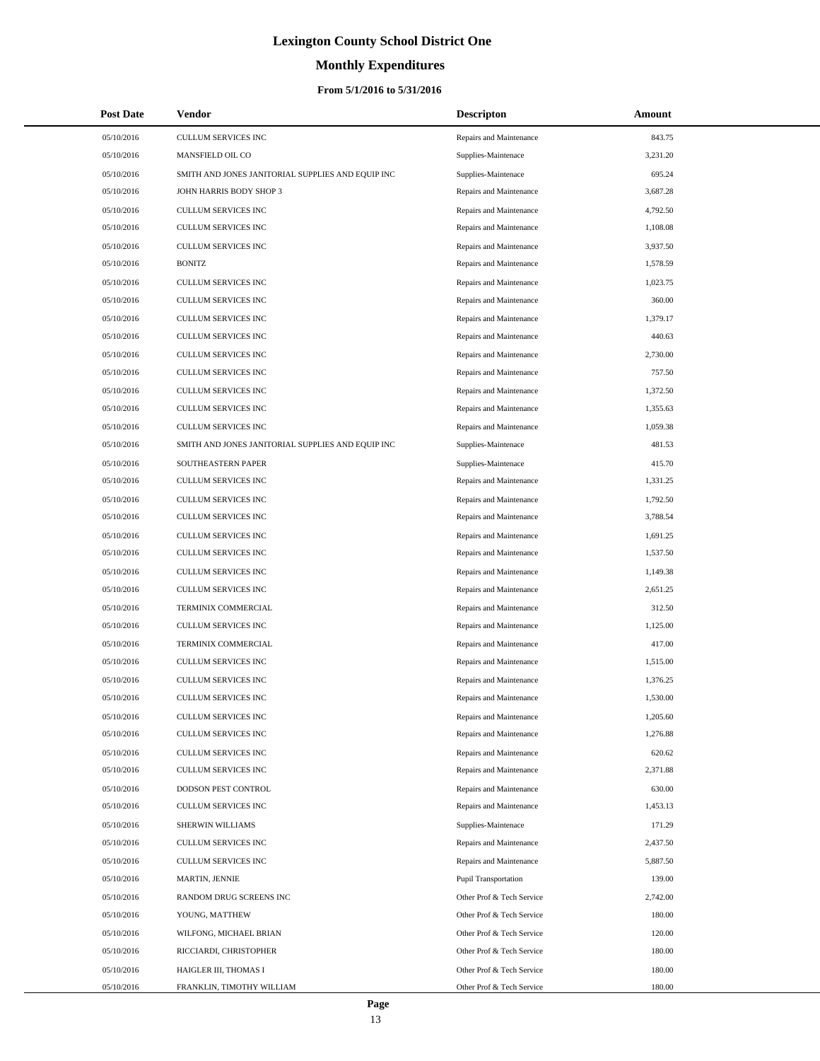# **Monthly Expenditures**

### **From 5/1/2016 to 5/31/2016**

| <b>Post Date</b> | Vendor                                            | <b>Descripton</b>           | <b>Amount</b> |  |
|------------------|---------------------------------------------------|-----------------------------|---------------|--|
| 05/10/2016       | <b>CULLUM SERVICES INC</b>                        | Repairs and Maintenance     | 843.75        |  |
| 05/10/2016       | MANSFIELD OIL CO                                  | Supplies-Maintenace         | 3,231.20      |  |
| 05/10/2016       | SMITH AND JONES JANITORIAL SUPPLIES AND EQUIP INC | Supplies-Maintenace         | 695.24        |  |
| 05/10/2016       | JOHN HARRIS BODY SHOP 3                           | Repairs and Maintenance     | 3,687.28      |  |
| 05/10/2016       | CULLUM SERVICES INC                               | Repairs and Maintenance     | 4,792.50      |  |
| 05/10/2016       | CULLUM SERVICES INC                               | Repairs and Maintenance     | 1,108.08      |  |
| 05/10/2016       | CULLUM SERVICES INC                               | Repairs and Maintenance     | 3,937.50      |  |
| 05/10/2016       | <b>BONITZ</b>                                     | Repairs and Maintenance     | 1,578.59      |  |
| 05/10/2016       | CULLUM SERVICES INC                               | Repairs and Maintenance     | 1,023.75      |  |
| 05/10/2016       | CULLUM SERVICES INC                               | Repairs and Maintenance     | 360.00        |  |
| 05/10/2016       | CULLUM SERVICES INC                               | Repairs and Maintenance     | 1,379.17      |  |
| 05/10/2016       | CULLUM SERVICES INC                               | Repairs and Maintenance     | 440.63        |  |
| 05/10/2016       | CULLUM SERVICES INC                               | Repairs and Maintenance     | 2,730.00      |  |
| 05/10/2016       | CULLUM SERVICES INC                               | Repairs and Maintenance     | 757.50        |  |
| 05/10/2016       | CULLUM SERVICES INC                               | Repairs and Maintenance     | 1,372.50      |  |
| 05/10/2016       | CULLUM SERVICES INC                               | Repairs and Maintenance     | 1,355.63      |  |
| 05/10/2016       | CULLUM SERVICES INC                               | Repairs and Maintenance     | 1,059.38      |  |
| 05/10/2016       | SMITH AND JONES JANITORIAL SUPPLIES AND EQUIP INC | Supplies-Maintenace         | 481.53        |  |
| 05/10/2016       | SOUTHEASTERN PAPER                                | Supplies-Maintenace         | 415.70        |  |
| 05/10/2016       | CULLUM SERVICES INC                               | Repairs and Maintenance     | 1,331.25      |  |
| 05/10/2016       | CULLUM SERVICES INC                               | Repairs and Maintenance     | 1,792.50      |  |
| 05/10/2016       | CULLUM SERVICES INC                               | Repairs and Maintenance     | 3,788.54      |  |
| 05/10/2016       | CULLUM SERVICES INC                               | Repairs and Maintenance     | 1,691.25      |  |
| 05/10/2016       | CULLUM SERVICES INC                               | Repairs and Maintenance     | 1,537.50      |  |
| 05/10/2016       | CULLUM SERVICES INC                               | Repairs and Maintenance     | 1,149.38      |  |
| 05/10/2016       | CULLUM SERVICES INC                               | Repairs and Maintenance     | 2,651.25      |  |
| 05/10/2016       | TERMINIX COMMERCIAL                               | Repairs and Maintenance     | 312.50        |  |
| 05/10/2016       | CULLUM SERVICES INC                               | Repairs and Maintenance     | 1,125.00      |  |
| 05/10/2016       | TERMINIX COMMERCIAL                               | Repairs and Maintenance     | 417.00        |  |
| 05/10/2016       | CULLUM SERVICES INC                               | Repairs and Maintenance     | 1,515.00      |  |
| 05/10/2016       | CULLUM SERVICES INC                               | Repairs and Maintenance     | 1,376.25      |  |
| 05/10/2016       | <b>CULLUM SERVICES INC</b>                        | Repairs and Maintenance     | 1,530.00      |  |
| 05/10/2016       | CULLUM SERVICES INC                               | Repairs and Maintenance     | 1,205.60      |  |
| 05/10/2016       | CULLUM SERVICES INC                               | Repairs and Maintenance     | 1,276.88      |  |
| 05/10/2016       | CULLUM SERVICES INC                               | Repairs and Maintenance     | 620.62        |  |
| 05/10/2016       | CULLUM SERVICES INC                               | Repairs and Maintenance     | 2,371.88      |  |
| 05/10/2016       | DODSON PEST CONTROL                               | Repairs and Maintenance     | 630.00        |  |
| 05/10/2016       | CULLUM SERVICES INC                               | Repairs and Maintenance     | 1,453.13      |  |
| 05/10/2016       | SHERWIN WILLIAMS                                  | Supplies-Maintenace         | 171.29        |  |
| 05/10/2016       | <b>CULLUM SERVICES INC</b>                        | Repairs and Maintenance     | 2,437.50      |  |
| 05/10/2016       | CULLUM SERVICES INC                               | Repairs and Maintenance     | 5,887.50      |  |
| 05/10/2016       | MARTIN, JENNIE                                    | <b>Pupil Transportation</b> | 139.00        |  |
| 05/10/2016       | RANDOM DRUG SCREENS INC                           | Other Prof & Tech Service   | 2,742.00      |  |
| 05/10/2016       | YOUNG, MATTHEW                                    | Other Prof & Tech Service   | 180.00        |  |
| 05/10/2016       | WILFONG, MICHAEL BRIAN                            | Other Prof & Tech Service   | 120.00        |  |
| 05/10/2016       | RICCIARDI, CHRISTOPHER                            | Other Prof & Tech Service   | 180.00        |  |
| 05/10/2016       | HAIGLER III, THOMAS I                             | Other Prof & Tech Service   | 180.00        |  |
| 05/10/2016       | FRANKLIN, TIMOTHY WILLIAM                         | Other Prof & Tech Service   | 180.00        |  |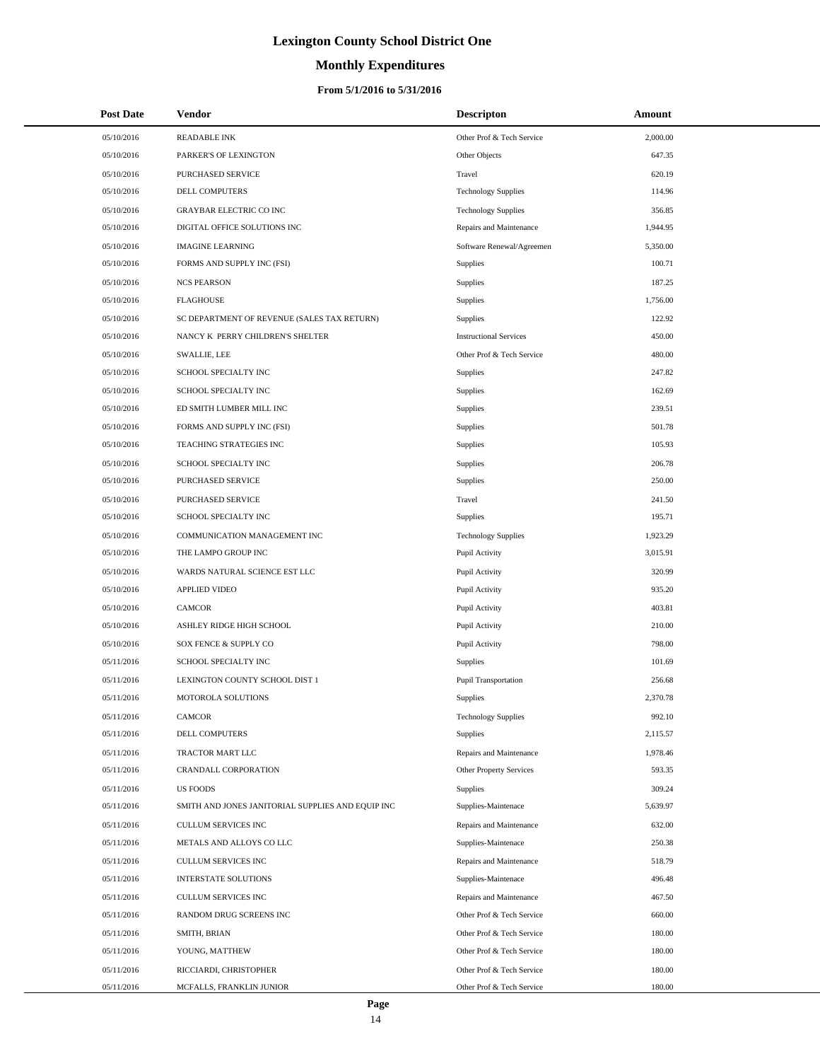# **Monthly Expenditures**

| <b>Post Date</b> | <b>Vendor</b>                                     | <b>Descripton</b>             | Amount   |
|------------------|---------------------------------------------------|-------------------------------|----------|
| 05/10/2016       | <b>READABLE INK</b>                               | Other Prof & Tech Service     | 2,000.00 |
| 05/10/2016       | PARKER'S OF LEXINGTON                             | Other Objects                 | 647.35   |
| 05/10/2016       | PURCHASED SERVICE                                 | Travel                        | 620.19   |
| 05/10/2016       | <b>DELL COMPUTERS</b>                             | <b>Technology Supplies</b>    | 114.96   |
| 05/10/2016       | <b>GRAYBAR ELECTRIC CO INC</b>                    | <b>Technology Supplies</b>    | 356.85   |
| 05/10/2016       | DIGITAL OFFICE SOLUTIONS INC                      | Repairs and Maintenance       | 1,944.95 |
| 05/10/2016       | <b>IMAGINE LEARNING</b>                           | Software Renewal/Agreemen     | 5,350.00 |
| 05/10/2016       | FORMS AND SUPPLY INC (FSI)                        | <b>Supplies</b>               | 100.71   |
| 05/10/2016       | <b>NCS PEARSON</b>                                | <b>Supplies</b>               | 187.25   |
| 05/10/2016       | <b>FLAGHOUSE</b>                                  | Supplies                      | 1,756.00 |
| 05/10/2016       | SC DEPARTMENT OF REVENUE (SALES TAX RETURN)       | Supplies                      | 122.92   |
| 05/10/2016       | NANCY K PERRY CHILDREN'S SHELTER                  | <b>Instructional Services</b> | 450.00   |
| 05/10/2016       | <b>SWALLIE, LEE</b>                               | Other Prof & Tech Service     | 480.00   |
| 05/10/2016       | SCHOOL SPECIALTY INC                              | <b>Supplies</b>               | 247.82   |
| 05/10/2016       | SCHOOL SPECIALTY INC                              | <b>Supplies</b>               | 162.69   |
| 05/10/2016       | ED SMITH LUMBER MILL INC                          | Supplies                      | 239.51   |
| 05/10/2016       | FORMS AND SUPPLY INC (FSI)                        | Supplies                      | 501.78   |
| 05/10/2016       | TEACHING STRATEGIES INC                           | Supplies                      | 105.93   |
| 05/10/2016       | SCHOOL SPECIALTY INC                              | Supplies                      | 206.78   |
| 05/10/2016       | PURCHASED SERVICE                                 | Supplies                      | 250.00   |
| 05/10/2016       | PURCHASED SERVICE                                 | Travel                        | 241.50   |
| 05/10/2016       | SCHOOL SPECIALTY INC                              | <b>Supplies</b>               | 195.71   |
| 05/10/2016       | COMMUNICATION MANAGEMENT INC                      | <b>Technology Supplies</b>    | 1,923.29 |
| 05/10/2016       | THE LAMPO GROUP INC                               | Pupil Activity                | 3,015.91 |
| 05/10/2016       | WARDS NATURAL SCIENCE EST LLC                     | Pupil Activity                | 320.99   |
| 05/10/2016       | <b>APPLIED VIDEO</b>                              | Pupil Activity                | 935.20   |
| 05/10/2016       | <b>CAMCOR</b>                                     | Pupil Activity                | 403.81   |
| 05/10/2016       | ASHLEY RIDGE HIGH SCHOOL                          | Pupil Activity                | 210.00   |
| 05/10/2016       | SOX FENCE & SUPPLY CO                             | Pupil Activity                | 798.00   |
| 05/11/2016       | SCHOOL SPECIALTY INC                              | Supplies                      | 101.69   |
| 05/11/2016       | LEXINGTON COUNTY SCHOOL DIST 1                    | <b>Pupil Transportation</b>   | 256.68   |
| 05/11/2016       | MOTOROLA SOLUTIONS                                | Supplies                      | 2,370.78 |
| 05/11/2016       | CAMCOR                                            | <b>Technology Supplies</b>    | 992.10   |
| 05/11/2016       | DELL COMPUTERS                                    | Supplies                      | 2,115.57 |
| 05/11/2016       | TRACTOR MART LLC                                  | Repairs and Maintenance       | 1,978.46 |
| 05/11/2016       | CRANDALL CORPORATION                              | Other Property Services       | 593.35   |
| 05/11/2016       | <b>US FOODS</b>                                   | <b>Supplies</b>               | 309.24   |
| 05/11/2016       | SMITH AND JONES JANITORIAL SUPPLIES AND EQUIP INC | Supplies-Maintenace           | 5,639.97 |
| 05/11/2016       | <b>CULLUM SERVICES INC</b>                        | Repairs and Maintenance       | 632.00   |
| 05/11/2016       | METALS AND ALLOYS CO LLC                          | Supplies-Maintenace           | 250.38   |
| 05/11/2016       | CULLUM SERVICES INC                               | Repairs and Maintenance       | 518.79   |
| 05/11/2016       | INTERSTATE SOLUTIONS                              | Supplies-Maintenace           | 496.48   |
| 05/11/2016       | CULLUM SERVICES INC                               | Repairs and Maintenance       | 467.50   |
| 05/11/2016       | RANDOM DRUG SCREENS INC                           | Other Prof & Tech Service     | 660.00   |
| 05/11/2016       | SMITH, BRIAN                                      | Other Prof & Tech Service     | 180.00   |
| 05/11/2016       | YOUNG, MATTHEW                                    | Other Prof & Tech Service     | 180.00   |
| 05/11/2016       | RICCIARDI, CHRISTOPHER                            | Other Prof & Tech Service     | 180.00   |
| 05/11/2016       | MCFALLS, FRANKLIN JUNIOR                          | Other Prof & Tech Service     | 180.00   |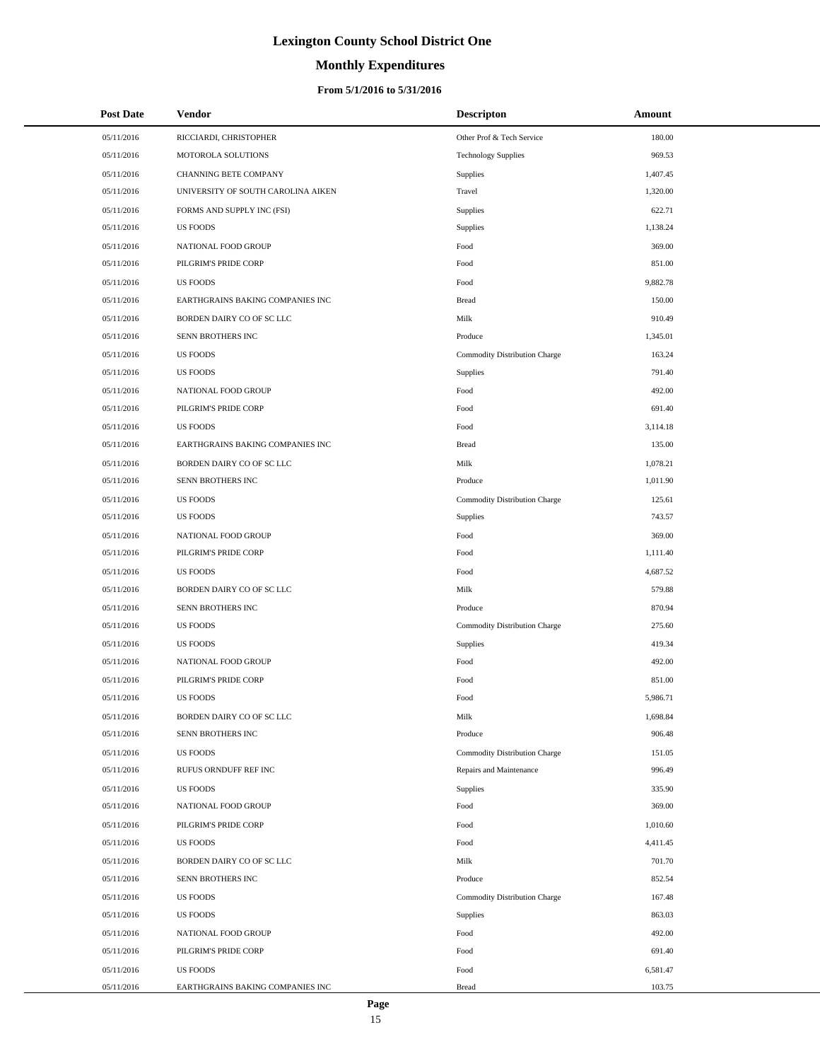# **Monthly Expenditures**

### **From 5/1/2016 to 5/31/2016**

| <b>Post Date</b> | <b>Vendor</b>                      | <b>Descripton</b>             | Amount   |
|------------------|------------------------------------|-------------------------------|----------|
| 05/11/2016       | RICCIARDI, CHRISTOPHER             | Other Prof & Tech Service     | 180.00   |
| 05/11/2016       | MOTOROLA SOLUTIONS                 | <b>Technology Supplies</b>    | 969.53   |
| 05/11/2016       | <b>CHANNING BETE COMPANY</b>       | Supplies                      | 1,407.45 |
| 05/11/2016       | UNIVERSITY OF SOUTH CAROLINA AIKEN | Travel                        | 1,320.00 |
| 05/11/2016       | FORMS AND SUPPLY INC (FSI)         | Supplies                      | 622.71   |
| 05/11/2016       | <b>US FOODS</b>                    | Supplies                      | 1,138.24 |
| 05/11/2016       | NATIONAL FOOD GROUP                | Food                          | 369.00   |
| 05/11/2016       | PILGRIM'S PRIDE CORP               | Food                          | 851.00   |
| 05/11/2016       | <b>US FOODS</b>                    | Food                          | 9,882.78 |
| 05/11/2016       | EARTHGRAINS BAKING COMPANIES INC   | Bread                         | 150.00   |
| 05/11/2016       | BORDEN DAIRY CO OF SC LLC          | Milk                          | 910.49   |
| 05/11/2016       | SENN BROTHERS INC                  | Produce                       | 1,345.01 |
| 05/11/2016       | <b>US FOODS</b>                    | Commodity Distribution Charge | 163.24   |
| 05/11/2016       | <b>US FOODS</b>                    | Supplies                      | 791.40   |
| 05/11/2016       | NATIONAL FOOD GROUP                | Food                          | 492.00   |
| 05/11/2016       | PILGRIM'S PRIDE CORP               | Food                          | 691.40   |
| 05/11/2016       | <b>US FOODS</b>                    | Food                          | 3,114.18 |
| 05/11/2016       | EARTHGRAINS BAKING COMPANIES INC   | Bread                         | 135.00   |
| 05/11/2016       | BORDEN DAIRY CO OF SC LLC          | Milk                          | 1,078.21 |
| 05/11/2016       | SENN BROTHERS INC                  | Produce                       | 1,011.90 |
| 05/11/2016       | <b>US FOODS</b>                    | Commodity Distribution Charge | 125.61   |
| 05/11/2016       | <b>US FOODS</b>                    | Supplies                      | 743.57   |
| 05/11/2016       | NATIONAL FOOD GROUP                | Food                          | 369.00   |
| 05/11/2016       | PILGRIM'S PRIDE CORP               | Food                          | 1,111.40 |
| 05/11/2016       | <b>US FOODS</b>                    | Food                          | 4,687.52 |
| 05/11/2016       | BORDEN DAIRY CO OF SC LLC          | Milk                          | 579.88   |
| 05/11/2016       | SENN BROTHERS INC                  | Produce                       | 870.94   |
| 05/11/2016       | <b>US FOODS</b>                    | Commodity Distribution Charge | 275.60   |
| 05/11/2016       | <b>US FOODS</b>                    | Supplies                      | 419.34   |
| 05/11/2016       | NATIONAL FOOD GROUP                | Food                          | 492.00   |
| 05/11/2016       | PILGRIM'S PRIDE CORP               | Food                          | 851.00   |
| 05/11/2016       | <b>US FOODS</b>                    | Food                          | 5,986.71 |
| 05/11/2016       | BORDEN DAIRY CO OF SC LLC          | Milk                          | 1,698.84 |
| 05/11/2016       | SENN BROTHERS INC                  | Produce                       | 906.48   |
| 05/11/2016       | <b>US FOODS</b>                    | Commodity Distribution Charge | 151.05   |
| 05/11/2016       | RUFUS ORNDUFF REF INC              | Repairs and Maintenance       | 996.49   |
| 05/11/2016       | <b>US FOODS</b>                    | Supplies                      | 335.90   |
| 05/11/2016       | NATIONAL FOOD GROUP                | Food                          | 369.00   |
| 05/11/2016       | PILGRIM'S PRIDE CORP               | Food                          | 1,010.60 |
| 05/11/2016       | <b>US FOODS</b>                    | Food                          | 4,411.45 |
| 05/11/2016       | BORDEN DAIRY CO OF SC LLC          | Milk                          | 701.70   |
| 05/11/2016       | SENN BROTHERS INC                  | Produce                       | 852.54   |
| 05/11/2016       | <b>US FOODS</b>                    | Commodity Distribution Charge | 167.48   |
| 05/11/2016       | <b>US FOODS</b>                    | Supplies                      | 863.03   |
| 05/11/2016       | NATIONAL FOOD GROUP                | Food                          | 492.00   |
| 05/11/2016       | PILGRIM'S PRIDE CORP               | Food                          | 691.40   |
| 05/11/2016       | <b>US FOODS</b>                    | Food                          | 6,581.47 |
| 05/11/2016       | EARTHGRAINS BAKING COMPANIES INC   | <b>Bread</b>                  | 103.75   |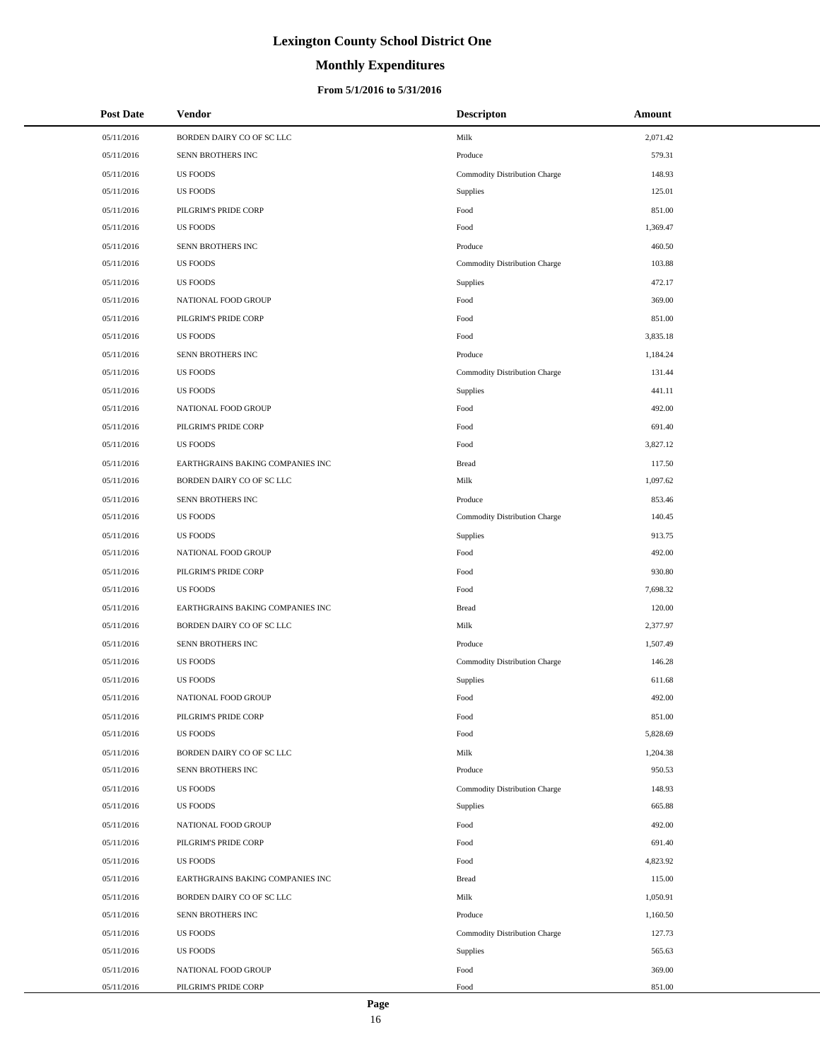# **Monthly Expenditures**

### **From 5/1/2016 to 5/31/2016**

| <b>Post Date</b> | <b>Vendor</b>                    | <b>Descripton</b>             | Amount   |
|------------------|----------------------------------|-------------------------------|----------|
| 05/11/2016       | BORDEN DAIRY CO OF SC LLC        | Milk                          | 2,071.42 |
| 05/11/2016       | SENN BROTHERS INC                | Produce                       | 579.31   |
| 05/11/2016       | <b>US FOODS</b>                  | Commodity Distribution Charge | 148.93   |
| 05/11/2016       | <b>US FOODS</b>                  | Supplies                      | 125.01   |
| 05/11/2016       | PILGRIM'S PRIDE CORP             | Food                          | 851.00   |
| 05/11/2016       | <b>US FOODS</b>                  | Food                          | 1,369.47 |
| 05/11/2016       | SENN BROTHERS INC                | Produce                       | 460.50   |
| 05/11/2016       | <b>US FOODS</b>                  | Commodity Distribution Charge | 103.88   |
| 05/11/2016       | <b>US FOODS</b>                  | Supplies                      | 472.17   |
| 05/11/2016       | NATIONAL FOOD GROUP              | Food                          | 369.00   |
| 05/11/2016       | PILGRIM'S PRIDE CORP             | Food                          | 851.00   |
| 05/11/2016       | <b>US FOODS</b>                  | Food                          | 3,835.18 |
| 05/11/2016       | SENN BROTHERS INC                | Produce                       | 1,184.24 |
| 05/11/2016       | <b>US FOODS</b>                  | Commodity Distribution Charge | 131.44   |
| 05/11/2016       | <b>US FOODS</b>                  | Supplies                      | 441.11   |
| 05/11/2016       | NATIONAL FOOD GROUP              | Food                          | 492.00   |
| 05/11/2016       | PILGRIM'S PRIDE CORP             | Food                          | 691.40   |
| 05/11/2016       | <b>US FOODS</b>                  | Food                          | 3,827.12 |
| 05/11/2016       | EARTHGRAINS BAKING COMPANIES INC | <b>Bread</b>                  | 117.50   |
| 05/11/2016       | BORDEN DAIRY CO OF SC LLC        | Milk                          | 1,097.62 |
| 05/11/2016       | SENN BROTHERS INC                | Produce                       | 853.46   |
| 05/11/2016       | <b>US FOODS</b>                  | Commodity Distribution Charge | 140.45   |
| 05/11/2016       | <b>US FOODS</b>                  | Supplies                      | 913.75   |
| 05/11/2016       | NATIONAL FOOD GROUP              | Food                          | 492.00   |
| 05/11/2016       | PILGRIM'S PRIDE CORP             | Food                          | 930.80   |
| 05/11/2016       | <b>US FOODS</b>                  | Food                          | 7,698.32 |
| 05/11/2016       | EARTHGRAINS BAKING COMPANIES INC | <b>Bread</b>                  | 120.00   |
| 05/11/2016       | BORDEN DAIRY CO OF SC LLC        | Milk                          | 2,377.97 |
| 05/11/2016       | SENN BROTHERS INC                | Produce                       | 1,507.49 |
| 05/11/2016       | <b>US FOODS</b>                  | Commodity Distribution Charge | 146.28   |
| 05/11/2016       | <b>US FOODS</b>                  | Supplies                      | 611.68   |
| 05/11/2016       | NATIONAL FOOD GROUP              | Food                          | 492.00   |
| 05/11/2016       | PILGRIM'S PRIDE CORP             | Food                          | 851.00   |
| 05/11/2016       | <b>US FOODS</b>                  | Food                          | 5,828.69 |
| 05/11/2016       | BORDEN DAIRY CO OF SC LLC        | Milk                          | 1,204.38 |
| 05/11/2016       | SENN BROTHERS INC                | Produce                       | 950.53   |
| 05/11/2016       | <b>US FOODS</b>                  | Commodity Distribution Charge | 148.93   |
| 05/11/2016       | <b>US FOODS</b>                  | Supplies                      | 665.88   |
| 05/11/2016       | NATIONAL FOOD GROUP              | Food                          | 492.00   |
| 05/11/2016       | PILGRIM'S PRIDE CORP             | Food                          | 691.40   |
| 05/11/2016       | <b>US FOODS</b>                  | Food                          | 4,823.92 |
| 05/11/2016       | EARTHGRAINS BAKING COMPANIES INC | <b>Bread</b>                  | 115.00   |
| 05/11/2016       | BORDEN DAIRY CO OF SC LLC        | Milk                          | 1,050.91 |
| 05/11/2016       | SENN BROTHERS INC                | Produce                       | 1,160.50 |
| 05/11/2016       | <b>US FOODS</b>                  | Commodity Distribution Charge | 127.73   |
| 05/11/2016       | <b>US FOODS</b>                  | Supplies                      | 565.63   |
| 05/11/2016       | NATIONAL FOOD GROUP              | Food                          | 369.00   |
| 05/11/2016       | PILGRIM'S PRIDE CORP             | Food                          | 851.00   |

÷.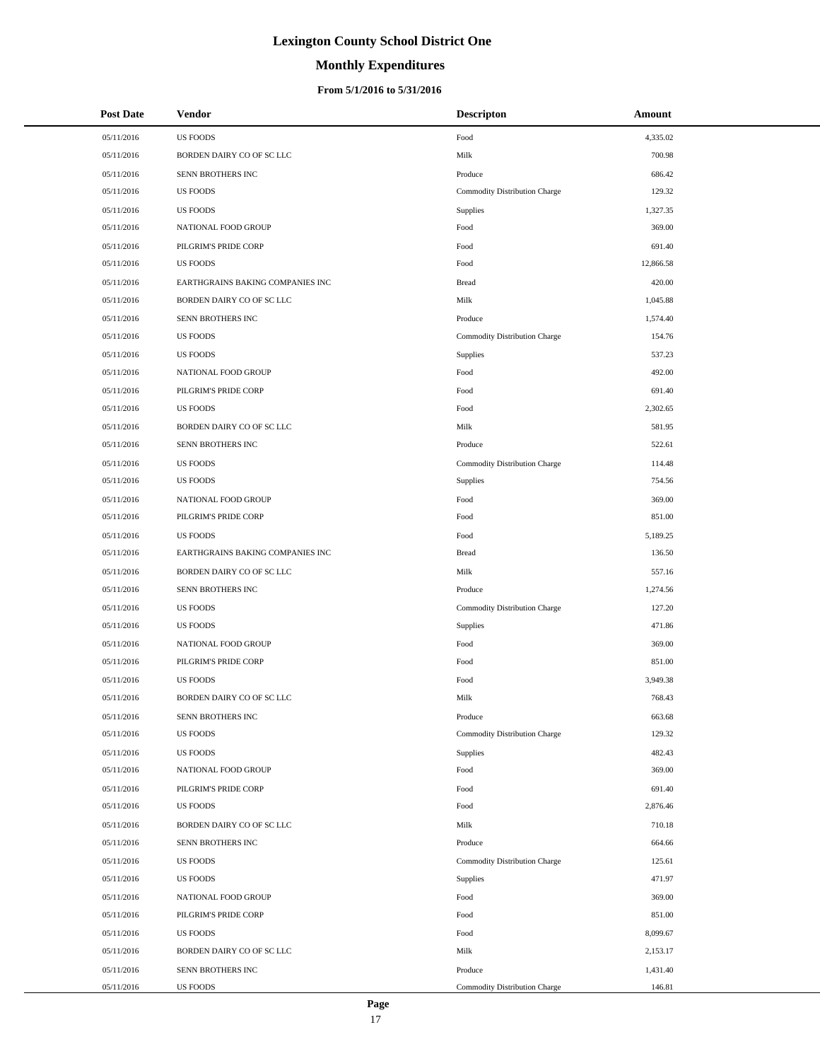# **Monthly Expenditures**

### **From 5/1/2016 to 5/31/2016**

| <b>Post Date</b> | <b>Vendor</b>                    | <b>Descripton</b>             | Amount    |
|------------------|----------------------------------|-------------------------------|-----------|
| 05/11/2016       | <b>US FOODS</b>                  | Food                          | 4,335.02  |
| 05/11/2016       | BORDEN DAIRY CO OF SC LLC        | Milk                          | 700.98    |
| 05/11/2016       | SENN BROTHERS INC                | Produce                       | 686.42    |
| 05/11/2016       | <b>US FOODS</b>                  | Commodity Distribution Charge | 129.32    |
| 05/11/2016       | <b>US FOODS</b>                  | Supplies                      | 1,327.35  |
| 05/11/2016       | NATIONAL FOOD GROUP              | Food                          | 369.00    |
| 05/11/2016       | PILGRIM'S PRIDE CORP             | Food                          | 691.40    |
| 05/11/2016       | <b>US FOODS</b>                  | Food                          | 12,866.58 |
| 05/11/2016       | EARTHGRAINS BAKING COMPANIES INC | <b>Bread</b>                  | 420.00    |
| 05/11/2016       | BORDEN DAIRY CO OF SC LLC        | Milk                          | 1,045.88  |
| 05/11/2016       | SENN BROTHERS INC                | Produce                       | 1,574.40  |
| 05/11/2016       | <b>US FOODS</b>                  | Commodity Distribution Charge | 154.76    |
| 05/11/2016       | <b>US FOODS</b>                  | Supplies                      | 537.23    |
| 05/11/2016       | NATIONAL FOOD GROUP              | Food                          | 492.00    |
| 05/11/2016       | PILGRIM'S PRIDE CORP             | Food                          | 691.40    |
| 05/11/2016       | <b>US FOODS</b>                  | Food                          | 2,302.65  |
| 05/11/2016       | BORDEN DAIRY CO OF SC LLC        | Milk                          | 581.95    |
| 05/11/2016       | SENN BROTHERS INC                | Produce                       | 522.61    |
| 05/11/2016       | <b>US FOODS</b>                  | Commodity Distribution Charge | 114.48    |
| 05/11/2016       | <b>US FOODS</b>                  | Supplies                      | 754.56    |
| 05/11/2016       | NATIONAL FOOD GROUP              | Food                          | 369.00    |
| 05/11/2016       | PILGRIM'S PRIDE CORP             | Food                          | 851.00    |
| 05/11/2016       | <b>US FOODS</b>                  | Food                          | 5,189.25  |
| 05/11/2016       | EARTHGRAINS BAKING COMPANIES INC | <b>Bread</b>                  | 136.50    |
| 05/11/2016       | BORDEN DAIRY CO OF SC LLC        | Milk                          | 557.16    |
| 05/11/2016       | SENN BROTHERS INC                | Produce                       | 1,274.56  |
| 05/11/2016       | <b>US FOODS</b>                  | Commodity Distribution Charge | 127.20    |
| 05/11/2016       | <b>US FOODS</b>                  | Supplies                      | 471.86    |
| 05/11/2016       | NATIONAL FOOD GROUP              | Food                          | 369.00    |
| 05/11/2016       | PILGRIM'S PRIDE CORP             | Food                          | 851.00    |
| 05/11/2016       | <b>US FOODS</b>                  | Food                          | 3,949.38  |
| 05/11/2016       | BORDEN DAIRY CO OF SC LLC        | Milk                          | 768.43    |
| 05/11/2016       | SENN BROTHERS INC                | Produce                       | 663.68    |
| 05/11/2016       | <b>US FOODS</b>                  | Commodity Distribution Charge | 129.32    |
| 05/11/2016       | <b>US FOODS</b>                  | Supplies                      | 482.43    |
| 05/11/2016       | NATIONAL FOOD GROUP              | Food                          | 369.00    |
| 05/11/2016       | PILGRIM'S PRIDE CORP             | Food                          | 691.40    |
| 05/11/2016       | US FOODS                         | Food                          | 2,876.46  |
| 05/11/2016       | BORDEN DAIRY CO OF SC LLC        | Milk                          | 710.18    |
| 05/11/2016       | SENN BROTHERS INC                | Produce                       | 664.66    |
| 05/11/2016       | <b>US FOODS</b>                  | Commodity Distribution Charge | 125.61    |
| 05/11/2016       | <b>US FOODS</b>                  | Supplies                      | 471.97    |
| 05/11/2016       | NATIONAL FOOD GROUP              | Food                          | 369.00    |
| 05/11/2016       | PILGRIM'S PRIDE CORP             | Food                          | 851.00    |
| 05/11/2016       | US FOODS                         | Food                          | 8,099.67  |
| 05/11/2016       | BORDEN DAIRY CO OF SC LLC        | Milk                          | 2,153.17  |
| 05/11/2016       | SENN BROTHERS INC                | Produce                       | 1,431.40  |
| 05/11/2016       | US FOODS                         | Commodity Distribution Charge | 146.81    |

 $\overline{a}$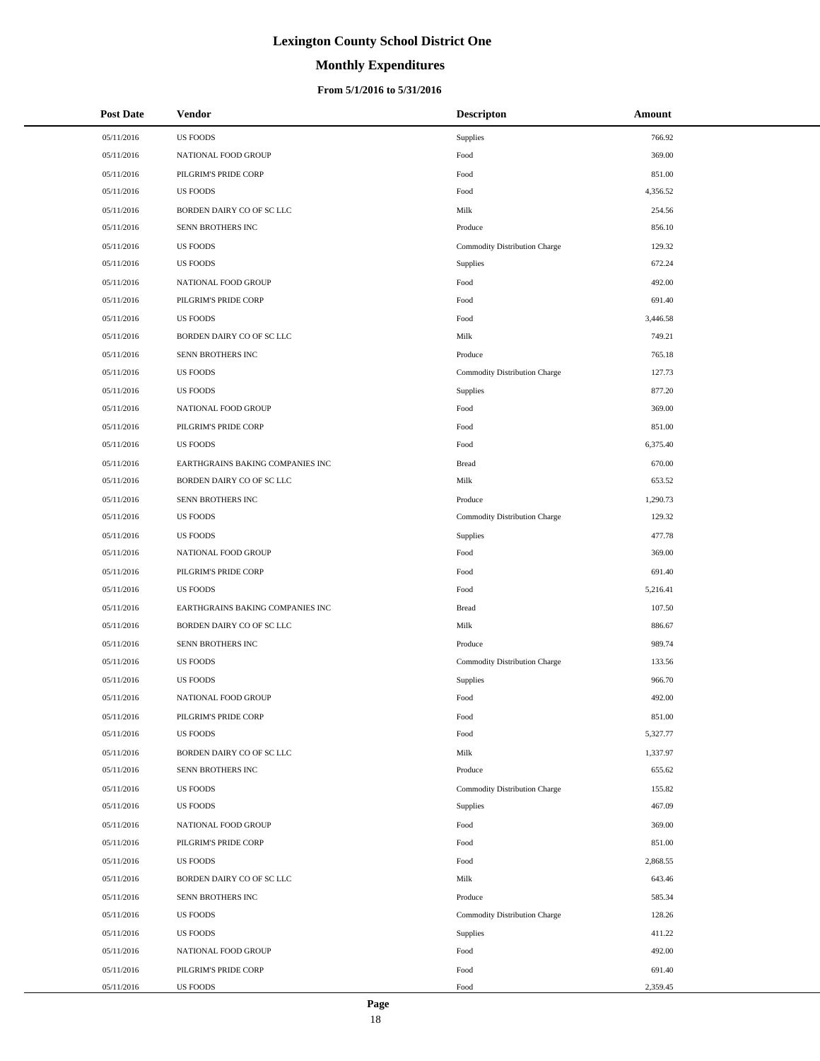# **Monthly Expenditures**

| <b>Post Date</b> | <b>Vendor</b>                    | <b>Descripton</b>             | Amount   |
|------------------|----------------------------------|-------------------------------|----------|
| 05/11/2016       | <b>US FOODS</b>                  | Supplies                      | 766.92   |
| 05/11/2016       | NATIONAL FOOD GROUP              | Food                          | 369.00   |
| 05/11/2016       | PILGRIM'S PRIDE CORP             | Food                          | 851.00   |
| 05/11/2016       | <b>US FOODS</b>                  | Food                          | 4,356.52 |
| 05/11/2016       | BORDEN DAIRY CO OF SC LLC        | Milk                          | 254.56   |
| 05/11/2016       | SENN BROTHERS INC                | Produce                       | 856.10   |
| 05/11/2016       | <b>US FOODS</b>                  | Commodity Distribution Charge | 129.32   |
| 05/11/2016       | <b>US FOODS</b>                  | Supplies                      | 672.24   |
| 05/11/2016       | NATIONAL FOOD GROUP              | Food                          | 492.00   |
| 05/11/2016       | PILGRIM'S PRIDE CORP             | Food                          | 691.40   |
| 05/11/2016       | <b>US FOODS</b>                  | Food                          | 3,446.58 |
| 05/11/2016       | BORDEN DAIRY CO OF SC LLC        | Milk                          | 749.21   |
| 05/11/2016       | SENN BROTHERS INC                | Produce                       | 765.18   |
| 05/11/2016       | <b>US FOODS</b>                  | Commodity Distribution Charge | 127.73   |
| 05/11/2016       | <b>US FOODS</b>                  | Supplies                      | 877.20   |
| 05/11/2016       | NATIONAL FOOD GROUP              | Food                          | 369.00   |
| 05/11/2016       | PILGRIM'S PRIDE CORP             | Food                          | 851.00   |
| 05/11/2016       | <b>US FOODS</b>                  | Food                          | 6,375.40 |
| 05/11/2016       | EARTHGRAINS BAKING COMPANIES INC | <b>Bread</b>                  | 670.00   |
| 05/11/2016       | BORDEN DAIRY CO OF SC LLC        | Milk                          | 653.52   |
| 05/11/2016       | SENN BROTHERS INC                | Produce                       | 1,290.73 |
| 05/11/2016       | <b>US FOODS</b>                  | Commodity Distribution Charge | 129.32   |
| 05/11/2016       | <b>US FOODS</b>                  | Supplies                      | 477.78   |
| 05/11/2016       | NATIONAL FOOD GROUP              | Food                          | 369.00   |
| 05/11/2016       | PILGRIM'S PRIDE CORP             | Food                          | 691.40   |
| 05/11/2016       | <b>US FOODS</b>                  | Food                          | 5,216.41 |
| 05/11/2016       | EARTHGRAINS BAKING COMPANIES INC | <b>Bread</b>                  | 107.50   |
| 05/11/2016       | BORDEN DAIRY CO OF SC LLC        | Milk                          | 886.67   |
| 05/11/2016       | SENN BROTHERS INC                | Produce                       | 989.74   |
| 05/11/2016       | <b>US FOODS</b>                  | Commodity Distribution Charge | 133.56   |
| 05/11/2016       | <b>US FOODS</b>                  | Supplies                      | 966.70   |
| 05/11/2016       | NATIONAL FOOD GROUP              | Food                          | 492.00   |
| 05/11/2016       | PILGRIM'S PRIDE CORP             | Food                          | 851.00   |
| 05/11/2016       | <b>US FOODS</b>                  | $\operatorname*{Food}$        | 5,327.77 |
| 05/11/2016       | BORDEN DAIRY CO OF SC LLC        | Milk                          | 1,337.97 |
| 05/11/2016       | SENN BROTHERS INC                | Produce                       | 655.62   |
| 05/11/2016       | <b>US FOODS</b>                  | Commodity Distribution Charge | 155.82   |
| 05/11/2016       | <b>US FOODS</b>                  | Supplies                      | 467.09   |
| 05/11/2016       | NATIONAL FOOD GROUP              | Food                          | 369.00   |
| 05/11/2016       | PILGRIM'S PRIDE CORP             | Food                          | 851.00   |
| 05/11/2016       | <b>US FOODS</b>                  | Food                          | 2,868.55 |
| 05/11/2016       | BORDEN DAIRY CO OF SC LLC        | Milk                          | 643.46   |
| 05/11/2016       | SENN BROTHERS INC                | Produce                       | 585.34   |
| 05/11/2016       | <b>US FOODS</b>                  | Commodity Distribution Charge | 128.26   |
| 05/11/2016       | <b>US FOODS</b>                  | Supplies                      | 411.22   |
| 05/11/2016       | NATIONAL FOOD GROUP              | Food                          | 492.00   |
| 05/11/2016       | PILGRIM'S PRIDE CORP             | Food                          | 691.40   |
| 05/11/2016       | US FOODS                         | $\operatorname*{Food}$        | 2,359.45 |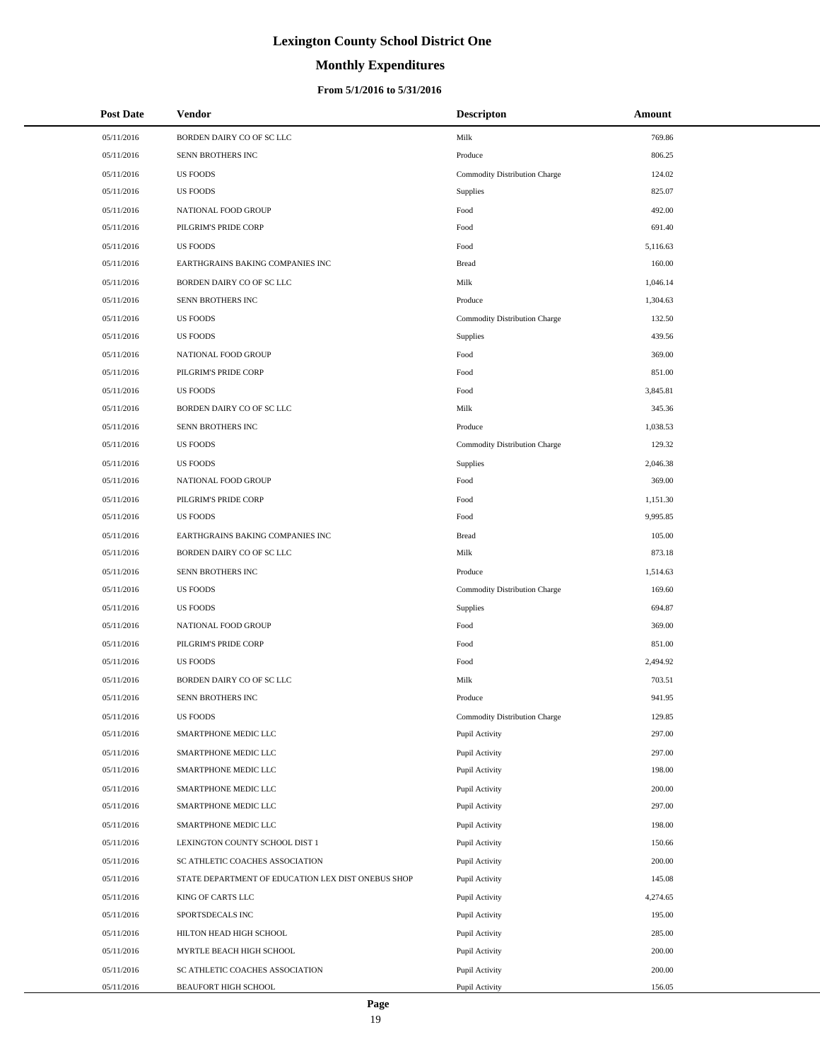# **Monthly Expenditures**

| <b>Post Date</b> | <b>Vendor</b>                                      | <b>Descripton</b>             | Amount   |
|------------------|----------------------------------------------------|-------------------------------|----------|
| 05/11/2016       | BORDEN DAIRY CO OF SC LLC                          | Milk                          | 769.86   |
| 05/11/2016       | SENN BROTHERS INC                                  | Produce                       | 806.25   |
| 05/11/2016       | <b>US FOODS</b>                                    | Commodity Distribution Charge | 124.02   |
| 05/11/2016       | <b>US FOODS</b>                                    | Supplies                      | 825.07   |
| 05/11/2016       | NATIONAL FOOD GROUP                                | Food                          | 492.00   |
| 05/11/2016       | PILGRIM'S PRIDE CORP                               | Food                          | 691.40   |
| 05/11/2016       | <b>US FOODS</b>                                    | Food                          | 5,116.63 |
| 05/11/2016       | EARTHGRAINS BAKING COMPANIES INC                   | <b>Bread</b>                  | 160.00   |
| 05/11/2016       | BORDEN DAIRY CO OF SC LLC                          | Milk                          | 1,046.14 |
| 05/11/2016       | <b>SENN BROTHERS INC</b>                           | Produce                       | 1,304.63 |
| 05/11/2016       | <b>US FOODS</b>                                    | Commodity Distribution Charge | 132.50   |
| 05/11/2016       | <b>US FOODS</b>                                    | Supplies                      | 439.56   |
| 05/11/2016       | NATIONAL FOOD GROUP                                | Food                          | 369.00   |
| 05/11/2016       | PILGRIM'S PRIDE CORP                               | Food                          | 851.00   |
| 05/11/2016       | <b>US FOODS</b>                                    | Food                          | 3,845.81 |
| 05/11/2016       | BORDEN DAIRY CO OF SC LLC                          | Milk                          | 345.36   |
| 05/11/2016       | SENN BROTHERS INC                                  | Produce                       | 1,038.53 |
| 05/11/2016       | <b>US FOODS</b>                                    | Commodity Distribution Charge | 129.32   |
| 05/11/2016       | <b>US FOODS</b>                                    | Supplies                      | 2,046.38 |
| 05/11/2016       | NATIONAL FOOD GROUP                                | Food                          | 369.00   |
| 05/11/2016       | PILGRIM'S PRIDE CORP                               | Food                          | 1,151.30 |
| 05/11/2016       | <b>US FOODS</b>                                    | Food                          | 9,995.85 |
| 05/11/2016       | EARTHGRAINS BAKING COMPANIES INC                   | <b>Bread</b>                  | 105.00   |
| 05/11/2016       | BORDEN DAIRY CO OF SC LLC                          | Milk                          | 873.18   |
| 05/11/2016       | SENN BROTHERS INC                                  | Produce                       | 1,514.63 |
| 05/11/2016       | <b>US FOODS</b>                                    | Commodity Distribution Charge | 169.60   |
| 05/11/2016       | <b>US FOODS</b>                                    | Supplies                      | 694.87   |
| 05/11/2016       | NATIONAL FOOD GROUP                                | Food                          | 369.00   |
| 05/11/2016       | PILGRIM'S PRIDE CORP                               | Food                          | 851.00   |
| 05/11/2016       | <b>US FOODS</b>                                    | Food                          | 2,494.92 |
| 05/11/2016       | BORDEN DAIRY CO OF SC LLC                          | Milk                          | 703.51   |
| 05/11/2016       | <b>SENN BROTHERS INC</b>                           | Produce                       | 941.95   |
| 05/11/2016       | <b>US FOODS</b>                                    | Commodity Distribution Charge | 129.85   |
| 05/11/2016       | SMARTPHONE MEDIC LLC                               | Pupil Activity                | 297.00   |
| 05/11/2016       | SMARTPHONE MEDIC LLC                               | Pupil Activity                | 297.00   |
| 05/11/2016       | SMARTPHONE MEDIC LLC                               | Pupil Activity                | 198.00   |
| 05/11/2016       | SMARTPHONE MEDIC LLC                               | Pupil Activity                | 200.00   |
| 05/11/2016       | SMARTPHONE MEDIC LLC                               | Pupil Activity                | 297.00   |
| 05/11/2016       | SMARTPHONE MEDIC LLC                               | Pupil Activity                | 198.00   |
| 05/11/2016       | LEXINGTON COUNTY SCHOOL DIST 1                     | Pupil Activity                | 150.66   |
| 05/11/2016       | SC ATHLETIC COACHES ASSOCIATION                    | Pupil Activity                | 200.00   |
| 05/11/2016       | STATE DEPARTMENT OF EDUCATION LEX DIST ONEBUS SHOP | Pupil Activity                | 145.08   |
| 05/11/2016       | KING OF CARTS LLC                                  | Pupil Activity                | 4,274.65 |
| 05/11/2016       | SPORTSDECALS INC                                   | Pupil Activity                | 195.00   |
| 05/11/2016       | HILTON HEAD HIGH SCHOOL                            | Pupil Activity                | 285.00   |
| 05/11/2016       | MYRTLE BEACH HIGH SCHOOL                           | Pupil Activity                | 200.00   |
| 05/11/2016       | SC ATHLETIC COACHES ASSOCIATION                    | Pupil Activity                | 200.00   |
| 05/11/2016       | BEAUFORT HIGH SCHOOL                               | Pupil Activity                | 156.05   |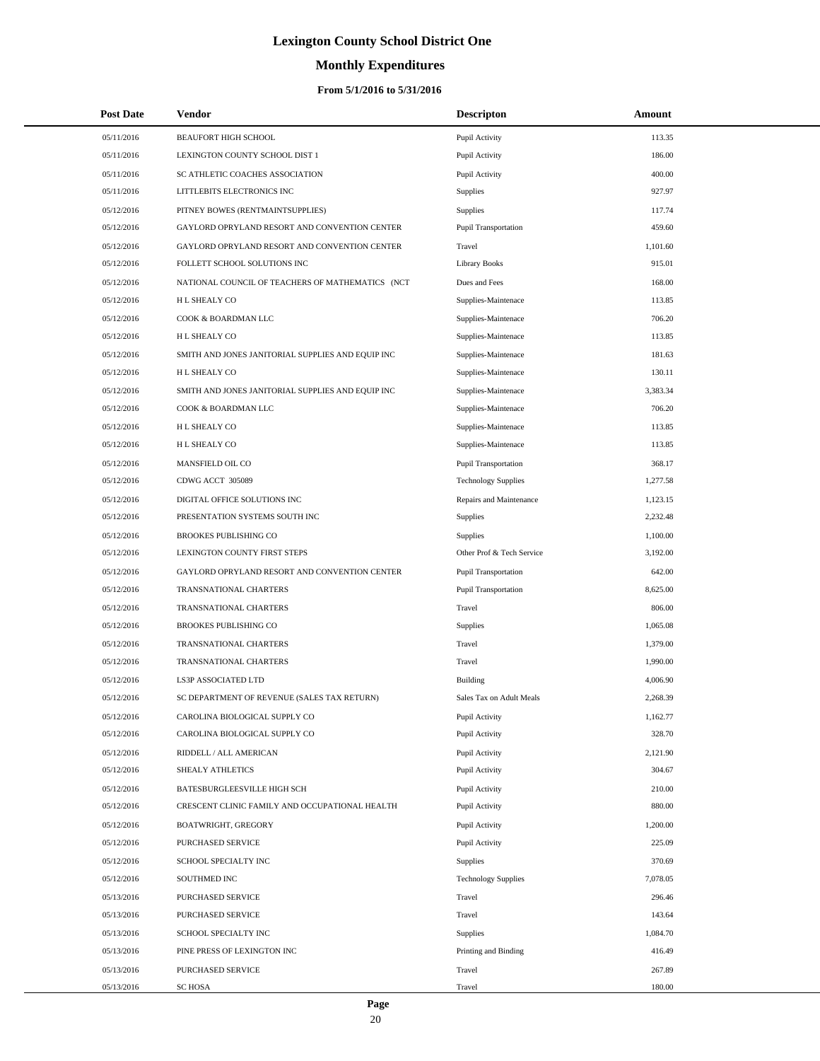# **Monthly Expenditures**

### **From 5/1/2016 to 5/31/2016**

|            | <b>Post Date</b> | Vendor                                            | <b>Descripton</b>           | Amount   |
|------------|------------------|---------------------------------------------------|-----------------------------|----------|
| 05/11/2016 |                  | BEAUFORT HIGH SCHOOL                              | Pupil Activity              | 113.35   |
| 05/11/2016 |                  | LEXINGTON COUNTY SCHOOL DIST 1                    | Pupil Activity              | 186.00   |
| 05/11/2016 |                  | SC ATHLETIC COACHES ASSOCIATION                   | Pupil Activity              | 400.00   |
| 05/11/2016 |                  | LITTLEBITS ELECTRONICS INC                        | Supplies                    | 927.97   |
| 05/12/2016 |                  | PITNEY BOWES (RENTMAINTSUPPLIES)                  | Supplies                    | 117.74   |
| 05/12/2016 |                  | GAYLORD OPRYLAND RESORT AND CONVENTION CENTER     | <b>Pupil Transportation</b> | 459.60   |
| 05/12/2016 |                  | GAYLORD OPRYLAND RESORT AND CONVENTION CENTER     | Travel                      | 1,101.60 |
| 05/12/2016 |                  | FOLLETT SCHOOL SOLUTIONS INC                      | <b>Library Books</b>        | 915.01   |
| 05/12/2016 |                  | NATIONAL COUNCIL OF TEACHERS OF MATHEMATICS (NCT  | Dues and Fees               | 168.00   |
| 05/12/2016 |                  | H L SHEALY CO                                     | Supplies-Maintenace         | 113.85   |
| 05/12/2016 |                  | COOK & BOARDMAN LLC                               | Supplies-Maintenace         | 706.20   |
| 05/12/2016 |                  | H L SHEALY CO                                     | Supplies-Maintenace         | 113.85   |
| 05/12/2016 |                  | SMITH AND JONES JANITORIAL SUPPLIES AND EQUIP INC | Supplies-Maintenace         | 181.63   |
| 05/12/2016 |                  | H L SHEALY CO                                     | Supplies-Maintenace         | 130.11   |
| 05/12/2016 |                  | SMITH AND JONES JANITORIAL SUPPLIES AND EQUIP INC | Supplies-Maintenace         | 3,383.34 |
| 05/12/2016 |                  | COOK & BOARDMAN LLC                               | Supplies-Maintenace         | 706.20   |
| 05/12/2016 |                  | H L SHEALY CO                                     | Supplies-Maintenace         | 113.85   |
| 05/12/2016 |                  | H L SHEALY CO                                     | Supplies-Maintenace         | 113.85   |
| 05/12/2016 |                  | MANSFIELD OIL CO                                  | <b>Pupil Transportation</b> | 368.17   |
| 05/12/2016 |                  | CDWG ACCT 305089                                  | <b>Technology Supplies</b>  | 1,277.58 |
| 05/12/2016 |                  | DIGITAL OFFICE SOLUTIONS INC                      | Repairs and Maintenance     | 1,123.15 |
| 05/12/2016 |                  | PRESENTATION SYSTEMS SOUTH INC                    | Supplies                    | 2,232.48 |
| 05/12/2016 |                  | BROOKES PUBLISHING CO                             | Supplies                    | 1,100.00 |
| 05/12/2016 |                  | LEXINGTON COUNTY FIRST STEPS                      | Other Prof & Tech Service   | 3,192.00 |
| 05/12/2016 |                  | GAYLORD OPRYLAND RESORT AND CONVENTION CENTER     | <b>Pupil Transportation</b> | 642.00   |
| 05/12/2016 |                  | TRANSNATIONAL CHARTERS                            | Pupil Transportation        | 8,625.00 |
| 05/12/2016 |                  | TRANSNATIONAL CHARTERS                            | Travel                      | 806.00   |
| 05/12/2016 |                  | BROOKES PUBLISHING CO                             | Supplies                    | 1,065.08 |
| 05/12/2016 |                  | TRANSNATIONAL CHARTERS                            | Travel                      | 1,379.00 |
| 05/12/2016 |                  | TRANSNATIONAL CHARTERS                            | Travel                      | 1,990.00 |
| 05/12/2016 |                  | LS3P ASSOCIATED LTD                               | <b>Building</b>             | 4,006.90 |
| 05/12/2016 |                  | SC DEPARTMENT OF REVENUE (SALES TAX RETURN)       | Sales Tax on Adult Meals    | 2,268.39 |
| 05/12/2016 |                  | CAROLINA BIOLOGICAL SUPPLY CO                     | Pupil Activity              | 1,162.77 |
| 05/12/2016 |                  | CAROLINA BIOLOGICAL SUPPLY CO                     | Pupil Activity              | 328.70   |
| 05/12/2016 |                  | RIDDELL / ALL AMERICAN                            | Pupil Activity              | 2,121.90 |
| 05/12/2016 |                  | SHEALY ATHLETICS                                  | Pupil Activity              | 304.67   |
| 05/12/2016 |                  | BATESBURGLEESVILLE HIGH SCH                       | Pupil Activity              | 210.00   |
| 05/12/2016 |                  | CRESCENT CLINIC FAMILY AND OCCUPATIONAL HEALTH    | Pupil Activity              | 880.00   |
| 05/12/2016 |                  | BOATWRIGHT, GREGORY                               | Pupil Activity              | 1,200.00 |
| 05/12/2016 |                  | PURCHASED SERVICE                                 | Pupil Activity              | 225.09   |
| 05/12/2016 |                  | SCHOOL SPECIALTY INC                              | Supplies                    | 370.69   |
| 05/12/2016 |                  | SOUTHMED INC                                      | <b>Technology Supplies</b>  | 7,078.05 |
| 05/13/2016 |                  | PURCHASED SERVICE                                 | Travel                      | 296.46   |
| 05/13/2016 |                  | PURCHASED SERVICE                                 | Travel                      | 143.64   |
| 05/13/2016 |                  | SCHOOL SPECIALTY INC                              | Supplies                    | 1,084.70 |
| 05/13/2016 |                  | PINE PRESS OF LEXINGTON INC                       | Printing and Binding        | 416.49   |
| 05/13/2016 |                  | PURCHASED SERVICE                                 | Travel                      | 267.89   |
| 05/13/2016 |                  | <b>SC HOSA</b>                                    | Travel                      | 180.00   |

 $\overline{a}$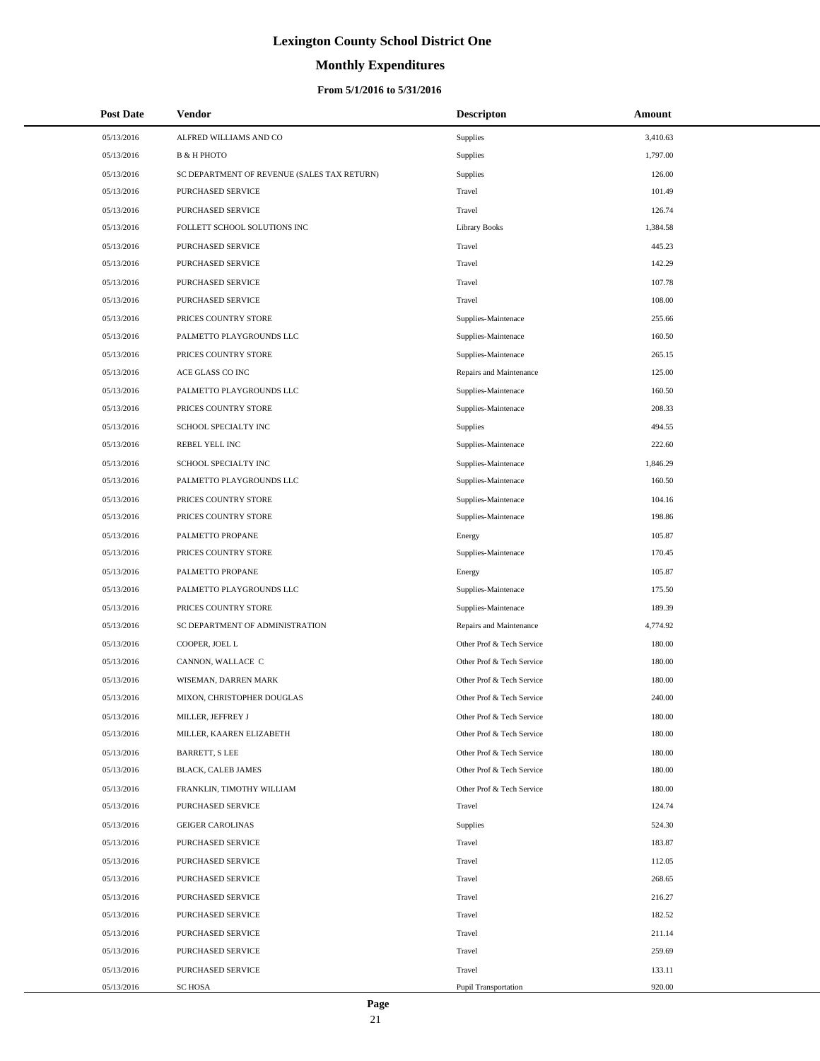# **Monthly Expenditures**

| <b>Post Date</b> | <b>Vendor</b>                               | <b>Descripton</b>         | Amount   |
|------------------|---------------------------------------------|---------------------------|----------|
| 05/13/2016       | ALFRED WILLIAMS AND CO                      | Supplies                  | 3,410.63 |
| 05/13/2016       | <b>B &amp; H PHOTO</b>                      | Supplies                  | 1,797.00 |
| 05/13/2016       | SC DEPARTMENT OF REVENUE (SALES TAX RETURN) | Supplies                  | 126.00   |
| 05/13/2016       | PURCHASED SERVICE                           | Travel                    | 101.49   |
| 05/13/2016       | PURCHASED SERVICE                           | Travel                    | 126.74   |
| 05/13/2016       | FOLLETT SCHOOL SOLUTIONS INC                | <b>Library Books</b>      | 1,384.58 |
| 05/13/2016       | PURCHASED SERVICE                           | Travel                    | 445.23   |
| 05/13/2016       | PURCHASED SERVICE                           | Travel                    | 142.29   |
| 05/13/2016       | PURCHASED SERVICE                           | Travel                    | 107.78   |
| 05/13/2016       | PURCHASED SERVICE                           | Travel                    | 108.00   |
| 05/13/2016       | PRICES COUNTRY STORE                        | Supplies-Maintenace       | 255.66   |
| 05/13/2016       | PALMETTO PLAYGROUNDS LLC                    | Supplies-Maintenace       | 160.50   |
| 05/13/2016       | PRICES COUNTRY STORE                        | Supplies-Maintenace       | 265.15   |
| 05/13/2016       | ACE GLASS CO INC                            | Repairs and Maintenance   | 125.00   |
| 05/13/2016       | PALMETTO PLAYGROUNDS LLC                    | Supplies-Maintenace       | 160.50   |
| 05/13/2016       | PRICES COUNTRY STORE                        | Supplies-Maintenace       | 208.33   |
| 05/13/2016       | SCHOOL SPECIALTY INC                        | <b>Supplies</b>           | 494.55   |
| 05/13/2016       | REBEL YELL INC                              | Supplies-Maintenace       | 222.60   |
| 05/13/2016       | SCHOOL SPECIALTY INC                        | Supplies-Maintenace       | 1,846.29 |
| 05/13/2016       | PALMETTO PLAYGROUNDS LLC                    | Supplies-Maintenace       | 160.50   |
| 05/13/2016       | PRICES COUNTRY STORE                        | Supplies-Maintenace       | 104.16   |
| 05/13/2016       | PRICES COUNTRY STORE                        | Supplies-Maintenace       | 198.86   |
| 05/13/2016       | PALMETTO PROPANE                            | Energy                    | 105.87   |
| 05/13/2016       | PRICES COUNTRY STORE                        | Supplies-Maintenace       | 170.45   |
| 05/13/2016       | PALMETTO PROPANE                            | Energy                    | 105.87   |
| 05/13/2016       | PALMETTO PLAYGROUNDS LLC                    | Supplies-Maintenace       | 175.50   |
| 05/13/2016       | PRICES COUNTRY STORE                        | Supplies-Maintenace       | 189.39   |
| 05/13/2016       | SC DEPARTMENT OF ADMINISTRATION             | Repairs and Maintenance   | 4,774.92 |
| 05/13/2016       | COOPER, JOEL L                              | Other Prof & Tech Service | 180.00   |
| 05/13/2016       | CANNON, WALLACE C                           | Other Prof & Tech Service | 180.00   |
| 05/13/2016       | WISEMAN, DARREN MARK                        | Other Prof & Tech Service | 180.00   |
| 05/13/2016       | MIXON, CHRISTOPHER DOUGLAS                  | Other Prof & Tech Service | 240.00   |
| 05/13/2016       | MILLER, JEFFREY J                           | Other Prof & Tech Service | 180.00   |
| 05/13/2016       | MILLER, KAAREN ELIZABETH                    | Other Prof & Tech Service | 180.00   |
| 05/13/2016       | BARRETT, S LEE                              | Other Prof & Tech Service | 180.00   |
| 05/13/2016       | BLACK, CALEB JAMES                          | Other Prof & Tech Service | 180.00   |
| 05/13/2016       | FRANKLIN, TIMOTHY WILLIAM                   | Other Prof & Tech Service | 180.00   |
| 05/13/2016       | PURCHASED SERVICE                           | Travel                    | 124.74   |
| 05/13/2016       | <b>GEIGER CAROLINAS</b>                     | Supplies                  | 524.30   |
| 05/13/2016       | PURCHASED SERVICE                           | Travel                    | 183.87   |
| 05/13/2016       | PURCHASED SERVICE                           | Travel                    | 112.05   |
| 05/13/2016       | PURCHASED SERVICE                           | Travel                    | 268.65   |
| 05/13/2016       | PURCHASED SERVICE                           | Travel                    | 216.27   |
| 05/13/2016       | PURCHASED SERVICE                           | Travel                    | 182.52   |
| 05/13/2016       | PURCHASED SERVICE                           | Travel                    | 211.14   |
| 05/13/2016       | PURCHASED SERVICE                           | Travel                    | 259.69   |
| 05/13/2016       | PURCHASED SERVICE                           | Travel                    | 133.11   |
| 05/13/2016       | SC HOSA                                     | Pupil Transportation      | 920.00   |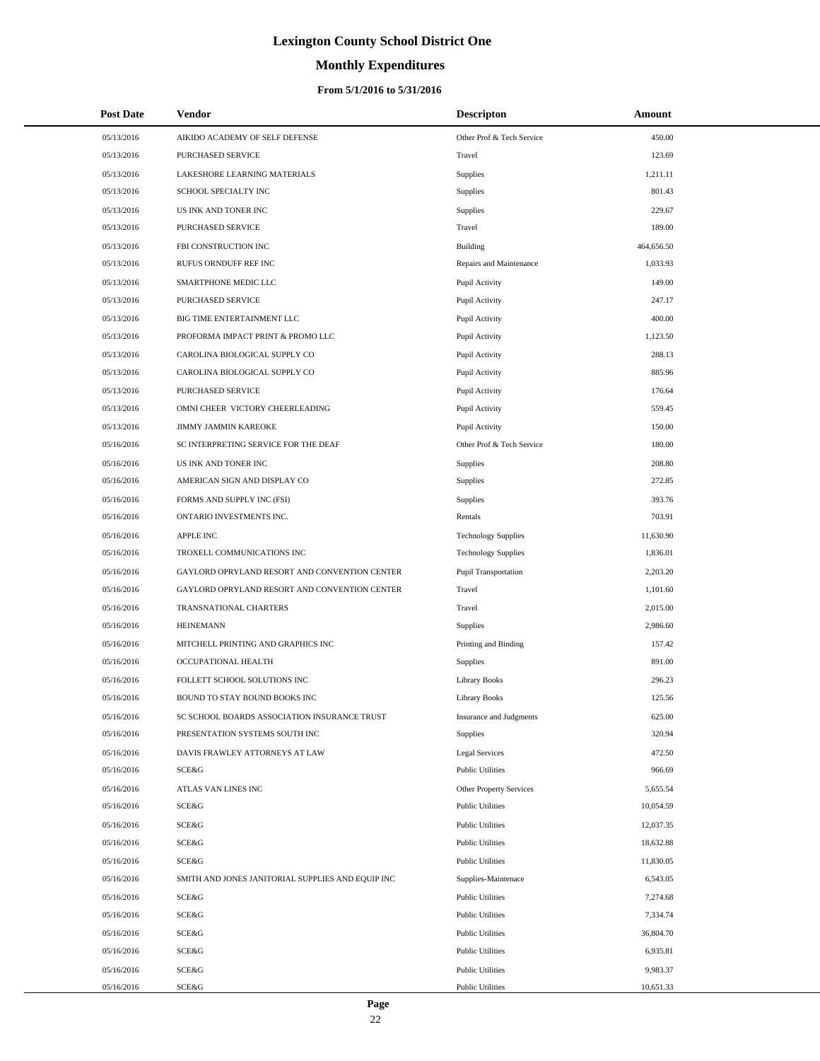# **Monthly Expenditures**

| <b>Post Date</b> | <b>Vendor</b>                                     | <b>Descripton</b>              | Amount     |
|------------------|---------------------------------------------------|--------------------------------|------------|
| 05/13/2016       | AIKIDO ACADEMY OF SELF DEFENSE                    | Other Prof & Tech Service      | 450.00     |
| 05/13/2016       | PURCHASED SERVICE                                 | Travel                         | 123.69     |
| 05/13/2016       | LAKESHORE LEARNING MATERIALS                      | Supplies                       | 1,211.11   |
| 05/13/2016       | SCHOOL SPECIALTY INC                              | Supplies                       | 801.43     |
| 05/13/2016       | US INK AND TONER INC                              | Supplies                       | 229.67     |
| 05/13/2016       | PURCHASED SERVICE                                 | Travel                         | 189.00     |
| 05/13/2016       | FBI CONSTRUCTION INC                              | Building                       | 464,656.50 |
| 05/13/2016       | RUFUS ORNDUFF REF INC                             | Repairs and Maintenance        | 1,033.93   |
| 05/13/2016       | SMARTPHONE MEDIC LLC                              | Pupil Activity                 | 149.00     |
| 05/13/2016       | <b>PURCHASED SERVICE</b>                          | Pupil Activity                 | 247.17     |
| 05/13/2016       | BIG TIME ENTERTAINMENT LLC                        | Pupil Activity                 | 400.00     |
| 05/13/2016       | PROFORMA IMPACT PRINT & PROMO LLC                 | Pupil Activity                 | 1,123.50   |
| 05/13/2016       | CAROLINA BIOLOGICAL SUPPLY CO                     | Pupil Activity                 | 288.13     |
| 05/13/2016       | CAROLINA BIOLOGICAL SUPPLY CO                     | Pupil Activity                 | 885.96     |
| 05/13/2016       | PURCHASED SERVICE                                 | Pupil Activity                 | 176.64     |
| 05/13/2016       | OMNI CHEER VICTORY CHEERLEADING                   | Pupil Activity                 | 559.45     |
| 05/13/2016       | JIMMY JAMMIN KAREOKE                              | Pupil Activity                 | 150.00     |
| 05/16/2016       | SC INTERPRETING SERVICE FOR THE DEAF              | Other Prof & Tech Service      | 180.00     |
| 05/16/2016       | US INK AND TONER INC                              | Supplies                       | 208.80     |
| 05/16/2016       | AMERICAN SIGN AND DISPLAY CO                      | Supplies                       | 272.85     |
| 05/16/2016       | FORMS AND SUPPLY INC (FSI)                        | Supplies                       | 393.76     |
| 05/16/2016       | ONTARIO INVESTMENTS INC.                          | Rentals                        | 703.91     |
| 05/16/2016       | <b>APPLE INC</b>                                  | <b>Technology Supplies</b>     | 11,630.90  |
| 05/16/2016       | TROXELL COMMUNICATIONS INC                        | <b>Technology Supplies</b>     | 1,836.01   |
| 05/16/2016       | GAYLORD OPRYLAND RESORT AND CONVENTION CENTER     | Pupil Transportation           | 2,203.20   |
| 05/16/2016       | GAYLORD OPRYLAND RESORT AND CONVENTION CENTER     | Travel                         | 1,101.60   |
| 05/16/2016       | TRANSNATIONAL CHARTERS                            | Travel                         | 2,015.00   |
| 05/16/2016       | <b>HEINEMANN</b>                                  | Supplies                       | 2,986.60   |
| 05/16/2016       | MITCHELL PRINTING AND GRAPHICS INC                | Printing and Binding           | 157.42     |
| 05/16/2016       | OCCUPATIONAL HEALTH                               | Supplies                       | 891.00     |
| 05/16/2016       | FOLLETT SCHOOL SOLUTIONS INC                      | <b>Library Books</b>           | 296.23     |
| 05/16/2016       | BOUND TO STAY BOUND BOOKS INC                     | <b>Library Books</b>           | 125.56     |
| 05/16/2016       | SC SCHOOL BOARDS ASSOCIATION INSURANCE TRUST      | Insurance and Judgments        | 625.00     |
| 05/16/2016       | PRESENTATION SYSTEMS SOUTH INC                    | Supplies                       | 320.94     |
| 05/16/2016       | DAVIS FRAWLEY ATTORNEYS AT LAW                    | <b>Legal Services</b>          | 472.50     |
| 05/16/2016       | SCE&G                                             | <b>Public Utilities</b>        | 966.69     |
| 05/16/2016       | ATLAS VAN LINES INC                               | <b>Other Property Services</b> | 5,655.54   |
| 05/16/2016       | SCE&G                                             | <b>Public Utilities</b>        | 10,054.59  |
| 05/16/2016       | SCE&G                                             | <b>Public Utilities</b>        | 12,037.35  |
| 05/16/2016       | SCE&G                                             | <b>Public Utilities</b>        | 18,632.88  |
| 05/16/2016       | SCE&G                                             | <b>Public Utilities</b>        | 11,830.05  |
| 05/16/2016       | SMITH AND JONES JANITORIAL SUPPLIES AND EQUIP INC | Supplies-Maintenace            | 6,543.05   |
| 05/16/2016       | SCE&G                                             | <b>Public Utilities</b>        | 7,274.68   |
| 05/16/2016       | SCE&G                                             | <b>Public Utilities</b>        | 7,334.74   |
| 05/16/2016       | SCE&G                                             | <b>Public Utilities</b>        | 36,804.70  |
| 05/16/2016       | SCE&G                                             | <b>Public Utilities</b>        | 6,935.81   |
| 05/16/2016       | SCE&G                                             | <b>Public Utilities</b>        | 9,983.37   |
| 05/16/2016       | SCE&G                                             | <b>Public Utilities</b>        | 10,651.33  |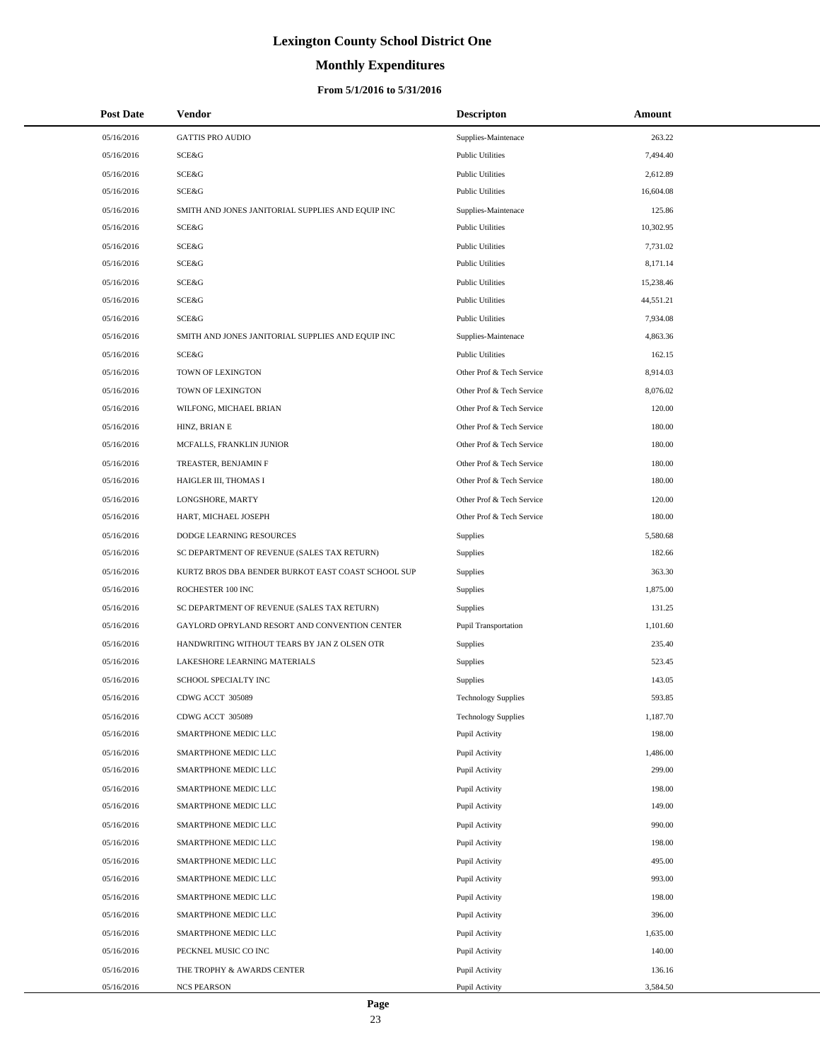# **Monthly Expenditures**

### **From 5/1/2016 to 5/31/2016**

| <b>Post Date</b> | Vendor                                             | <b>Descripton</b>          | Amount    |
|------------------|----------------------------------------------------|----------------------------|-----------|
| 05/16/2016       | <b>GATTIS PRO AUDIO</b>                            | Supplies-Maintenace        | 263.22    |
| 05/16/2016       | SCE&G                                              | <b>Public Utilities</b>    | 7,494.40  |
| 05/16/2016       | <b>SCE&amp;G</b>                                   | <b>Public Utilities</b>    | 2,612.89  |
| 05/16/2016       | SCE&G                                              | <b>Public Utilities</b>    | 16,604.08 |
| 05/16/2016       | SMITH AND JONES JANITORIAL SUPPLIES AND EQUIP INC  | Supplies-Maintenace        | 125.86    |
| 05/16/2016       | SCE&G                                              | <b>Public Utilities</b>    | 10,302.95 |
| 05/16/2016       | <b>SCE&amp;G</b>                                   | <b>Public Utilities</b>    | 7,731.02  |
| 05/16/2016       | SCE&G                                              | <b>Public Utilities</b>    | 8,171.14  |
| 05/16/2016       | SCE&G                                              | <b>Public Utilities</b>    | 15,238.46 |
| 05/16/2016       | SCE&G                                              | <b>Public Utilities</b>    | 44,551.21 |
| 05/16/2016       | <b>SCE&amp;G</b>                                   | <b>Public Utilities</b>    | 7,934.08  |
| 05/16/2016       | SMITH AND JONES JANITORIAL SUPPLIES AND EQUIP INC  | Supplies-Maintenace        | 4,863.36  |
| 05/16/2016       | SCE&G                                              | <b>Public Utilities</b>    | 162.15    |
| 05/16/2016       | TOWN OF LEXINGTON                                  | Other Prof & Tech Service  | 8,914.03  |
| 05/16/2016       | TOWN OF LEXINGTON                                  | Other Prof & Tech Service  | 8,076.02  |
| 05/16/2016       | WILFONG, MICHAEL BRIAN                             | Other Prof & Tech Service  | 120.00    |
| 05/16/2016       | HINZ, BRIAN E                                      | Other Prof & Tech Service  | 180.00    |
| 05/16/2016       | MCFALLS, FRANKLIN JUNIOR                           | Other Prof & Tech Service  | 180.00    |
| 05/16/2016       | TREASTER, BENJAMIN F                               | Other Prof & Tech Service  | 180.00    |
| 05/16/2016       | HAIGLER III, THOMAS I                              | Other Prof & Tech Service  | 180.00    |
| 05/16/2016       | LONGSHORE, MARTY                                   | Other Prof & Tech Service  | 120.00    |
| 05/16/2016       | HART, MICHAEL JOSEPH                               | Other Prof & Tech Service  | 180.00    |
| 05/16/2016       | DODGE LEARNING RESOURCES                           | <b>Supplies</b>            | 5,580.68  |
| 05/16/2016       | SC DEPARTMENT OF REVENUE (SALES TAX RETURN)        | Supplies                   | 182.66    |
| 05/16/2016       | KURTZ BROS DBA BENDER BURKOT EAST COAST SCHOOL SUP | Supplies                   | 363.30    |
| 05/16/2016       | ROCHESTER 100 INC                                  | Supplies                   | 1,875.00  |
| 05/16/2016       | SC DEPARTMENT OF REVENUE (SALES TAX RETURN)        | Supplies                   | 131.25    |
| 05/16/2016       | GAYLORD OPRYLAND RESORT AND CONVENTION CENTER      | Pupil Transportation       | 1,101.60  |
| 05/16/2016       | HANDWRITING WITHOUT TEARS BY JAN Z OLSEN OTR       | Supplies                   | 235.40    |
| 05/16/2016       | LAKESHORE LEARNING MATERIALS                       | Supplies                   | 523.45    |
| 05/16/2016       | SCHOOL SPECIALTY INC                               | Supplies                   | 143.05    |
| 05/16/2016       | CDWG ACCT 305089                                   | <b>Technology Supplies</b> | 593.85    |
| 05/16/2016       | CDWG ACCT 305089                                   | <b>Technology Supplies</b> | 1,187.70  |
| 05/16/2016       | SMARTPHONE MEDIC LLC                               | Pupil Activity             | 198.00    |
| 05/16/2016       | SMARTPHONE MEDIC LLC                               | Pupil Activity             | 1,486.00  |
| 05/16/2016       | SMARTPHONE MEDIC LLC                               | Pupil Activity             | 299.00    |
| 05/16/2016       | SMARTPHONE MEDIC LLC                               | Pupil Activity             | 198.00    |
| 05/16/2016       | SMARTPHONE MEDIC LLC                               | Pupil Activity             | 149.00    |
| 05/16/2016       | SMARTPHONE MEDIC LLC                               | Pupil Activity             | 990.00    |
| 05/16/2016       | SMARTPHONE MEDIC LLC                               | Pupil Activity             | 198.00    |
| 05/16/2016       | SMARTPHONE MEDIC LLC                               | Pupil Activity             | 495.00    |
| 05/16/2016       | SMARTPHONE MEDIC LLC                               | Pupil Activity             | 993.00    |
| 05/16/2016       | SMARTPHONE MEDIC LLC                               | Pupil Activity             | 198.00    |
| 05/16/2016       | SMARTPHONE MEDIC LLC                               | Pupil Activity             | 396.00    |
| 05/16/2016       | SMARTPHONE MEDIC LLC                               | Pupil Activity             | 1,635.00  |
| 05/16/2016       | PECKNEL MUSIC CO INC                               | Pupil Activity             | 140.00    |
| 05/16/2016       | THE TROPHY & AWARDS CENTER                         | Pupil Activity             | 136.16    |
| 05/16/2016       | <b>NCS PEARSON</b>                                 | Pupil Activity             | 3,584.50  |

 $\overline{a}$ 

÷.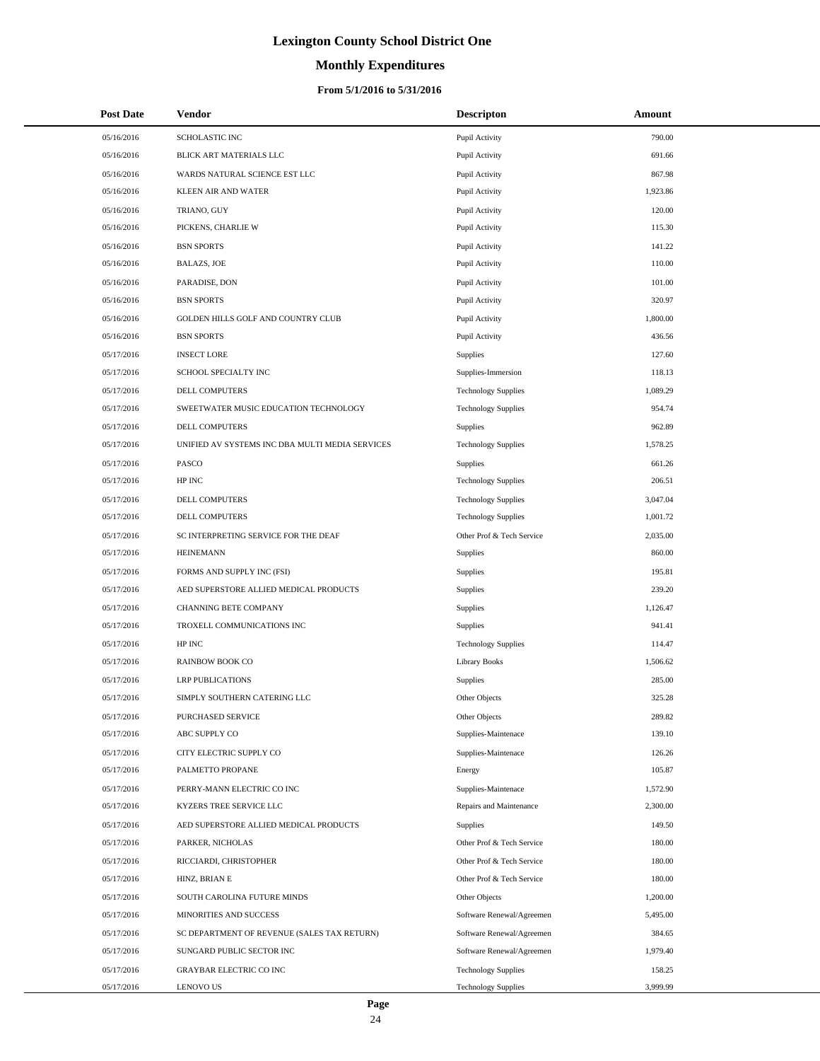# **Monthly Expenditures**

| <b>Post Date</b> | Vendor                                          | <b>Descripton</b>          | Amount   |
|------------------|-------------------------------------------------|----------------------------|----------|
| 05/16/2016       | <b>SCHOLASTIC INC</b>                           | Pupil Activity             | 790.00   |
| 05/16/2016       | BLICK ART MATERIALS LLC                         | Pupil Activity             | 691.66   |
| 05/16/2016       | WARDS NATURAL SCIENCE EST LLC                   | Pupil Activity             | 867.98   |
| 05/16/2016       | KLEEN AIR AND WATER                             | Pupil Activity             | 1,923.86 |
| 05/16/2016       | TRIANO, GUY                                     | Pupil Activity             | 120.00   |
| 05/16/2016       | PICKENS, CHARLIE W                              | Pupil Activity             | 115.30   |
| 05/16/2016       | <b>BSN SPORTS</b>                               | Pupil Activity             | 141.22   |
| 05/16/2016       | <b>BALAZS, JOE</b>                              | Pupil Activity             | 110.00   |
| 05/16/2016       | PARADISE, DON                                   | Pupil Activity             | 101.00   |
| 05/16/2016       | <b>BSN SPORTS</b>                               | Pupil Activity             | 320.97   |
| 05/16/2016       | GOLDEN HILLS GOLF AND COUNTRY CLUB              | Pupil Activity             | 1,800.00 |
| 05/16/2016       | <b>BSN SPORTS</b>                               | Pupil Activity             | 436.56   |
| 05/17/2016       | <b>INSECT LORE</b>                              | Supplies                   | 127.60   |
| 05/17/2016       | SCHOOL SPECIALTY INC                            | Supplies-Immersion         | 118.13   |
| 05/17/2016       | DELL COMPUTERS                                  | <b>Technology Supplies</b> | 1,089.29 |
| 05/17/2016       | SWEETWATER MUSIC EDUCATION TECHNOLOGY           | <b>Technology Supplies</b> | 954.74   |
| 05/17/2016       | DELL COMPUTERS                                  | <b>Supplies</b>            | 962.89   |
| 05/17/2016       | UNIFIED AV SYSTEMS INC DBA MULTI MEDIA SERVICES | <b>Technology Supplies</b> | 1,578.25 |
| 05/17/2016       | PASCO                                           | <b>Supplies</b>            | 661.26   |
| 05/17/2016       | HP INC                                          | <b>Technology Supplies</b> | 206.51   |
| 05/17/2016       | DELL COMPUTERS                                  | <b>Technology Supplies</b> | 3,047.04 |
| 05/17/2016       | DELL COMPUTERS                                  | <b>Technology Supplies</b> | 1,001.72 |
| 05/17/2016       | SC INTERPRETING SERVICE FOR THE DEAF            | Other Prof & Tech Service  | 2,035.00 |
| 05/17/2016       | <b>HEINEMANN</b>                                | <b>Supplies</b>            | 860.00   |
| 05/17/2016       | FORMS AND SUPPLY INC (FSI)                      | Supplies                   | 195.81   |
| 05/17/2016       | AED SUPERSTORE ALLIED MEDICAL PRODUCTS          | Supplies                   | 239.20   |
| 05/17/2016       | CHANNING BETE COMPANY                           | Supplies                   | 1,126.47 |
| 05/17/2016       | TROXELL COMMUNICATIONS INC                      | Supplies                   | 941.41   |
| 05/17/2016       | HP INC                                          | <b>Technology Supplies</b> | 114.47   |
| 05/17/2016       | RAINBOW BOOK CO                                 | <b>Library Books</b>       | 1,506.62 |
| 05/17/2016       | <b>LRP PUBLICATIONS</b>                         | Supplies                   | 285.00   |
| 05/17/2016       | SIMPLY SOUTHERN CATERING LLC                    | Other Objects              | 325.28   |
| 05/17/2016       | PURCHASED SERVICE                               | Other Objects              | 289.82   |
| 05/17/2016       | ABC SUPPLY CO                                   | Supplies-Maintenace        | 139.10   |
| 05/17/2016       | CITY ELECTRIC SUPPLY CO                         | Supplies-Maintenace        | 126.26   |
| 05/17/2016       | PALMETTO PROPANE                                | Energy                     | 105.87   |
| 05/17/2016       | PERRY-MANN ELECTRIC CO INC                      | Supplies-Maintenace        | 1,572.90 |
| 05/17/2016       | KYZERS TREE SERVICE LLC                         | Repairs and Maintenance    | 2,300.00 |
| 05/17/2016       | AED SUPERSTORE ALLIED MEDICAL PRODUCTS          | Supplies                   | 149.50   |
| 05/17/2016       | PARKER, NICHOLAS                                | Other Prof & Tech Service  | 180.00   |
| 05/17/2016       | RICCIARDI, CHRISTOPHER                          | Other Prof & Tech Service  | 180.00   |
| 05/17/2016       | HINZ, BRIAN E                                   | Other Prof & Tech Service  | 180.00   |
| 05/17/2016       | SOUTH CAROLINA FUTURE MINDS                     | Other Objects              | 1,200.00 |
| 05/17/2016       | MINORITIES AND SUCCESS                          | Software Renewal/Agreemen  | 5,495.00 |
| 05/17/2016       | SC DEPARTMENT OF REVENUE (SALES TAX RETURN)     | Software Renewal/Agreemen  | 384.65   |
| 05/17/2016       | SUNGARD PUBLIC SECTOR INC                       | Software Renewal/Agreemen  | 1,979.40 |
| 05/17/2016       | <b>GRAYBAR ELECTRIC CO INC</b>                  | <b>Technology Supplies</b> | 158.25   |
| 05/17/2016       | <b>LENOVO US</b>                                | <b>Technology Supplies</b> | 3,999.99 |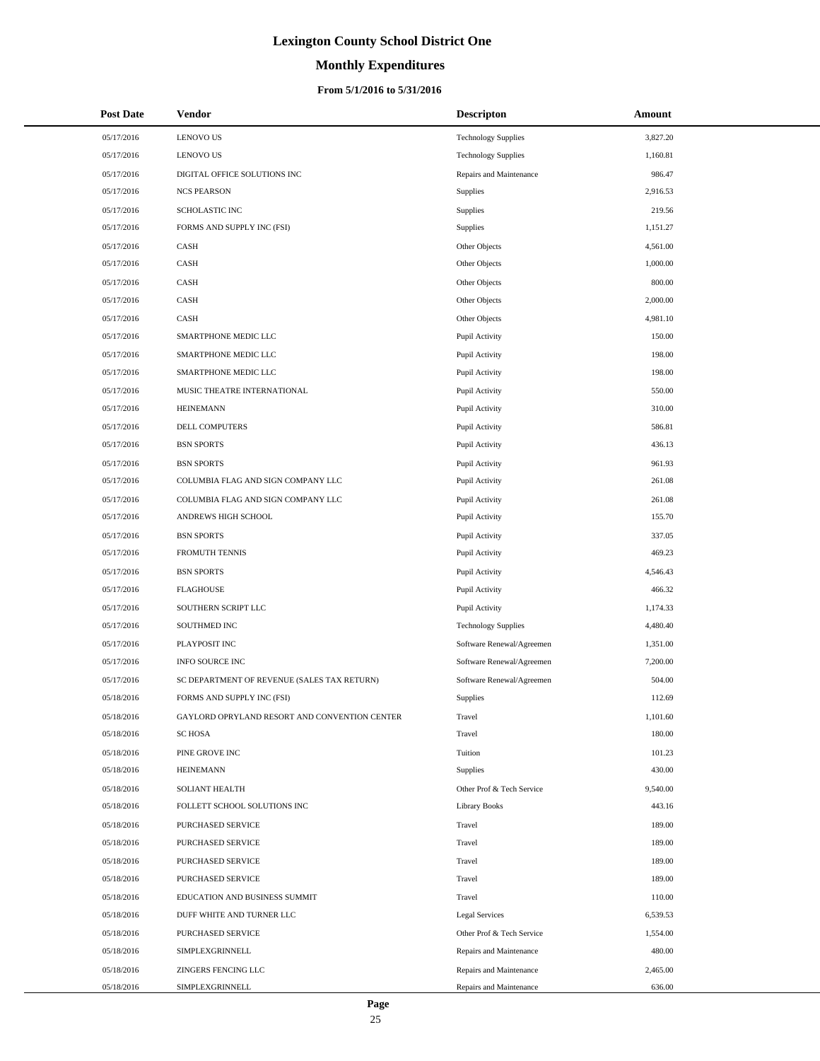# **Monthly Expenditures**

| <b>Post Date</b> | Vendor                                        | <b>Descripton</b>          | Amount   |  |
|------------------|-----------------------------------------------|----------------------------|----------|--|
| 05/17/2016       | <b>LENOVO US</b>                              | <b>Technology Supplies</b> | 3,827.20 |  |
| 05/17/2016       | <b>LENOVO US</b>                              | <b>Technology Supplies</b> | 1,160.81 |  |
| 05/17/2016       | DIGITAL OFFICE SOLUTIONS INC                  | Repairs and Maintenance    | 986.47   |  |
| 05/17/2016       | <b>NCS PEARSON</b>                            | Supplies                   | 2,916.53 |  |
| 05/17/2016       | SCHOLASTIC INC                                | Supplies                   | 219.56   |  |
| 05/17/2016       | FORMS AND SUPPLY INC (FSI)                    | Supplies                   | 1,151.27 |  |
| 05/17/2016       | CASH                                          | Other Objects              | 4,561.00 |  |
| 05/17/2016       | CASH                                          | Other Objects              | 1,000.00 |  |
| 05/17/2016       | CASH                                          | Other Objects              | 800.00   |  |
| 05/17/2016       | CASH                                          | Other Objects              | 2,000.00 |  |
| 05/17/2016       | CASH                                          | Other Objects              | 4,981.10 |  |
| 05/17/2016       | SMARTPHONE MEDIC LLC                          | Pupil Activity             | 150.00   |  |
| 05/17/2016       | SMARTPHONE MEDIC LLC                          | Pupil Activity             | 198.00   |  |
| 05/17/2016       | SMARTPHONE MEDIC LLC                          | Pupil Activity             | 198.00   |  |
| 05/17/2016       | MUSIC THEATRE INTERNATIONAL                   | Pupil Activity             | 550.00   |  |
| 05/17/2016       | <b>HEINEMANN</b>                              | Pupil Activity             | 310.00   |  |
| 05/17/2016       | DELL COMPUTERS                                | Pupil Activity             | 586.81   |  |
| 05/17/2016       | <b>BSN SPORTS</b>                             | Pupil Activity             | 436.13   |  |
| 05/17/2016       | <b>BSN SPORTS</b>                             | Pupil Activity             | 961.93   |  |
| 05/17/2016       | COLUMBIA FLAG AND SIGN COMPANY LLC            | Pupil Activity             | 261.08   |  |
| 05/17/2016       | COLUMBIA FLAG AND SIGN COMPANY LLC            | Pupil Activity             | 261.08   |  |
| 05/17/2016       | ANDREWS HIGH SCHOOL                           | Pupil Activity             | 155.70   |  |
| 05/17/2016       | <b>BSN SPORTS</b>                             | Pupil Activity             | 337.05   |  |
| 05/17/2016       | FROMUTH TENNIS                                | Pupil Activity             | 469.23   |  |
| 05/17/2016       | <b>BSN SPORTS</b>                             | Pupil Activity             | 4,546.43 |  |
| 05/17/2016       | <b>FLAGHOUSE</b>                              | Pupil Activity             | 466.32   |  |
| 05/17/2016       | SOUTHERN SCRIPT LLC                           | Pupil Activity             | 1,174.33 |  |
| 05/17/2016       | SOUTHMED INC                                  | <b>Technology Supplies</b> | 4,480.40 |  |
| 05/17/2016       | PLAYPOSIT INC                                 | Software Renewal/Agreemen  | 1,351.00 |  |
| 05/17/2016       | <b>INFO SOURCE INC</b>                        | Software Renewal/Agreemen  | 7,200.00 |  |
| 05/17/2016       | SC DEPARTMENT OF REVENUE (SALES TAX RETURN)   | Software Renewal/Agreemen  | 504.00   |  |
| 05/18/2016       | FORMS AND SUPPLY INC (FSI)                    | Supplies                   | 112.69   |  |
| 05/18/2016       | GAYLORD OPRYLAND RESORT AND CONVENTION CENTER | Travel                     | 1,101.60 |  |
| 05/18/2016       | <b>SC HOSA</b>                                | Travel                     | 180.00   |  |
| 05/18/2016       | PINE GROVE INC                                | Tuition                    | 101.23   |  |
| 05/18/2016       | <b>HEINEMANN</b>                              | Supplies                   | 430.00   |  |
| 05/18/2016       | <b>SOLIANT HEALTH</b>                         | Other Prof & Tech Service  | 9,540.00 |  |
| 05/18/2016       | FOLLETT SCHOOL SOLUTIONS INC                  | <b>Library Books</b>       | 443.16   |  |
| 05/18/2016       | PURCHASED SERVICE                             | Travel                     | 189.00   |  |
| 05/18/2016       | PURCHASED SERVICE                             | Travel                     | 189.00   |  |
| 05/18/2016       | PURCHASED SERVICE                             | Travel                     | 189.00   |  |
| 05/18/2016       | PURCHASED SERVICE                             | Travel                     | 189.00   |  |
| 05/18/2016       | EDUCATION AND BUSINESS SUMMIT                 | Travel                     | 110.00   |  |
| 05/18/2016       | DUFF WHITE AND TURNER LLC                     | Legal Services             | 6,539.53 |  |
| 05/18/2016       | PURCHASED SERVICE                             | Other Prof & Tech Service  | 1,554.00 |  |
| 05/18/2016       | SIMPLEXGRINNELL                               | Repairs and Maintenance    | 480.00   |  |
| 05/18/2016       | ZINGERS FENCING LLC                           | Repairs and Maintenance    | 2,465.00 |  |
| 05/18/2016       | SIMPLEXGRINNELL                               | Repairs and Maintenance    | 636.00   |  |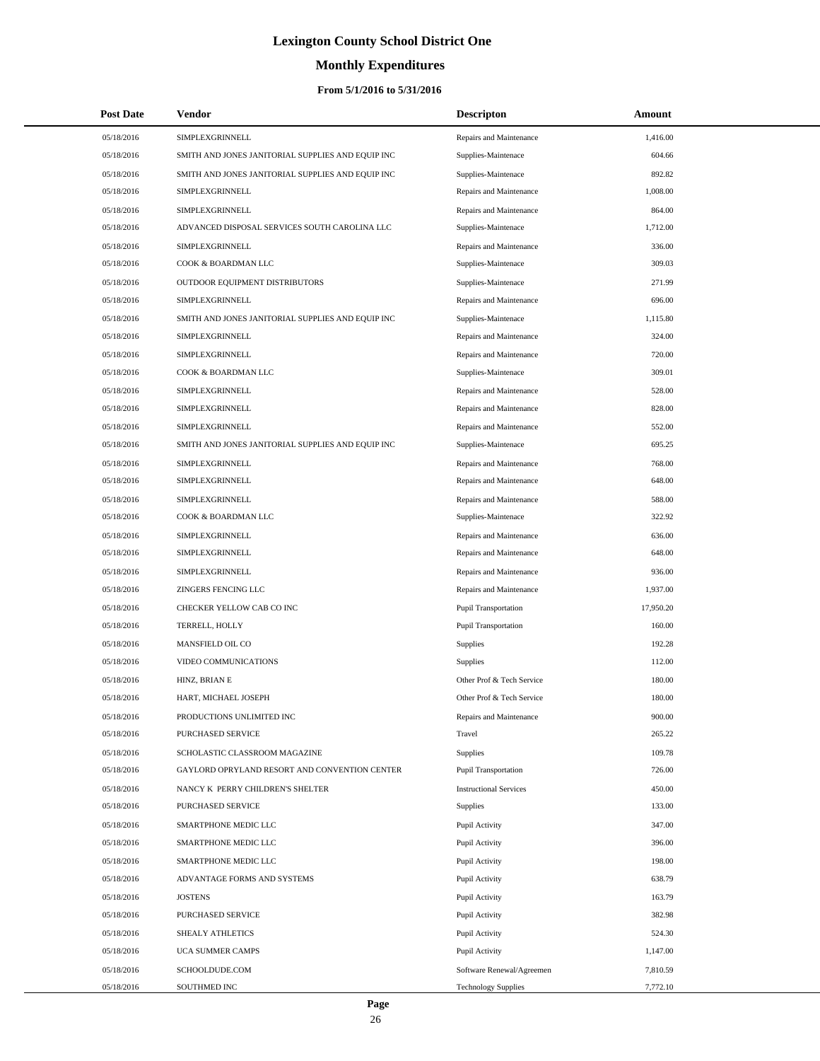# **Monthly Expenditures**

### **From 5/1/2016 to 5/31/2016**

| <b>Post Date</b> | Vendor                                            | <b>Descripton</b>             | Amount    |
|------------------|---------------------------------------------------|-------------------------------|-----------|
| 05/18/2016       | SIMPLEXGRINNELL                                   | Repairs and Maintenance       | 1,416.00  |
| 05/18/2016       | SMITH AND JONES JANITORIAL SUPPLIES AND EQUIP INC | Supplies-Maintenace           | 604.66    |
| 05/18/2016       | SMITH AND JONES JANITORIAL SUPPLIES AND EQUIP INC | Supplies-Maintenace           | 892.82    |
| 05/18/2016       | <b>SIMPLEXGRINNELL</b>                            | Repairs and Maintenance       | 1,008.00  |
| 05/18/2016       | SIMPLEXGRINNELL                                   | Repairs and Maintenance       | 864.00    |
| 05/18/2016       | ADVANCED DISPOSAL SERVICES SOUTH CAROLINA LLC     | Supplies-Maintenace           | 1,712.00  |
| 05/18/2016       | SIMPLEXGRINNELL                                   | Repairs and Maintenance       | 336.00    |
| 05/18/2016       | COOK & BOARDMAN LLC                               | Supplies-Maintenace           | 309.03    |
| 05/18/2016       | OUTDOOR EQUIPMENT DISTRIBUTORS                    | Supplies-Maintenace           | 271.99    |
| 05/18/2016       | SIMPLEXGRINNELL                                   | Repairs and Maintenance       | 696.00    |
| 05/18/2016       | SMITH AND JONES JANITORIAL SUPPLIES AND EQUIP INC | Supplies-Maintenace           | 1,115.80  |
| 05/18/2016       | SIMPLEXGRINNELL                                   | Repairs and Maintenance       | 324.00    |
| 05/18/2016       | SIMPLEXGRINNELL                                   | Repairs and Maintenance       | 720.00    |
| 05/18/2016       | COOK & BOARDMAN LLC                               | Supplies-Maintenace           | 309.01    |
| 05/18/2016       | SIMPLEXGRINNELL                                   | Repairs and Maintenance       | 528.00    |
| 05/18/2016       | SIMPLEXGRINNELL                                   | Repairs and Maintenance       | 828.00    |
| 05/18/2016       | SIMPLEXGRINNELL                                   | Repairs and Maintenance       | 552.00    |
| 05/18/2016       | SMITH AND JONES JANITORIAL SUPPLIES AND EQUIP INC | Supplies-Maintenace           | 695.25    |
| 05/18/2016       | SIMPLEXGRINNELL                                   | Repairs and Maintenance       | 768.00    |
| 05/18/2016       | SIMPLEXGRINNELL                                   | Repairs and Maintenance       | 648.00    |
| 05/18/2016       | SIMPLEXGRINNELL                                   | Repairs and Maintenance       | 588.00    |
| 05/18/2016       | COOK & BOARDMAN LLC                               | Supplies-Maintenace           | 322.92    |
| 05/18/2016       | SIMPLEXGRINNELL                                   | Repairs and Maintenance       | 636.00    |
| 05/18/2016       | SIMPLEXGRINNELL                                   | Repairs and Maintenance       | 648.00    |
| 05/18/2016       | SIMPLEXGRINNELL                                   | Repairs and Maintenance       | 936.00    |
| 05/18/2016       | ZINGERS FENCING LLC                               | Repairs and Maintenance       | 1,937.00  |
| 05/18/2016       | CHECKER YELLOW CAB CO INC                         | Pupil Transportation          | 17,950.20 |
| 05/18/2016       | TERRELL, HOLLY                                    | Pupil Transportation          | 160.00    |
| 05/18/2016       | MANSFIELD OIL CO                                  | <b>Supplies</b>               | 192.28    |
| 05/18/2016       | VIDEO COMMUNICATIONS                              | Supplies                      | 112.00    |
| 05/18/2016       | HINZ, BRIAN E                                     | Other Prof & Tech Service     | 180.00    |
| 05/18/2016       | HART, MICHAEL JOSEPH                              | Other Prof & Tech Service     | 180.00    |
| 05/18/2016       | PRODUCTIONS UNLIMITED INC                         | Repairs and Maintenance       | 900.00    |
| 05/18/2016       | PURCHASED SERVICE                                 | Travel                        | 265.22    |
| 05/18/2016       | SCHOLASTIC CLASSROOM MAGAZINE                     | Supplies                      | 109.78    |
| 05/18/2016       | GAYLORD OPRYLAND RESORT AND CONVENTION CENTER     | Pupil Transportation          | 726.00    |
| 05/18/2016       | NANCY K PERRY CHILDREN'S SHELTER                  | <b>Instructional Services</b> | 450.00    |
| 05/18/2016       | PURCHASED SERVICE                                 | Supplies                      | 133.00    |
| 05/18/2016       | SMARTPHONE MEDIC LLC                              | Pupil Activity                | 347.00    |
| 05/18/2016       | SMARTPHONE MEDIC LLC                              | Pupil Activity                | 396.00    |
| 05/18/2016       | SMARTPHONE MEDIC LLC                              | Pupil Activity                | 198.00    |
| 05/18/2016       | ADVANTAGE FORMS AND SYSTEMS                       | Pupil Activity                | 638.79    |
| 05/18/2016       | <b>JOSTENS</b>                                    | Pupil Activity                | 163.79    |
| 05/18/2016       | PURCHASED SERVICE                                 | Pupil Activity                | 382.98    |
| 05/18/2016       | SHEALY ATHLETICS                                  | Pupil Activity                | 524.30    |
| 05/18/2016       | UCA SUMMER CAMPS                                  | Pupil Activity                | 1,147.00  |
| 05/18/2016       | SCHOOLDUDE.COM                                    | Software Renewal/Agreemen     | 7,810.59  |
| 05/18/2016       | SOUTHMED INC                                      | <b>Technology Supplies</b>    | 7,772.10  |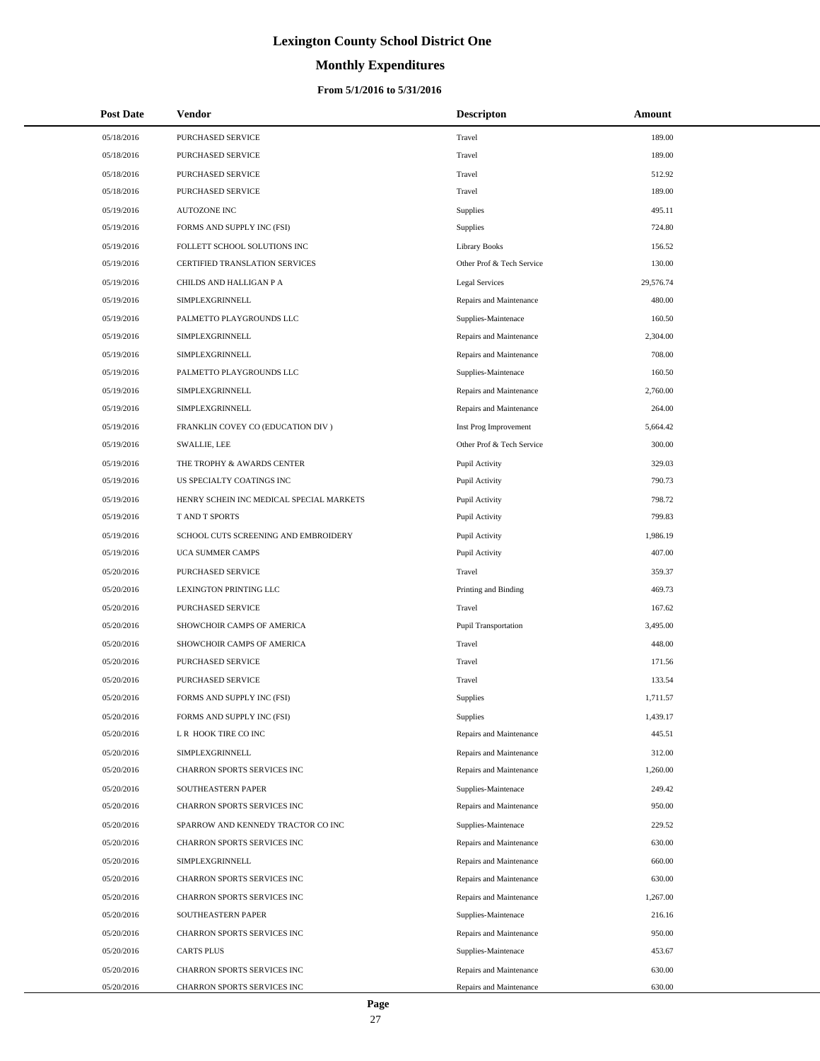# **Monthly Expenditures**

| <b>Post Date</b> | <b>Vendor</b>                            | <b>Descripton</b>         | <b>Amount</b> |
|------------------|------------------------------------------|---------------------------|---------------|
| 05/18/2016       | PURCHASED SERVICE                        | Travel                    | 189.00        |
| 05/18/2016       | PURCHASED SERVICE                        | Travel                    | 189.00        |
| 05/18/2016       | PURCHASED SERVICE                        | Travel                    | 512.92        |
| 05/18/2016       | PURCHASED SERVICE                        | Travel                    | 189.00        |
| 05/19/2016       | <b>AUTOZONE INC</b>                      | Supplies                  | 495.11        |
| 05/19/2016       | FORMS AND SUPPLY INC (FSI)               | Supplies                  | 724.80        |
| 05/19/2016       | FOLLETT SCHOOL SOLUTIONS INC             | <b>Library Books</b>      | 156.52        |
| 05/19/2016       | <b>CERTIFIED TRANSLATION SERVICES</b>    | Other Prof & Tech Service | 130.00        |
| 05/19/2016       | CHILDS AND HALLIGAN P A                  | Legal Services            | 29,576.74     |
| 05/19/2016       | SIMPLEXGRINNELL                          | Repairs and Maintenance   | 480.00        |
| 05/19/2016       | PALMETTO PLAYGROUNDS LLC                 | Supplies-Maintenace       | 160.50        |
| 05/19/2016       | SIMPLEXGRINNELL                          | Repairs and Maintenance   | 2,304.00      |
| 05/19/2016       | SIMPLEXGRINNELL                          | Repairs and Maintenance   | 708.00        |
| 05/19/2016       | PALMETTO PLAYGROUNDS LLC                 | Supplies-Maintenace       | 160.50        |
| 05/19/2016       | SIMPLEXGRINNELL                          | Repairs and Maintenance   | 2,760.00      |
| 05/19/2016       | SIMPLEXGRINNELL                          | Repairs and Maintenance   | 264.00        |
| 05/19/2016       | FRANKLIN COVEY CO (EDUCATION DIV)        | Inst Prog Improvement     | 5,664.42      |
| 05/19/2016       | SWALLIE, LEE                             | Other Prof & Tech Service | 300.00        |
| 05/19/2016       | THE TROPHY & AWARDS CENTER               | Pupil Activity            | 329.03        |
| 05/19/2016       | US SPECIALTY COATINGS INC                | Pupil Activity            | 790.73        |
| 05/19/2016       | HENRY SCHEIN INC MEDICAL SPECIAL MARKETS | Pupil Activity            | 798.72        |
| 05/19/2016       | T AND T SPORTS                           | Pupil Activity            | 799.83        |
| 05/19/2016       | SCHOOL CUTS SCREENING AND EMBROIDERY     | Pupil Activity            | 1,986.19      |
| 05/19/2016       | UCA SUMMER CAMPS                         | Pupil Activity            | 407.00        |
| 05/20/2016       | PURCHASED SERVICE                        | Travel                    | 359.37        |
| 05/20/2016       | LEXINGTON PRINTING LLC                   | Printing and Binding      | 469.73        |
| 05/20/2016       | PURCHASED SERVICE                        | Travel                    | 167.62        |
| 05/20/2016       | SHOWCHOIR CAMPS OF AMERICA               | Pupil Transportation      | 3,495.00      |
| 05/20/2016       | SHOWCHOIR CAMPS OF AMERICA               | Travel                    | 448.00        |
| 05/20/2016       | PURCHASED SERVICE                        | Travel                    | 171.56        |
| 05/20/2016       | PURCHASED SERVICE                        | Travel                    | 133.54        |
| 05/20/2016       | FORMS AND SUPPLY INC (FSI)               | Supplies                  | 1.711.57      |
| 05/20/2016       | FORMS AND SUPPLY INC (FSI)               | Supplies                  | 1,439.17      |
| 05/20/2016       | L R HOOK TIRE CO INC                     | Repairs and Maintenance   | 445.51        |
| 05/20/2016       | SIMPLEXGRINNELL                          | Repairs and Maintenance   | 312.00        |
| 05/20/2016       | CHARRON SPORTS SERVICES INC              | Repairs and Maintenance   | 1,260.00      |
| 05/20/2016       | SOUTHEASTERN PAPER                       | Supplies-Maintenace       | 249.42        |
| 05/20/2016       | CHARRON SPORTS SERVICES INC              | Repairs and Maintenance   | 950.00        |
| 05/20/2016       | SPARROW AND KENNEDY TRACTOR CO INC       | Supplies-Maintenace       | 229.52        |
| 05/20/2016       | CHARRON SPORTS SERVICES INC              | Repairs and Maintenance   | 630.00        |
| 05/20/2016       | SIMPLEXGRINNELL                          | Repairs and Maintenance   | 660.00        |
| 05/20/2016       | CHARRON SPORTS SERVICES INC              | Repairs and Maintenance   | 630.00        |
| 05/20/2016       | CHARRON SPORTS SERVICES INC              | Repairs and Maintenance   | 1,267.00      |
| 05/20/2016       | SOUTHEASTERN PAPER                       | Supplies-Maintenace       | 216.16        |
| 05/20/2016       | CHARRON SPORTS SERVICES INC              | Repairs and Maintenance   | 950.00        |
| 05/20/2016       | <b>CARTS PLUS</b>                        | Supplies-Maintenace       | 453.67        |
| 05/20/2016       | CHARRON SPORTS SERVICES INC              | Repairs and Maintenance   | 630.00        |
| 05/20/2016       | CHARRON SPORTS SERVICES INC              | Repairs and Maintenance   | 630.00        |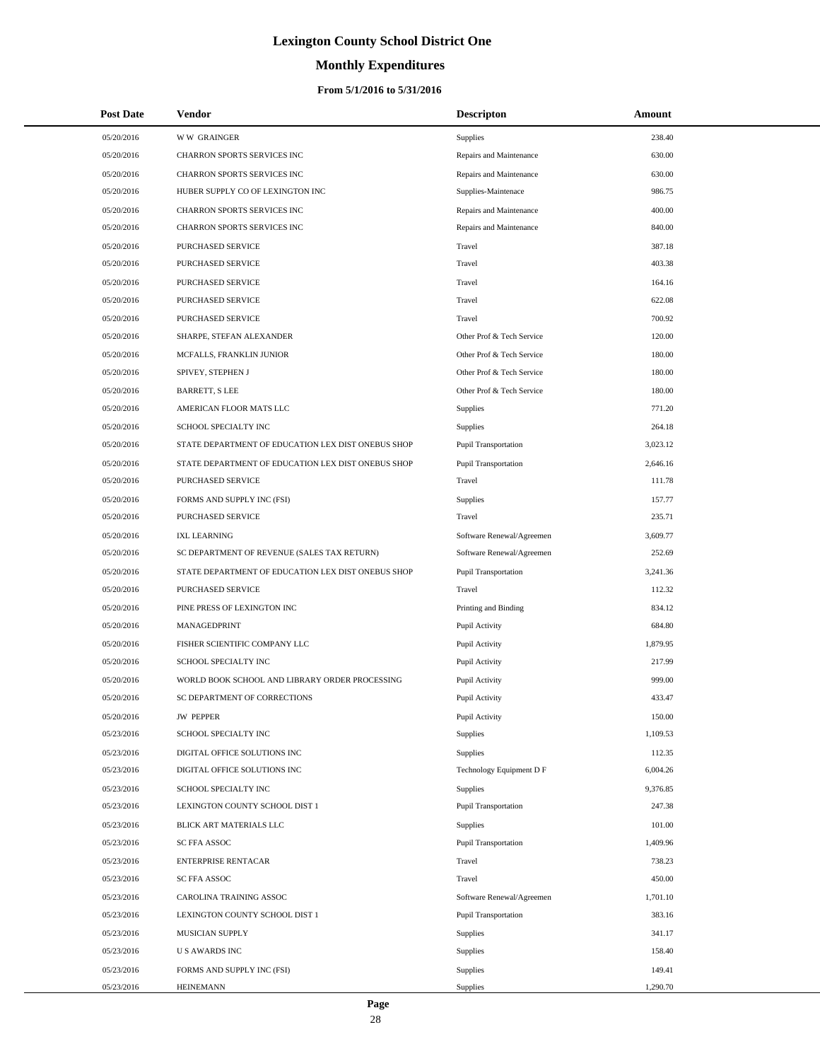# **Monthly Expenditures**

### **From 5/1/2016 to 5/31/2016**

| <b>Post Date</b> | <b>Vendor</b>                                      | <b>Descripton</b>           | Amount   |
|------------------|----------------------------------------------------|-----------------------------|----------|
| 05/20/2016       | <b>WW GRAINGER</b>                                 | Supplies                    | 238.40   |
| 05/20/2016       | CHARRON SPORTS SERVICES INC                        | Repairs and Maintenance     | 630.00   |
| 05/20/2016       | CHARRON SPORTS SERVICES INC                        | Repairs and Maintenance     | 630.00   |
| 05/20/2016       | HUBER SUPPLY CO OF LEXINGTON INC                   | Supplies-Maintenace         | 986.75   |
| 05/20/2016       | CHARRON SPORTS SERVICES INC                        | Repairs and Maintenance     | 400.00   |
| 05/20/2016       | CHARRON SPORTS SERVICES INC                        | Repairs and Maintenance     | 840.00   |
| 05/20/2016       | PURCHASED SERVICE                                  | Travel                      | 387.18   |
| 05/20/2016       | PURCHASED SERVICE                                  | Travel                      | 403.38   |
| 05/20/2016       | PURCHASED SERVICE                                  | Travel                      | 164.16   |
| 05/20/2016       | PURCHASED SERVICE                                  | Travel                      | 622.08   |
| 05/20/2016       | PURCHASED SERVICE                                  | Travel                      | 700.92   |
| 05/20/2016       | SHARPE, STEFAN ALEXANDER                           | Other Prof & Tech Service   | 120.00   |
| 05/20/2016       | MCFALLS, FRANKLIN JUNIOR                           | Other Prof & Tech Service   | 180.00   |
| 05/20/2016       | SPIVEY, STEPHEN J                                  | Other Prof & Tech Service   | 180.00   |
| 05/20/2016       | <b>BARRETT, S LEE</b>                              | Other Prof & Tech Service   | 180.00   |
| 05/20/2016       | AMERICAN FLOOR MATS LLC                            | Supplies                    | 771.20   |
| 05/20/2016       | SCHOOL SPECIALTY INC                               | Supplies                    | 264.18   |
| 05/20/2016       | STATE DEPARTMENT OF EDUCATION LEX DIST ONEBUS SHOP | <b>Pupil Transportation</b> | 3,023.12 |
| 05/20/2016       | STATE DEPARTMENT OF EDUCATION LEX DIST ONEBUS SHOP | Pupil Transportation        | 2,646.16 |
| 05/20/2016       | PURCHASED SERVICE                                  | Travel                      | 111.78   |
| 05/20/2016       | FORMS AND SUPPLY INC (FSI)                         | Supplies                    | 157.77   |
| 05/20/2016       | PURCHASED SERVICE                                  | Travel                      | 235.71   |
| 05/20/2016       | <b>IXL LEARNING</b>                                | Software Renewal/Agreemen   | 3,609.77 |
| 05/20/2016       | SC DEPARTMENT OF REVENUE (SALES TAX RETURN)        | Software Renewal/Agreemen   | 252.69   |
| 05/20/2016       | STATE DEPARTMENT OF EDUCATION LEX DIST ONEBUS SHOP | Pupil Transportation        | 3,241.36 |
| 05/20/2016       | PURCHASED SERVICE                                  | Travel                      | 112.32   |
| 05/20/2016       | PINE PRESS OF LEXINGTON INC                        | Printing and Binding        | 834.12   |
| 05/20/2016       | MANAGEDPRINT                                       | Pupil Activity              | 684.80   |
| 05/20/2016       | FISHER SCIENTIFIC COMPANY LLC                      | Pupil Activity              | 1,879.95 |
| 05/20/2016       | SCHOOL SPECIALTY INC                               | Pupil Activity              | 217.99   |
| 05/20/2016       | WORLD BOOK SCHOOL AND LIBRARY ORDER PROCESSING     | Pupil Activity              | 999.00   |
| 05/20/2016       | SC DEPARTMENT OF CORRECTIONS                       | Pupil Activity              | 433.47   |
| 05/20/2016       | <b>JW PEPPER</b>                                   | Pupil Activity              | 150.00   |
| 05/23/2016       | SCHOOL SPECIALTY INC                               | Supplies                    | 1,109.53 |
| 05/23/2016       | DIGITAL OFFICE SOLUTIONS INC                       | Supplies                    | 112.35   |
| 05/23/2016       | DIGITAL OFFICE SOLUTIONS INC                       | Technology Equipment D F    | 6,004.26 |
| 05/23/2016       | SCHOOL SPECIALTY INC                               | Supplies                    | 9,376.85 |
| 05/23/2016       | LEXINGTON COUNTY SCHOOL DIST 1                     | Pupil Transportation        | 247.38   |
| 05/23/2016       | BLICK ART MATERIALS LLC                            | Supplies                    | 101.00   |
| 05/23/2016       | SC FFA ASSOC                                       | Pupil Transportation        | 1,409.96 |
| 05/23/2016       | <b>ENTERPRISE RENTACAR</b>                         | Travel                      | 738.23   |
| 05/23/2016       | SC FFA ASSOC                                       | Travel                      | 450.00   |
| 05/23/2016       | CAROLINA TRAINING ASSOC                            | Software Renewal/Agreemen   | 1,701.10 |
| 05/23/2016       | LEXINGTON COUNTY SCHOOL DIST 1                     | Pupil Transportation        | 383.16   |
| 05/23/2016       | MUSICIAN SUPPLY                                    | Supplies                    | 341.17   |
| 05/23/2016       | <b>US AWARDS INC</b>                               | Supplies                    | 158.40   |
| 05/23/2016       | FORMS AND SUPPLY INC (FSI)                         | Supplies                    | 149.41   |
| 05/23/2016       | <b>HEINEMANN</b>                                   | Supplies                    | 1,290.70 |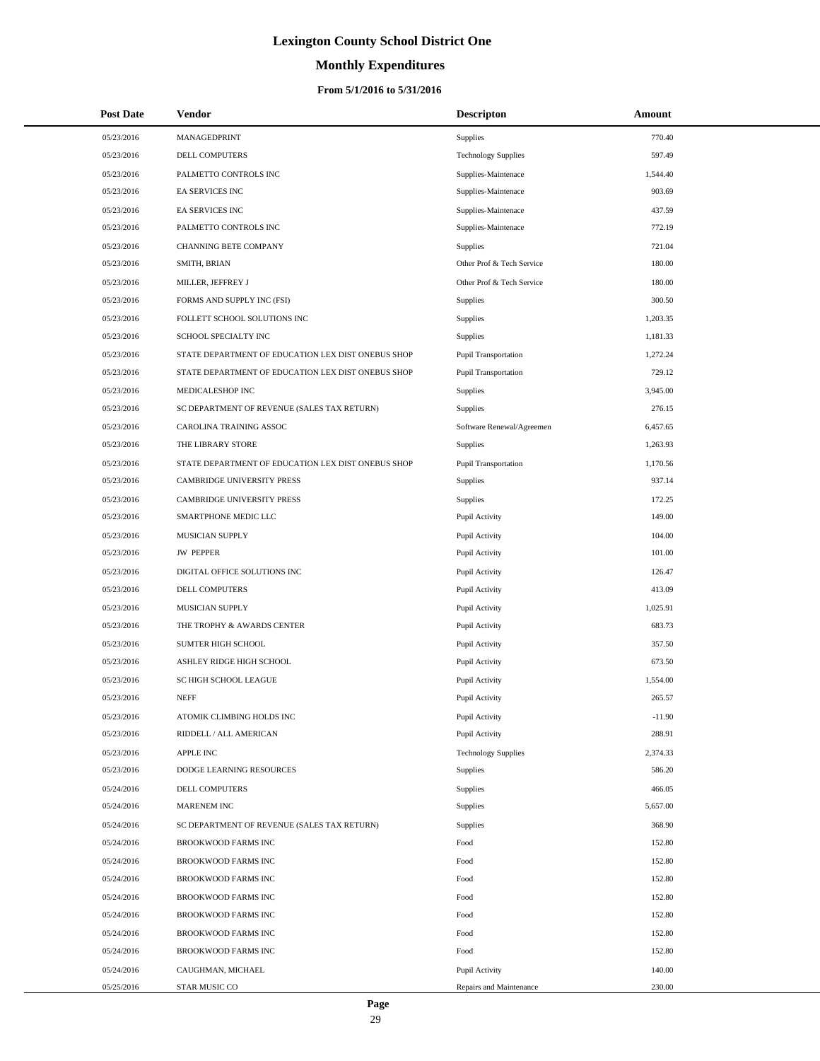# **Monthly Expenditures**

### **From 5/1/2016 to 5/31/2016**

| <b>Post Date</b> | <b>Vendor</b>                                      | <b>Descripton</b>          | Amount   |
|------------------|----------------------------------------------------|----------------------------|----------|
| 05/23/2016       | MANAGEDPRINT                                       | <b>Supplies</b>            | 770.40   |
| 05/23/2016       | DELL COMPUTERS                                     | <b>Technology Supplies</b> | 597.49   |
| 05/23/2016       | PALMETTO CONTROLS INC                              | Supplies-Maintenace        | 1,544.40 |
| 05/23/2016       | EA SERVICES INC                                    | Supplies-Maintenace        | 903.69   |
| 05/23/2016       | <b>EA SERVICES INC</b>                             | Supplies-Maintenace        | 437.59   |
| 05/23/2016       | PALMETTO CONTROLS INC                              | Supplies-Maintenace        | 772.19   |
| 05/23/2016       | <b>CHANNING BETE COMPANY</b>                       | <b>Supplies</b>            | 721.04   |
| 05/23/2016       | SMITH, BRIAN                                       | Other Prof & Tech Service  | 180.00   |
| 05/23/2016       | MILLER, JEFFREY J                                  | Other Prof & Tech Service  | 180.00   |
| 05/23/2016       | FORMS AND SUPPLY INC (FSI)                         | Supplies                   | 300.50   |
| 05/23/2016       | FOLLETT SCHOOL SOLUTIONS INC                       | Supplies                   | 1,203.35 |
| 05/23/2016       | SCHOOL SPECIALTY INC                               | Supplies                   | 1,181.33 |
| 05/23/2016       | STATE DEPARTMENT OF EDUCATION LEX DIST ONEBUS SHOP | Pupil Transportation       | 1,272.24 |
| 05/23/2016       | STATE DEPARTMENT OF EDUCATION LEX DIST ONEBUS SHOP | Pupil Transportation       | 729.12   |
| 05/23/2016       | MEDICALESHOP INC                                   | <b>Supplies</b>            | 3,945.00 |
| 05/23/2016       | SC DEPARTMENT OF REVENUE (SALES TAX RETURN)        | Supplies                   | 276.15   |
| 05/23/2016       | CAROLINA TRAINING ASSOC                            | Software Renewal/Agreemen  | 6,457.65 |
| 05/23/2016       | THE LIBRARY STORE                                  | Supplies                   | 1,263.93 |
| 05/23/2016       | STATE DEPARTMENT OF EDUCATION LEX DIST ONEBUS SHOP | Pupil Transportation       | 1,170.56 |
| 05/23/2016       | <b>CAMBRIDGE UNIVERSITY PRESS</b>                  | Supplies                   | 937.14   |
| 05/23/2016       | CAMBRIDGE UNIVERSITY PRESS                         | Supplies                   | 172.25   |
| 05/23/2016       | SMARTPHONE MEDIC LLC                               | Pupil Activity             | 149.00   |
| 05/23/2016       | MUSICIAN SUPPLY                                    | Pupil Activity             | 104.00   |
| 05/23/2016       | <b>JW PEPPER</b>                                   | Pupil Activity             | 101.00   |
| 05/23/2016       | DIGITAL OFFICE SOLUTIONS INC                       | Pupil Activity             | 126.47   |
| 05/23/2016       | DELL COMPUTERS                                     | Pupil Activity             | 413.09   |
| 05/23/2016       | MUSICIAN SUPPLY                                    | Pupil Activity             | 1,025.91 |
| 05/23/2016       | THE TROPHY & AWARDS CENTER                         | Pupil Activity             | 683.73   |
| 05/23/2016       | SUMTER HIGH SCHOOL                                 | Pupil Activity             | 357.50   |
| 05/23/2016       | ASHLEY RIDGE HIGH SCHOOL                           | Pupil Activity             | 673.50   |
| 05/23/2016       | SC HIGH SCHOOL LEAGUE                              | Pupil Activity             | 1,554.00 |
| 05/23/2016       | <b>NEFF</b>                                        | Pupil Activity             | 265.57   |
| 05/23/2016       | ATOMIK CLIMBING HOLDS INC                          | Pupil Activity             | $-11.90$ |
| 05/23/2016       | RIDDELL / ALL AMERICAN                             | Pupil Activity             | 288.91   |
| 05/23/2016       | <b>APPLE INC</b>                                   | <b>Technology Supplies</b> | 2,374.33 |
| 05/23/2016       | DODGE LEARNING RESOURCES                           | Supplies                   | 586.20   |
| 05/24/2016       | DELL COMPUTERS                                     | Supplies                   | 466.05   |
| 05/24/2016       | MARENEM INC                                        | Supplies                   | 5,657.00 |
| 05/24/2016       | SC DEPARTMENT OF REVENUE (SALES TAX RETURN)        | Supplies                   | 368.90   |
| 05/24/2016       | BROOKWOOD FARMS INC                                | Food                       | 152.80   |
| 05/24/2016       | BROOKWOOD FARMS INC                                | Food                       | 152.80   |
| 05/24/2016       | BROOKWOOD FARMS INC                                | Food                       | 152.80   |
| 05/24/2016       | BROOKWOOD FARMS INC                                | Food                       | 152.80   |
| 05/24/2016       | BROOKWOOD FARMS INC                                | Food                       | 152.80   |
| 05/24/2016       | BROOKWOOD FARMS INC                                | Food                       | 152.80   |
| 05/24/2016       | BROOKWOOD FARMS INC                                | Food                       | 152.80   |
| 05/24/2016       | CAUGHMAN, MICHAEL                                  | Pupil Activity             | 140.00   |
| 05/25/2016       | STAR MUSIC CO                                      | Repairs and Maintenance    | 230.00   |

 $\overline{a}$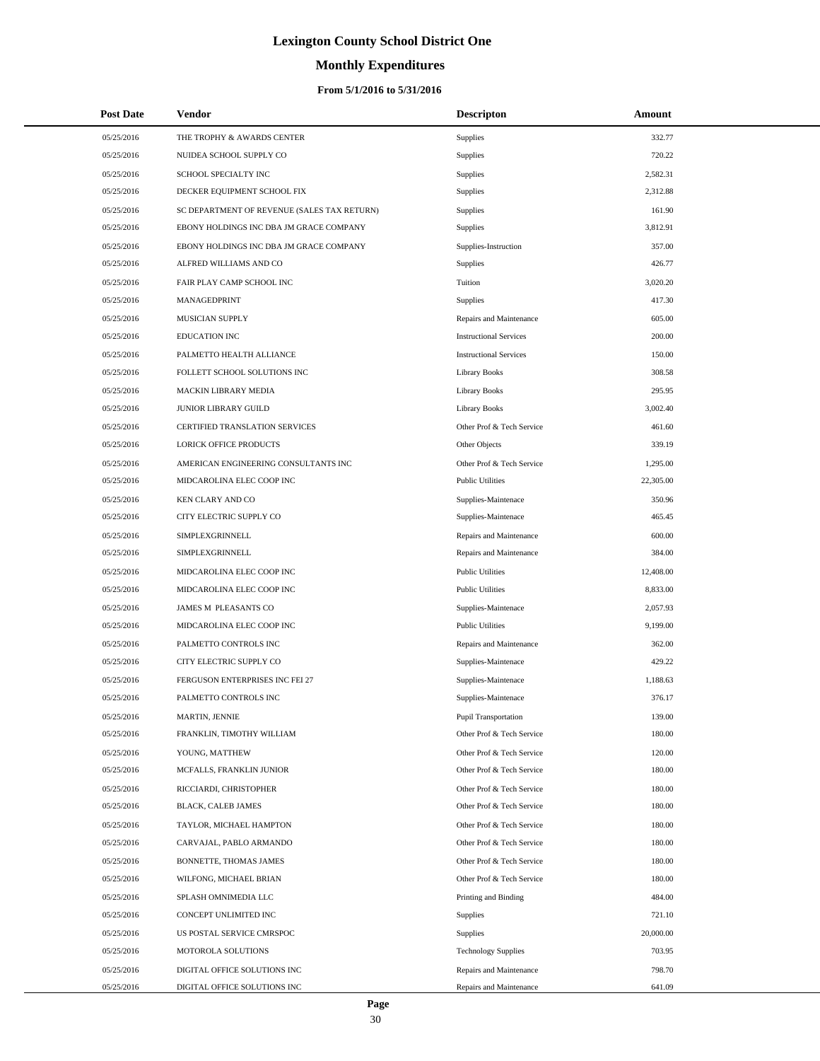# **Monthly Expenditures**

| <b>Post Date</b>         | Vendor                                        | <b>Descripton</b>                                      | Amount           |
|--------------------------|-----------------------------------------------|--------------------------------------------------------|------------------|
| 05/25/2016               | THE TROPHY & AWARDS CENTER                    | <b>Supplies</b>                                        | 332.77           |
| 05/25/2016               | NUIDEA SCHOOL SUPPLY CO                       | Supplies                                               | 720.22           |
| 05/25/2016               | SCHOOL SPECIALTY INC                          | <b>Supplies</b>                                        | 2,582.31         |
| 05/25/2016               | DECKER EQUIPMENT SCHOOL FIX                   | Supplies                                               | 2,312.88         |
| 05/25/2016               | SC DEPARTMENT OF REVENUE (SALES TAX RETURN)   | <b>Supplies</b>                                        | 161.90           |
| 05/25/2016               | EBONY HOLDINGS INC DBA JM GRACE COMPANY       | <b>Supplies</b>                                        | 3,812.91         |
| 05/25/2016               | EBONY HOLDINGS INC DBA JM GRACE COMPANY       | Supplies-Instruction                                   | 357.00           |
| 05/25/2016               | ALFRED WILLIAMS AND CO                        | Supplies                                               | 426.77           |
| 05/25/2016               | FAIR PLAY CAMP SCHOOL INC                     | Tuition                                                | 3,020.20         |
| 05/25/2016               | MANAGEDPRINT                                  | Supplies                                               | 417.30           |
| 05/25/2016               | MUSICIAN SUPPLY                               | Repairs and Maintenance                                | 605.00           |
| 05/25/2016               | <b>EDUCATION INC</b>                          | <b>Instructional Services</b>                          | 200.00           |
| 05/25/2016               | PALMETTO HEALTH ALLIANCE                      | <b>Instructional Services</b>                          | 150.00           |
| 05/25/2016               | FOLLETT SCHOOL SOLUTIONS INC                  | <b>Library Books</b>                                   | 308.58           |
| 05/25/2016               | MACKIN LIBRARY MEDIA                          | <b>Library Books</b>                                   | 295.95           |
| 05/25/2016               | JUNIOR LIBRARY GUILD                          | <b>Library Books</b>                                   | 3,002.40         |
| 05/25/2016               | <b>CERTIFIED TRANSLATION SERVICES</b>         | Other Prof & Tech Service                              | 461.60           |
| 05/25/2016               | LORICK OFFICE PRODUCTS                        | Other Objects                                          | 339.19           |
| 05/25/2016               | AMERICAN ENGINEERING CONSULTANTS INC          | Other Prof & Tech Service                              | 1,295.00         |
| 05/25/2016               | MIDCAROLINA ELEC COOP INC                     | <b>Public Utilities</b>                                | 22,305.00        |
| 05/25/2016               | KEN CLARY AND CO                              | Supplies-Maintenace                                    | 350.96           |
| 05/25/2016               | CITY ELECTRIC SUPPLY CO                       | Supplies-Maintenace                                    | 465.45           |
| 05/25/2016               | SIMPLEXGRINNELL                               | Repairs and Maintenance                                | 600.00           |
| 05/25/2016               | SIMPLEXGRINNELL                               | Repairs and Maintenance                                | 384.00           |
| 05/25/2016               | MIDCAROLINA ELEC COOP INC                     | <b>Public Utilities</b>                                | 12,408.00        |
| 05/25/2016               | MIDCAROLINA ELEC COOP INC                     | <b>Public Utilities</b>                                | 8,833.00         |
| 05/25/2016               | JAMES M PLEASANTS CO                          | Supplies-Maintenace                                    | 2,057.93         |
| 05/25/2016               | MIDCAROLINA ELEC COOP INC                     | <b>Public Utilities</b>                                | 9,199.00         |
| 05/25/2016               | PALMETTO CONTROLS INC                         | Repairs and Maintenance                                | 362.00           |
| 05/25/2016               | CITY ELECTRIC SUPPLY CO                       | Supplies-Maintenace                                    | 429.22           |
| 05/25/2016               | FERGUSON ENTERPRISES INC FEI 27               | Supplies-Maintenace                                    | 1,188.63         |
| 05/25/2016               | PALMETTO CONTROLS INC                         | Supplies-Maintenace                                    | 376.17           |
| 05/25/2016               | MARTIN, JENNIE                                | Pupil Transportation                                   | 139.00           |
| 05/25/2016               | FRANKLIN, TIMOTHY WILLIAM                     | Other Prof & Tech Service                              | 180.00           |
| 05/25/2016               | YOUNG, MATTHEW                                | Other Prof & Tech Service                              | 120.00           |
| 05/25/2016               | MCFALLS, FRANKLIN JUNIOR                      | Other Prof & Tech Service                              | 180.00           |
| 05/25/2016               | RICCIARDI, CHRISTOPHER                        | Other Prof & Tech Service                              | 180.00           |
| 05/25/2016               | <b>BLACK, CALEB JAMES</b>                     | Other Prof & Tech Service                              | 180.00           |
| 05/25/2016               | TAYLOR, MICHAEL HAMPTON                       | Other Prof & Tech Service                              | 180.00           |
| 05/25/2016               | CARVAJAL, PABLO ARMANDO                       | Other Prof & Tech Service                              | 180.00           |
| 05/25/2016               | <b>BONNETTE, THOMAS JAMES</b>                 | Other Prof & Tech Service<br>Other Prof & Tech Service | 180.00<br>180.00 |
| 05/25/2016               | WILFONG, MICHAEL BRIAN                        |                                                        |                  |
| 05/25/2016<br>05/25/2016 | SPLASH OMNIMEDIA LLC<br>CONCEPT UNLIMITED INC | Printing and Binding<br>Supplies                       | 484.00<br>721.10 |
| 05/25/2016               | US POSTAL SERVICE CMRSPOC                     |                                                        | 20,000.00        |
| 05/25/2016               | MOTOROLA SOLUTIONS                            | <b>Supplies</b><br><b>Technology Supplies</b>          | 703.95           |
| 05/25/2016               | DIGITAL OFFICE SOLUTIONS INC                  | Repairs and Maintenance                                | 798.70           |
| 05/25/2016               | DIGITAL OFFICE SOLUTIONS INC                  | Repairs and Maintenance                                | 641.09           |
|                          |                                               |                                                        |                  |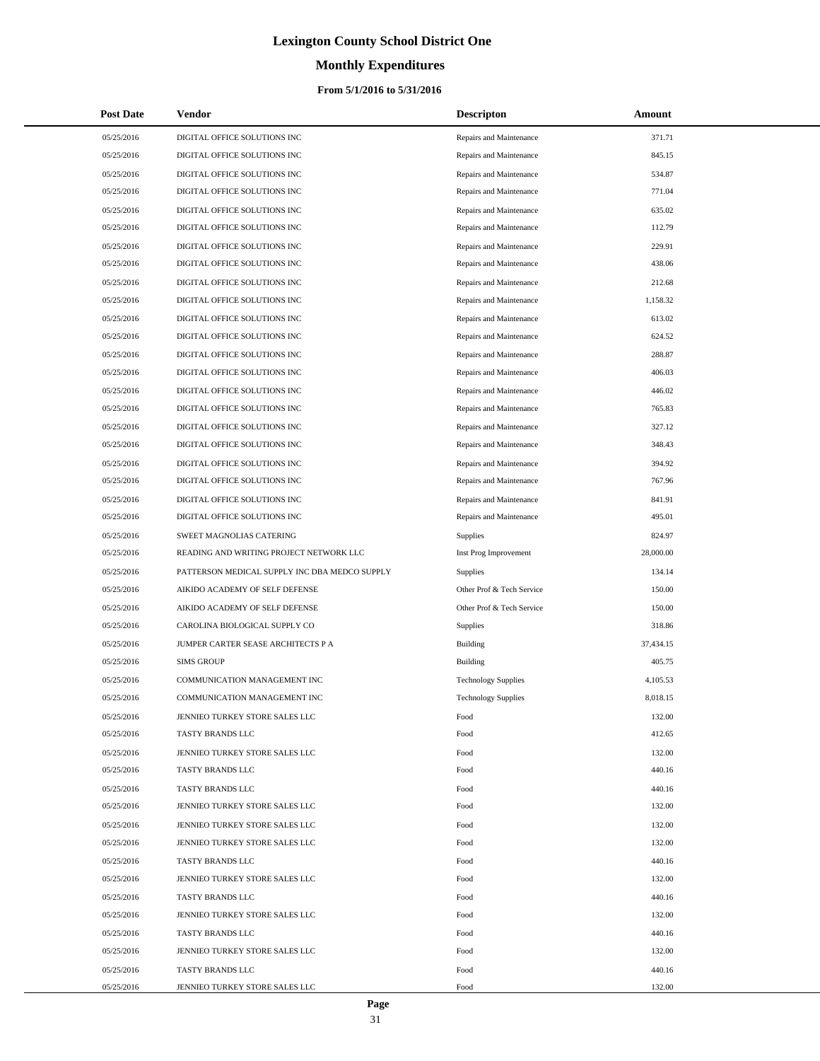# **Monthly Expenditures**

### **From 5/1/2016 to 5/31/2016**

| <b>Post Date</b> | <b>Vendor</b>                                 | <b>Descripton</b>          | Amount    |
|------------------|-----------------------------------------------|----------------------------|-----------|
| 05/25/2016       | DIGITAL OFFICE SOLUTIONS INC                  | Repairs and Maintenance    | 371.71    |
| 05/25/2016       | DIGITAL OFFICE SOLUTIONS INC                  | Repairs and Maintenance    | 845.15    |
| 05/25/2016       | DIGITAL OFFICE SOLUTIONS INC                  | Repairs and Maintenance    | 534.87    |
| 05/25/2016       | DIGITAL OFFICE SOLUTIONS INC                  | Repairs and Maintenance    | 771.04    |
| 05/25/2016       | DIGITAL OFFICE SOLUTIONS INC                  | Repairs and Maintenance    | 635.02    |
| 05/25/2016       | DIGITAL OFFICE SOLUTIONS INC                  | Repairs and Maintenance    | 112.79    |
| 05/25/2016       | DIGITAL OFFICE SOLUTIONS INC                  | Repairs and Maintenance    | 229.91    |
| 05/25/2016       | DIGITAL OFFICE SOLUTIONS INC                  | Repairs and Maintenance    | 438.06    |
| 05/25/2016       | DIGITAL OFFICE SOLUTIONS INC                  | Repairs and Maintenance    | 212.68    |
| 05/25/2016       | DIGITAL OFFICE SOLUTIONS INC                  | Repairs and Maintenance    | 1,158.32  |
| 05/25/2016       | DIGITAL OFFICE SOLUTIONS INC                  | Repairs and Maintenance    | 613.02    |
| 05/25/2016       | DIGITAL OFFICE SOLUTIONS INC                  | Repairs and Maintenance    | 624.52    |
| 05/25/2016       | DIGITAL OFFICE SOLUTIONS INC                  | Repairs and Maintenance    | 288.87    |
| 05/25/2016       | DIGITAL OFFICE SOLUTIONS INC                  | Repairs and Maintenance    | 406.03    |
| 05/25/2016       | DIGITAL OFFICE SOLUTIONS INC                  | Repairs and Maintenance    | 446.02    |
| 05/25/2016       | DIGITAL OFFICE SOLUTIONS INC                  | Repairs and Maintenance    | 765.83    |
| 05/25/2016       | DIGITAL OFFICE SOLUTIONS INC                  | Repairs and Maintenance    | 327.12    |
| 05/25/2016       | DIGITAL OFFICE SOLUTIONS INC                  | Repairs and Maintenance    | 348.43    |
| 05/25/2016       | DIGITAL OFFICE SOLUTIONS INC                  | Repairs and Maintenance    | 394.92    |
| 05/25/2016       | DIGITAL OFFICE SOLUTIONS INC                  | Repairs and Maintenance    | 767.96    |
| 05/25/2016       | DIGITAL OFFICE SOLUTIONS INC                  | Repairs and Maintenance    | 841.91    |
| 05/25/2016       | DIGITAL OFFICE SOLUTIONS INC                  | Repairs and Maintenance    | 495.01    |
| 05/25/2016       | SWEET MAGNOLIAS CATERING                      | Supplies                   | 824.97    |
| 05/25/2016       | READING AND WRITING PROJECT NETWORK LLC       | Inst Prog Improvement      | 28,000.00 |
| 05/25/2016       | PATTERSON MEDICAL SUPPLY INC DBA MEDCO SUPPLY | Supplies                   | 134.14    |
| 05/25/2016       | AIKIDO ACADEMY OF SELF DEFENSE                | Other Prof & Tech Service  | 150.00    |
| 05/25/2016       | AIKIDO ACADEMY OF SELF DEFENSE                | Other Prof & Tech Service  | 150.00    |
| 05/25/2016       | CAROLINA BIOLOGICAL SUPPLY CO                 | Supplies                   | 318.86    |
| 05/25/2016       | JUMPER CARTER SEASE ARCHITECTS P A            | <b>Building</b>            | 37,434.15 |
| 05/25/2016       | <b>SIMS GROUP</b>                             | <b>Building</b>            | 405.75    |
| 05/25/2016       | COMMUNICATION MANAGEMENT INC                  | <b>Technology Supplies</b> | 4,105.53  |
| 05/25/2016       | COMMUNICATION MANAGEMENT INC                  | <b>Technology Supplies</b> | 8.018.15  |
| 05/25/2016       | JENNIEO TURKEY STORE SALES LLC                | Food                       | 132.00    |
| 05/25/2016       | TASTY BRANDS LLC                              | Food                       | 412.65    |
| 05/25/2016       | JENNIEO TURKEY STORE SALES LLC                | Food                       | 132.00    |
| 05/25/2016       | TASTY BRANDS LLC                              | Food                       | 440.16    |
| 05/25/2016       | TASTY BRANDS LLC                              | Food                       | 440.16    |
| 05/25/2016       | JENNIEO TURKEY STORE SALES LLC                | Food                       | 132.00    |
| 05/25/2016       | JENNIEO TURKEY STORE SALES LLC                | Food                       | 132.00    |
| 05/25/2016       | JENNIEO TURKEY STORE SALES LLC                | Food                       | 132.00    |
| 05/25/2016       | TASTY BRANDS LLC                              | Food                       | 440.16    |
| 05/25/2016       | JENNIEO TURKEY STORE SALES LLC                | Food                       | 132.00    |
| 05/25/2016       | TASTY BRANDS LLC                              | Food                       | 440.16    |
| 05/25/2016       | JENNIEO TURKEY STORE SALES LLC                | Food                       | 132.00    |
| 05/25/2016       | TASTY BRANDS LLC                              | Food                       | 440.16    |
| 05/25/2016       | JENNIEO TURKEY STORE SALES LLC                | Food                       | 132.00    |
| 05/25/2016       | TASTY BRANDS LLC                              | Food                       | 440.16    |
| 05/25/2016       | JENNIEO TURKEY STORE SALES LLC                | Food                       | 132.00    |

÷.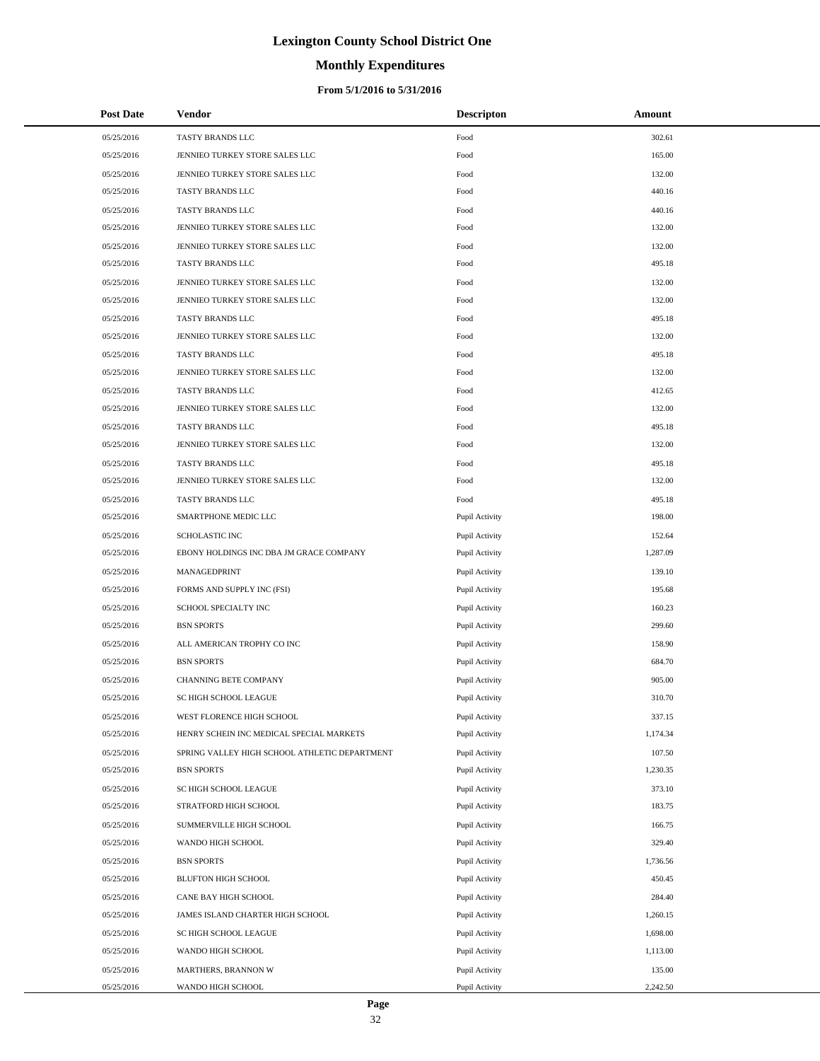# **Monthly Expenditures**

### **From 5/1/2016 to 5/31/2016**

| <b>Post Date</b> | Vendor                                        | <b>Descripton</b> | Amount   |  |
|------------------|-----------------------------------------------|-------------------|----------|--|
| 05/25/2016       | TASTY BRANDS LLC                              | Food              | 302.61   |  |
| 05/25/2016       | JENNIEO TURKEY STORE SALES LLC                | Food              | 165.00   |  |
| 05/25/2016       | JENNIEO TURKEY STORE SALES LLC                | Food              | 132.00   |  |
| 05/25/2016       | TASTY BRANDS LLC                              | Food              | 440.16   |  |
| 05/25/2016       | TASTY BRANDS LLC                              | Food              | 440.16   |  |
| 05/25/2016       | JENNIEO TURKEY STORE SALES LLC                | Food              | 132.00   |  |
| 05/25/2016       | JENNIEO TURKEY STORE SALES LLC                | Food              | 132.00   |  |
| 05/25/2016       | TASTY BRANDS LLC                              | Food              | 495.18   |  |
| 05/25/2016       | JENNIEO TURKEY STORE SALES LLC                | Food              | 132.00   |  |
| 05/25/2016       | JENNIEO TURKEY STORE SALES LLC                | Food              | 132.00   |  |
| 05/25/2016       | TASTY BRANDS LLC                              | Food              | 495.18   |  |
| 05/25/2016       | JENNIEO TURKEY STORE SALES LLC                | Food              | 132.00   |  |
| 05/25/2016       | TASTY BRANDS LLC                              | Food              | 495.18   |  |
| 05/25/2016       | JENNIEO TURKEY STORE SALES LLC                | Food              | 132.00   |  |
| 05/25/2016       | TASTY BRANDS LLC                              | Food              | 412.65   |  |
| 05/25/2016       | JENNIEO TURKEY STORE SALES LLC                | Food              | 132.00   |  |
| 05/25/2016       | TASTY BRANDS LLC                              | Food              | 495.18   |  |
| 05/25/2016       | JENNIEO TURKEY STORE SALES LLC                | Food              | 132.00   |  |
| 05/25/2016       | TASTY BRANDS LLC                              | Food              | 495.18   |  |
| 05/25/2016       | JENNIEO TURKEY STORE SALES LLC                | Food              | 132.00   |  |
| 05/25/2016       | TASTY BRANDS LLC                              | Food              | 495.18   |  |
| 05/25/2016       | SMARTPHONE MEDIC LLC                          | Pupil Activity    | 198.00   |  |
| 05/25/2016       | <b>SCHOLASTIC INC</b>                         | Pupil Activity    | 152.64   |  |
| 05/25/2016       | EBONY HOLDINGS INC DBA JM GRACE COMPANY       | Pupil Activity    | 1,287.09 |  |
| 05/25/2016       | MANAGEDPRINT                                  | Pupil Activity    | 139.10   |  |
| 05/25/2016       | FORMS AND SUPPLY INC (FSI)                    | Pupil Activity    | 195.68   |  |
| 05/25/2016       | SCHOOL SPECIALTY INC                          | Pupil Activity    | 160.23   |  |
| 05/25/2016       | <b>BSN SPORTS</b>                             | Pupil Activity    | 299.60   |  |
| 05/25/2016       | ALL AMERICAN TROPHY CO INC                    | Pupil Activity    | 158.90   |  |
| 05/25/2016       | <b>BSN SPORTS</b>                             | Pupil Activity    | 684.70   |  |
| 05/25/2016       | CHANNING BETE COMPANY                         | Pupil Activity    | 905.00   |  |
| 05/25/2016       | SC HIGH SCHOOL LEAGUE                         | Pupil Activity    | 310.70   |  |
| 05/25/2016       | WEST FLORENCE HIGH SCHOOL                     | Pupil Activity    | 337.15   |  |
| 05/25/2016       | HENRY SCHEIN INC MEDICAL SPECIAL MARKETS      | Pupil Activity    | 1,174.34 |  |
| 05/25/2016       | SPRING VALLEY HIGH SCHOOL ATHLETIC DEPARTMENT | Pupil Activity    | 107.50   |  |
| 05/25/2016       | <b>BSN SPORTS</b>                             | Pupil Activity    | 1,230.35 |  |
| 05/25/2016       | SC HIGH SCHOOL LEAGUE                         | Pupil Activity    | 373.10   |  |
| 05/25/2016       | STRATFORD HIGH SCHOOL                         | Pupil Activity    | 183.75   |  |
| 05/25/2016       | SUMMERVILLE HIGH SCHOOL                       | Pupil Activity    | 166.75   |  |
| 05/25/2016       | WANDO HIGH SCHOOL                             | Pupil Activity    | 329.40   |  |
| 05/25/2016       | <b>BSN SPORTS</b>                             | Pupil Activity    | 1,736.56 |  |
| 05/25/2016       | BLUFTON HIGH SCHOOL                           | Pupil Activity    | 450.45   |  |
| 05/25/2016       | CANE BAY HIGH SCHOOL                          | Pupil Activity    | 284.40   |  |
| 05/25/2016       | JAMES ISLAND CHARTER HIGH SCHOOL              | Pupil Activity    | 1,260.15 |  |
| 05/25/2016       | SC HIGH SCHOOL LEAGUE                         | Pupil Activity    | 1,698.00 |  |
| 05/25/2016       | WANDO HIGH SCHOOL                             | Pupil Activity    | 1,113.00 |  |
| 05/25/2016       | MARTHERS, BRANNON W                           | Pupil Activity    | 135.00   |  |
| 05/25/2016       | WANDO HIGH SCHOOL                             | Pupil Activity    | 2,242.50 |  |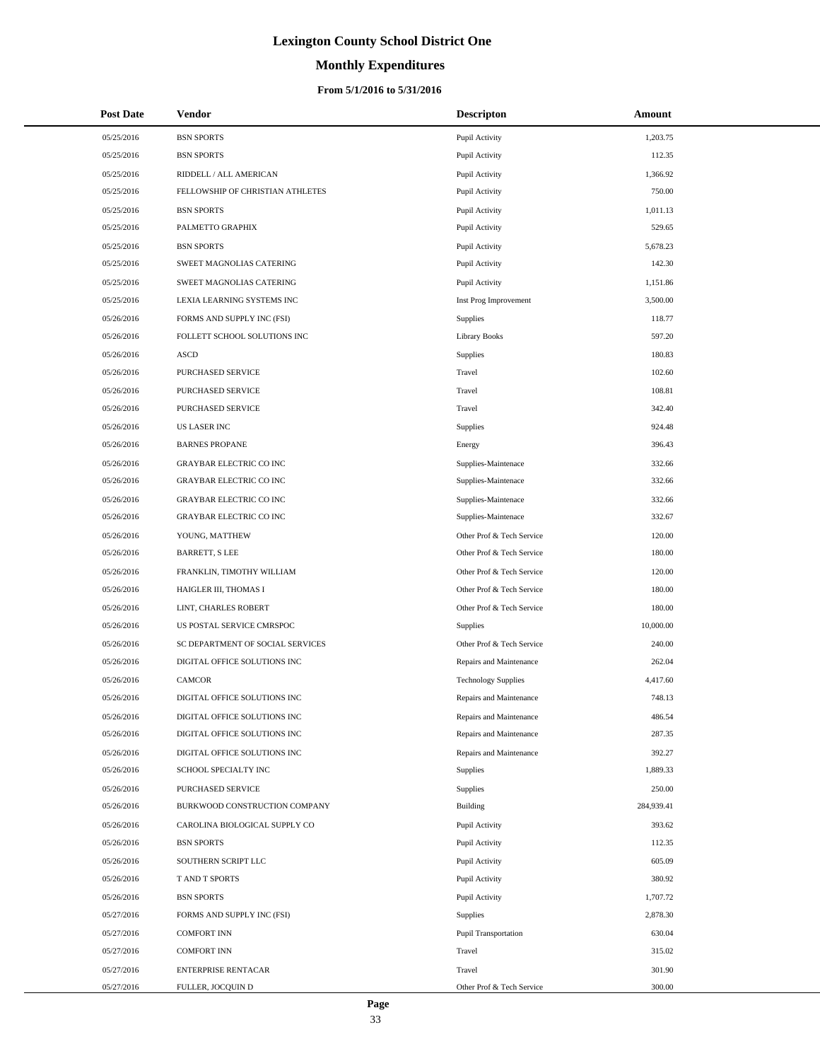# **Monthly Expenditures**

### **From 5/1/2016 to 5/31/2016**

| <b>Post Date</b> | <b>Vendor</b>                    | <b>Descripton</b>          | Amount     |
|------------------|----------------------------------|----------------------------|------------|
| 05/25/2016       | <b>BSN SPORTS</b>                | Pupil Activity             | 1,203.75   |
| 05/25/2016       | <b>BSN SPORTS</b>                | Pupil Activity             | 112.35     |
| 05/25/2016       | RIDDELL / ALL AMERICAN           | Pupil Activity             | 1,366.92   |
| 05/25/2016       | FELLOWSHIP OF CHRISTIAN ATHLETES | Pupil Activity             | 750.00     |
| 05/25/2016       | <b>BSN SPORTS</b>                | Pupil Activity             | 1,011.13   |
| 05/25/2016       | PALMETTO GRAPHIX                 | Pupil Activity             | 529.65     |
| 05/25/2016       | <b>BSN SPORTS</b>                | Pupil Activity             | 5,678.23   |
| 05/25/2016       | SWEET MAGNOLIAS CATERING         | Pupil Activity             | 142.30     |
| 05/25/2016       | SWEET MAGNOLIAS CATERING         | Pupil Activity             | 1,151.86   |
| 05/25/2016       | LEXIA LEARNING SYSTEMS INC       | Inst Prog Improvement      | 3,500.00   |
| 05/26/2016       | FORMS AND SUPPLY INC (FSI)       | Supplies                   | 118.77     |
| 05/26/2016       | FOLLETT SCHOOL SOLUTIONS INC     | <b>Library Books</b>       | 597.20     |
| 05/26/2016       | <b>ASCD</b>                      | Supplies                   | 180.83     |
| 05/26/2016       | <b>PURCHASED SERVICE</b>         | Travel                     | 102.60     |
| 05/26/2016       | PURCHASED SERVICE                | Travel                     | 108.81     |
| 05/26/2016       | PURCHASED SERVICE                | Travel                     | 342.40     |
| 05/26/2016       | <b>US LASER INC</b>              | Supplies                   | 924.48     |
| 05/26/2016       | <b>BARNES PROPANE</b>            | Energy                     | 396.43     |
| 05/26/2016       | <b>GRAYBAR ELECTRIC CO INC</b>   | Supplies-Maintenace        | 332.66     |
| 05/26/2016       | <b>GRAYBAR ELECTRIC CO INC</b>   | Supplies-Maintenace        | 332.66     |
| 05/26/2016       | <b>GRAYBAR ELECTRIC CO INC</b>   | Supplies-Maintenace        | 332.66     |
| 05/26/2016       | <b>GRAYBAR ELECTRIC CO INC</b>   | Supplies-Maintenace        | 332.67     |
| 05/26/2016       | YOUNG, MATTHEW                   | Other Prof & Tech Service  | 120.00     |
| 05/26/2016       | <b>BARRETT, S LEE</b>            | Other Prof & Tech Service  | 180.00     |
| 05/26/2016       | FRANKLIN, TIMOTHY WILLIAM        | Other Prof & Tech Service  | 120.00     |
| 05/26/2016       | HAIGLER III, THOMAS I            | Other Prof & Tech Service  | 180.00     |
| 05/26/2016       | LINT, CHARLES ROBERT             | Other Prof & Tech Service  | 180.00     |
| 05/26/2016       | US POSTAL SERVICE CMRSPOC        | Supplies                   | 10,000.00  |
| 05/26/2016       | SC DEPARTMENT OF SOCIAL SERVICES | Other Prof & Tech Service  | 240.00     |
| 05/26/2016       | DIGITAL OFFICE SOLUTIONS INC     | Repairs and Maintenance    | 262.04     |
| 05/26/2016       | <b>CAMCOR</b>                    | <b>Technology Supplies</b> | 4,417.60   |
| 05/26/2016       | DIGITAL OFFICE SOLUTIONS INC     | Repairs and Maintenance    | 748.13     |
| 05/26/2016       | DIGITAL OFFICE SOLUTIONS INC     | Repairs and Maintenance    | 486.54     |
| 05/26/2016       | DIGITAL OFFICE SOLUTIONS INC     | Repairs and Maintenance    | 287.35     |
| 05/26/2016       | DIGITAL OFFICE SOLUTIONS INC     | Repairs and Maintenance    | 392.27     |
| 05/26/2016       | SCHOOL SPECIALTY INC             | Supplies                   | 1,889.33   |
| 05/26/2016       | PURCHASED SERVICE                | Supplies                   | 250.00     |
| 05/26/2016       | BURKWOOD CONSTRUCTION COMPANY    | Building                   | 284,939.41 |
| 05/26/2016       | CAROLINA BIOLOGICAL SUPPLY CO    | Pupil Activity             | 393.62     |
| 05/26/2016       | <b>BSN SPORTS</b>                | Pupil Activity             | 112.35     |
| 05/26/2016       | SOUTHERN SCRIPT LLC              | Pupil Activity             | 605.09     |
| 05/26/2016       | T AND T SPORTS                   | Pupil Activity             | 380.92     |
| 05/26/2016       | <b>BSN SPORTS</b>                | Pupil Activity             | 1,707.72   |
| 05/27/2016       | FORMS AND SUPPLY INC (FSI)       | Supplies                   | 2,878.30   |
| 05/27/2016       | <b>COMFORT INN</b>               | Pupil Transportation       | 630.04     |
| 05/27/2016       | <b>COMFORT INN</b>               | Travel                     | 315.02     |
| 05/27/2016       | ENTERPRISE RENTACAR              | Travel                     | 301.90     |
| 05/27/2016       | FULLER, JOCQUIN D                | Other Prof & Tech Service  | 300.00     |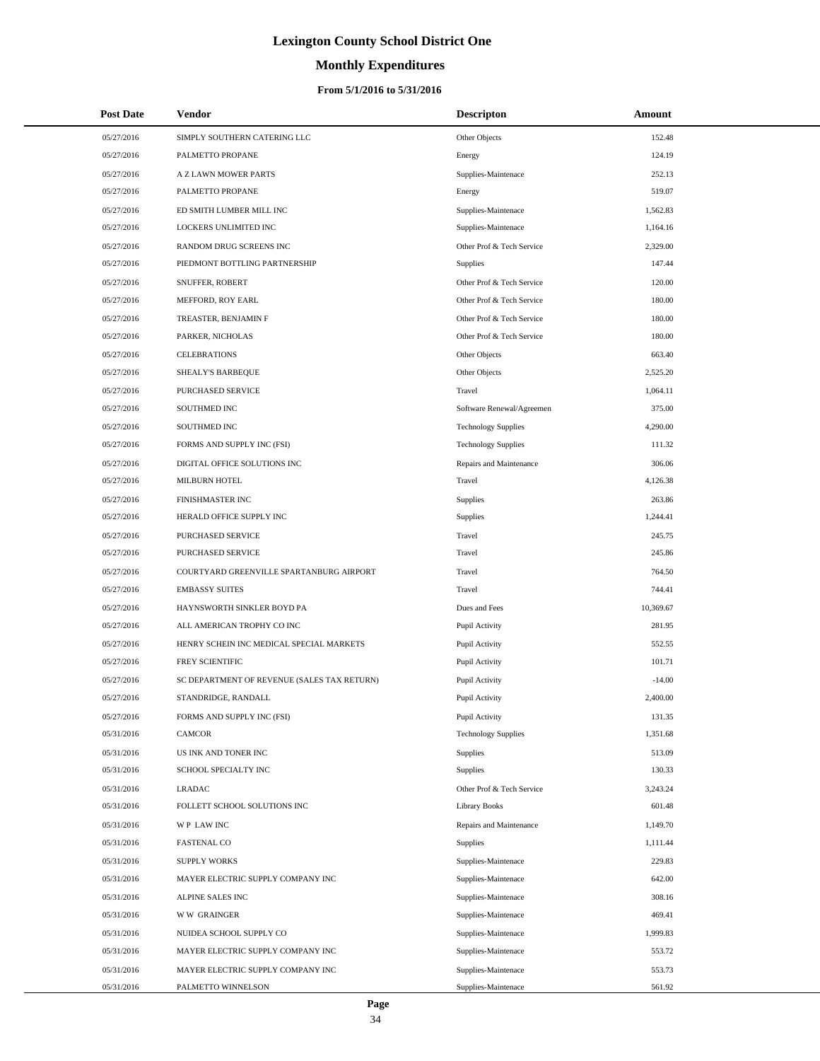# **Monthly Expenditures**

### **From 5/1/2016 to 5/31/2016**

| <b>Post Date</b> | Vendor                                      | <b>Descripton</b>          | Amount    |  |
|------------------|---------------------------------------------|----------------------------|-----------|--|
| 05/27/2016       | SIMPLY SOUTHERN CATERING LLC                | Other Objects              | 152.48    |  |
| 05/27/2016       | PALMETTO PROPANE                            | Energy                     | 124.19    |  |
| 05/27/2016       | <b>A Z LAWN MOWER PARTS</b>                 | Supplies-Maintenace        | 252.13    |  |
| 05/27/2016       | PALMETTO PROPANE                            | Energy                     | 519.07    |  |
| 05/27/2016       | ED SMITH LUMBER MILL INC                    | Supplies-Maintenace        | 1,562.83  |  |
| 05/27/2016       | LOCKERS UNLIMITED INC                       | Supplies-Maintenace        | 1,164.16  |  |
| 05/27/2016       | RANDOM DRUG SCREENS INC                     | Other Prof & Tech Service  | 2,329.00  |  |
| 05/27/2016       | PIEDMONT BOTTLING PARTNERSHIP               | <b>Supplies</b>            | 147.44    |  |
| 05/27/2016       | SNUFFER, ROBERT                             | Other Prof & Tech Service  | 120.00    |  |
| 05/27/2016       | MEFFORD, ROY EARL                           | Other Prof & Tech Service  | 180.00    |  |
| 05/27/2016       | TREASTER, BENJAMIN F                        | Other Prof & Tech Service  | 180.00    |  |
| 05/27/2016       | PARKER, NICHOLAS                            | Other Prof & Tech Service  | 180.00    |  |
| 05/27/2016       | <b>CELEBRATIONS</b>                         | Other Objects              | 663.40    |  |
| 05/27/2016       | SHEALY'S BARBEQUE                           | Other Objects              | 2,525.20  |  |
| 05/27/2016       | <b>PURCHASED SERVICE</b>                    | Travel                     | 1,064.11  |  |
| 05/27/2016       | <b>SOUTHMED INC</b>                         | Software Renewal/Agreemen  | 375.00    |  |
| 05/27/2016       | SOUTHMED INC                                | <b>Technology Supplies</b> | 4,290.00  |  |
| 05/27/2016       | FORMS AND SUPPLY INC (FSI)                  | <b>Technology Supplies</b> | 111.32    |  |
| 05/27/2016       | DIGITAL OFFICE SOLUTIONS INC                | Repairs and Maintenance    | 306.06    |  |
| 05/27/2016       | MILBURN HOTEL                               | Travel                     | 4,126.38  |  |
| 05/27/2016       | FINISHMASTER INC                            | Supplies                   | 263.86    |  |
| 05/27/2016       | HERALD OFFICE SUPPLY INC                    | Supplies                   | 1,244.41  |  |
| 05/27/2016       | PURCHASED SERVICE                           | Travel                     | 245.75    |  |
| 05/27/2016       | PURCHASED SERVICE                           | Travel                     | 245.86    |  |
| 05/27/2016       | COURTYARD GREENVILLE SPARTANBURG AIRPORT    | Travel                     | 764.50    |  |
| 05/27/2016       | <b>EMBASSY SUITES</b>                       | Travel                     | 744.41    |  |
| 05/27/2016       | HAYNSWORTH SINKLER BOYD PA                  | Dues and Fees              | 10,369.67 |  |
| 05/27/2016       | ALL AMERICAN TROPHY CO INC                  | Pupil Activity             | 281.95    |  |
| 05/27/2016       | HENRY SCHEIN INC MEDICAL SPECIAL MARKETS    | Pupil Activity             | 552.55    |  |
| 05/27/2016       | FREY SCIENTIFIC                             | Pupil Activity             | 101.71    |  |
| 05/27/2016       | SC DEPARTMENT OF REVENUE (SALES TAX RETURN) | Pupil Activity             | $-14.00$  |  |
| 05/27/2016       | STANDRIDGE, RANDALL                         | Pupil Activity             | 2,400.00  |  |
| 05/27/2016       | FORMS AND SUPPLY INC (FSI)                  | Pupil Activity             | 131.35    |  |
| 05/31/2016       | <b>CAMCOR</b>                               | <b>Technology Supplies</b> | 1,351.68  |  |
| 05/31/2016       | US INK AND TONER INC                        | Supplies                   | 513.09    |  |
| 05/31/2016       | SCHOOL SPECIALTY INC                        | Supplies                   | 130.33    |  |
| 05/31/2016       | LRADAC                                      | Other Prof & Tech Service  | 3,243.24  |  |
| 05/31/2016       | FOLLETT SCHOOL SOLUTIONS INC                | <b>Library Books</b>       | 601.48    |  |
| 05/31/2016       | WP LAW INC                                  | Repairs and Maintenance    | 1,149.70  |  |
| 05/31/2016       | <b>FASTENAL CO</b>                          | Supplies                   | 1,111.44  |  |
| 05/31/2016       | <b>SUPPLY WORKS</b>                         | Supplies-Maintenace        | 229.83    |  |
| 05/31/2016       | MAYER ELECTRIC SUPPLY COMPANY INC           | Supplies-Maintenace        | 642.00    |  |
| 05/31/2016       | ALPINE SALES INC                            | Supplies-Maintenace        | 308.16    |  |
| 05/31/2016       | <b>WW GRAINGER</b>                          | Supplies-Maintenace        | 469.41    |  |
| 05/31/2016       | NUIDEA SCHOOL SUPPLY CO                     | Supplies-Maintenace        | 1,999.83  |  |
| 05/31/2016       | MAYER ELECTRIC SUPPLY COMPANY INC           | Supplies-Maintenace        | 553.72    |  |
| 05/31/2016       | MAYER ELECTRIC SUPPLY COMPANY INC           | Supplies-Maintenace        | 553.73    |  |
| 05/31/2016       | PALMETTO WINNELSON                          | Supplies-Maintenace        | 561.92    |  |

 $\overline{a}$